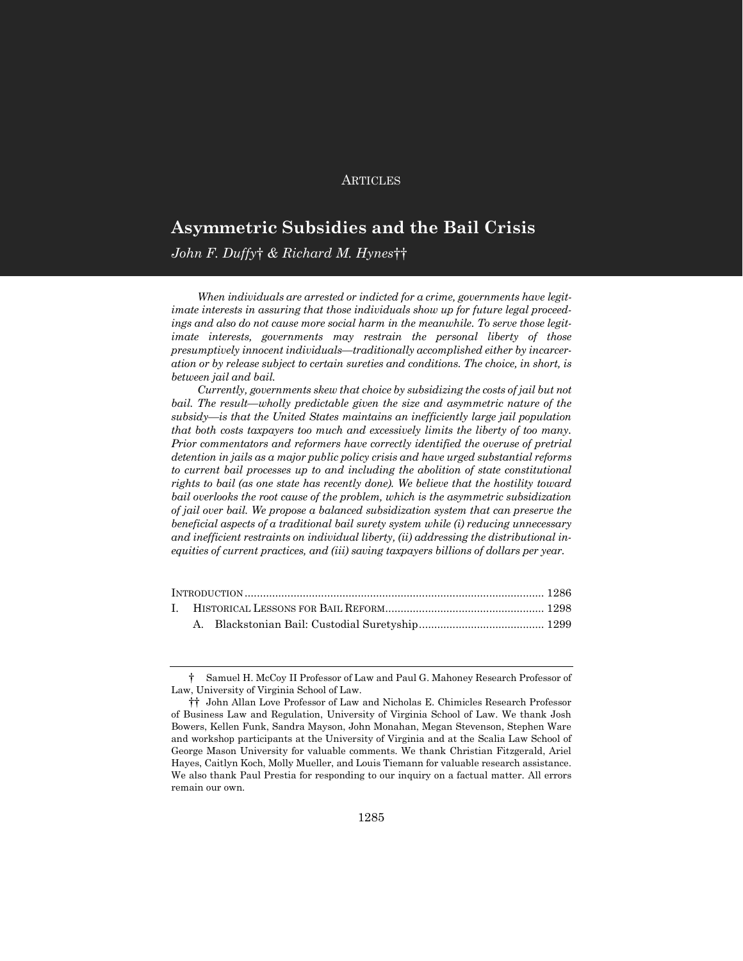# **ARTICLES**

# **Asymmetric Subsidies and the Bail Crisis**

*John F. Duffy*† *& Richard M. Hynes*††

*When individuals are arrested or indicted for a crime, governments have legitimate interests in assuring that those individuals show up for future legal proceedings and also do not cause more social harm in the meanwhile. To serve those legitimate interests, governments may restrain the personal liberty of those presumptively innocent individuals—traditionally accomplished either by incarceration or by release subject to certain sureties and conditions. The choice, in short, is between jail and bail.*

*Currently, governments skew that choice by subsidizing the costs of jail but not bail. The result—wholly predictable given the size and asymmetric nature of the subsidy—is that the United States maintains an inefficiently large jail population that both costs taxpayers too much and excessively limits the liberty of too many. Prior commentators and reformers have correctly identified the overuse of pretrial detention in jails as a major public policy crisis and have urged substantial reforms to current bail processes up to and including the abolition of state constitutional rights to bail (as one state has recently done). We believe that the hostility toward bail overlooks the root cause of the problem, which is the asymmetric subsidization of jail over bail. We propose a balanced subsidization system that can preserve the beneficial aspects of a traditional bail surety system while (i) reducing unnecessary and inefficient restraints on individual liberty, (ii) addressing the distributional inequities of current practices, and (iii) saving taxpayers billions of dollars per year.*

<sup>†</sup> Samuel H. McCoy II Professor of Law and Paul G. Mahoney Research Professor of Law, University of Virginia School of Law.

<sup>††</sup> John Allan Love Professor of Law and Nicholas E. Chimicles Research Professor of Business Law and Regulation, University of Virginia School of Law. We thank Josh Bowers, Kellen Funk, Sandra Mayson, John Monahan, Megan Stevenson, Stephen Ware and workshop participants at the University of Virginia and at the Scalia Law School of George Mason University for valuable comments. We thank Christian Fitzgerald, Ariel Hayes, Caitlyn Koch, Molly Mueller, and Louis Tiemann for valuable research assistance. We also thank Paul Prestia for responding to our inquiry on a factual matter. All errors remain our own.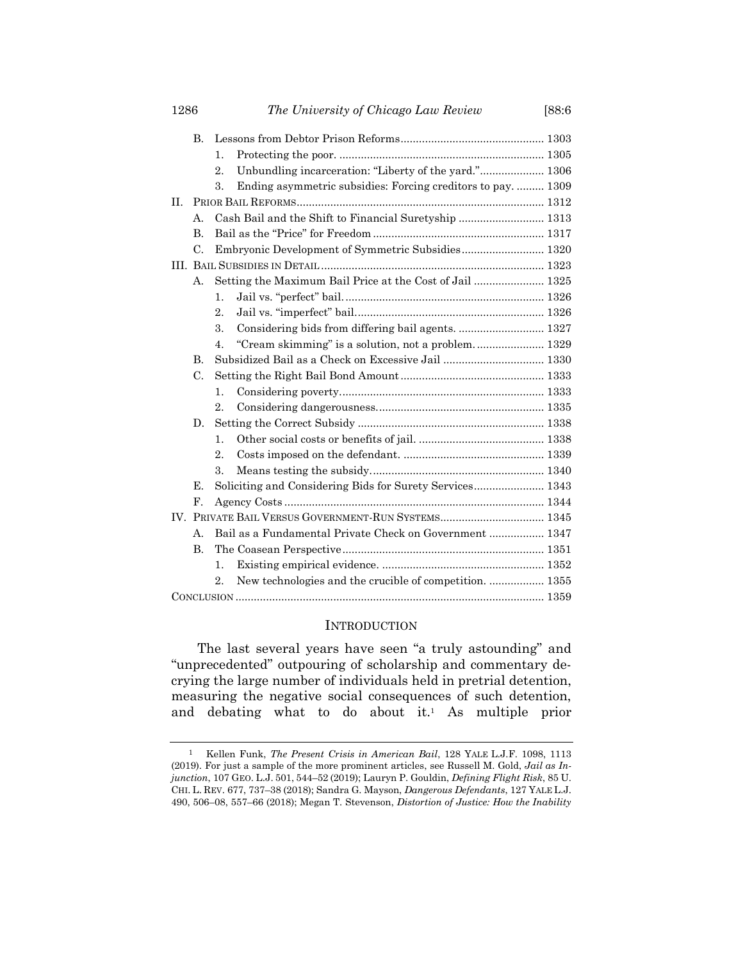| 1286           | The University of Chicago Law Review                                        | [88:6] |  |  |
|----------------|-----------------------------------------------------------------------------|--------|--|--|
| B.             |                                                                             |        |  |  |
|                | $\mathbf{1}$ .                                                              |        |  |  |
|                | Unbundling incarceration: "Liberty of the yard." 1306<br>2.                 |        |  |  |
|                | 3.<br>Ending asymmetric subsidies: Forcing creditors to pay 1309            |        |  |  |
| H.             |                                                                             |        |  |  |
| А.             | Cash Bail and the Shift to Financial Suretyship  1313                       |        |  |  |
| B.             |                                                                             |        |  |  |
| C.             | Embryonic Development of Symmetric Subsidies 1320                           |        |  |  |
|                |                                                                             |        |  |  |
| А.             | Setting the Maximum Bail Price at the Cost of Jail  1325                    |        |  |  |
|                | 1.                                                                          |        |  |  |
|                | 2.                                                                          |        |  |  |
|                | Considering bids from differing bail agents.  1327<br>3.                    |        |  |  |
|                | "Cream skimming" is a solution, not a problem 1329<br>4.                    |        |  |  |
| B.             |                                                                             |        |  |  |
| C.             |                                                                             |        |  |  |
|                | 1.                                                                          |        |  |  |
|                | $\overline{2}$ .                                                            |        |  |  |
| D.             |                                                                             |        |  |  |
|                | 1.                                                                          |        |  |  |
|                | $\overline{2}$ .                                                            |        |  |  |
|                | 3.                                                                          |        |  |  |
| Е.             | Soliciting and Considering Bids for Surety Services 1343                    |        |  |  |
| F.             |                                                                             |        |  |  |
|                |                                                                             |        |  |  |
| $\mathbf{A}$ . | Bail as a Fundamental Private Check on Government  1347                     |        |  |  |
| B.             |                                                                             |        |  |  |
|                | 1.                                                                          |        |  |  |
|                | New technologies and the crucible of competition.  1355<br>$\overline{2}$ . |        |  |  |
|                |                                                                             |        |  |  |

## <span id="page-1-0"></span>INTRODUCTION

The last several years have seen "a truly astounding" and "unprecedented" outpouring of scholarship and commentary decrying the large number of individuals held in pretrial detention, measuring the negative social consequences of such detention, and debating what to do about it.<sup>1</sup> As multiple prior

<sup>1</sup> Kellen Funk, *The Present Crisis in American Bail*, 128 YALE L.J.F. 1098, 1113 (2019). For just a sample of the more prominent articles, see Russell M. Gold, *Jail as Injunction*, 107 GEO. L.J. 501, 544–52 (2019); Lauryn P. Gouldin, *Defining Flight Risk*, 85 U. CHI. L. REV. 677, 737–38 (2018); Sandra G. Mayson, *Dangerous Defendants*, 127 YALE L.J. 490, 506–08, 557–66 (2018); Megan T. Stevenson, *Distortion of Justice: How the Inability*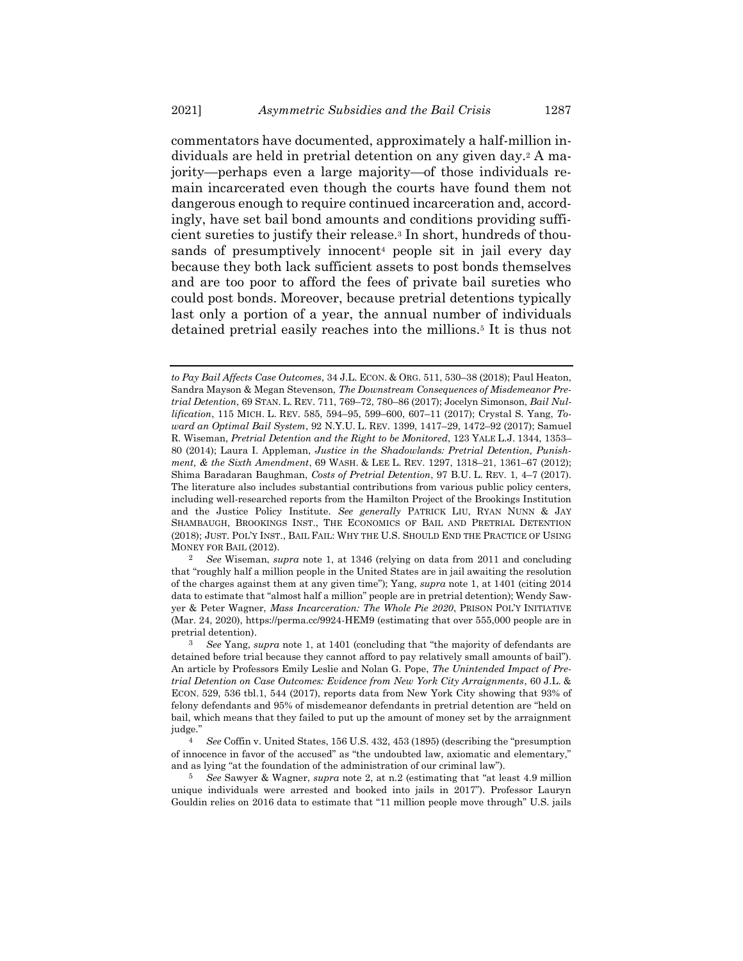<span id="page-2-0"></span>commentators have documented, approximately a half-million individuals are held in pretrial detention on any given day.<sup>2</sup> A majority—perhaps even a large majority—of those individuals remain incarcerated even though the courts have found them not dangerous enough to require continued incarceration and, accordingly, have set bail bond amounts and conditions providing sufficient sureties to justify their release.<sup>3</sup> In short, hundreds of thousands of presumptively innocent<sup>4</sup> people sit in jail every day because they both lack sufficient assets to post bonds themselves and are too poor to afford the fees of private bail sureties who could post bonds. Moreover, because pretrial detentions typically last only a portion of a year, the annual number of individuals detained pretrial easily reaches into the millions.<sup>5</sup> It is thus not

2 *See* Wiseman, *supra* note [1,](#page-1-0) at 1346 (relying on data from 2011 and concluding that "roughly half a million people in the United States are in jail awaiting the resolution of the charges against them at any given time"); Yang, *supra* note [1,](#page-1-0) at 1401 (citing 2014 data to estimate that "almost half a million" people are in pretrial detention); Wendy Sawyer & Peter Wagner, *Mass Incarceration: The Whole Pie 2020*, PRISON POL'Y INITIATIVE (Mar. 24, 2020), https://perma.cc/9924-HEM9 (estimating that over 555,000 people are in pretrial detention).

*to Pay Bail Affects Case Outcomes*, 34 J.L. ECON. & ORG. 511, 530–38 (2018); Paul Heaton, Sandra Mayson & Megan Stevenson, *The Downstream Consequences of Misdemeanor Pretrial Detention*, 69 STAN. L. REV. 711, 769–72, 780–86 (2017); Jocelyn Simonson, *Bail Nullification*, 115 MICH. L. REV. 585, 594–95, 599–600, 607–11 (2017); Crystal S. Yang, *Toward an Optimal Bail System*, 92 N.Y.U. L. REV. 1399, 1417–29, 1472–92 (2017); Samuel R. Wiseman, *Pretrial Detention and the Right to be Monitored*, 123 YALE L.J. 1344, 1353– 80 (2014); Laura I. Appleman, *Justice in the Shadowlands: Pretrial Detention, Punishment, & the Sixth Amendment*, 69 WASH. & LEE L. REV. 1297, 1318–21, 1361–67 (2012); Shima Baradaran Baughman, *Costs of Pretrial Detention*, 97 B.U. L. REV. 1, 4–7 (2017). The literature also includes substantial contributions from various public policy centers, including well-researched reports from the Hamilton Project of the Brookings Institution and the Justice Policy Institute. *See generally* PATRICK LIU, RYAN NUNN & JAY SHAMBAUGH, BROOKINGS INST., THE ECONOMICS OF BAIL AND PRETRIAL DETENTION (2018); JUST. POL'Y INST., BAIL FAIL: WHY THE U.S. SHOULD END THE PRACTICE OF USING MONEY FOR BAIL (2012).

<sup>3</sup> *See* Yang, *supra* note [1](#page-1-0), at 1401 (concluding that "the majority of defendants are detained before trial because they cannot afford to pay relatively small amounts of bail"). An article by Professors Emily Leslie and Nolan G. Pope, *The Unintended Impact of Pretrial Detention on Case Outcomes: Evidence from New York City Arraignments*, 60 J.L. & ECON. 529, 536 tbl.1, 544 (2017), reports data from New York City showing that 93% of felony defendants and 95% of misdemeanor defendants in pretrial detention are "held on bail, which means that they failed to put up the amount of money set by the arraignment judge."

<sup>4</sup> *See* Coffin v. United States, 156 U.S. 432, 453 (1895) (describing the "presumption of innocence in favor of the accused" as "the undoubted law, axiomatic and elementary," and as lying "at the foundation of the administration of our criminal law").

<sup>5</sup> *See* Sawyer & Wagner, *supra* not[e 2](#page-2-0), at n.2 (estimating that "at least 4.9 million unique individuals were arrested and booked into jails in 2017"). Professor Lauryn Gouldin relies on 2016 data to estimate that "11 million people move through" U.S. jails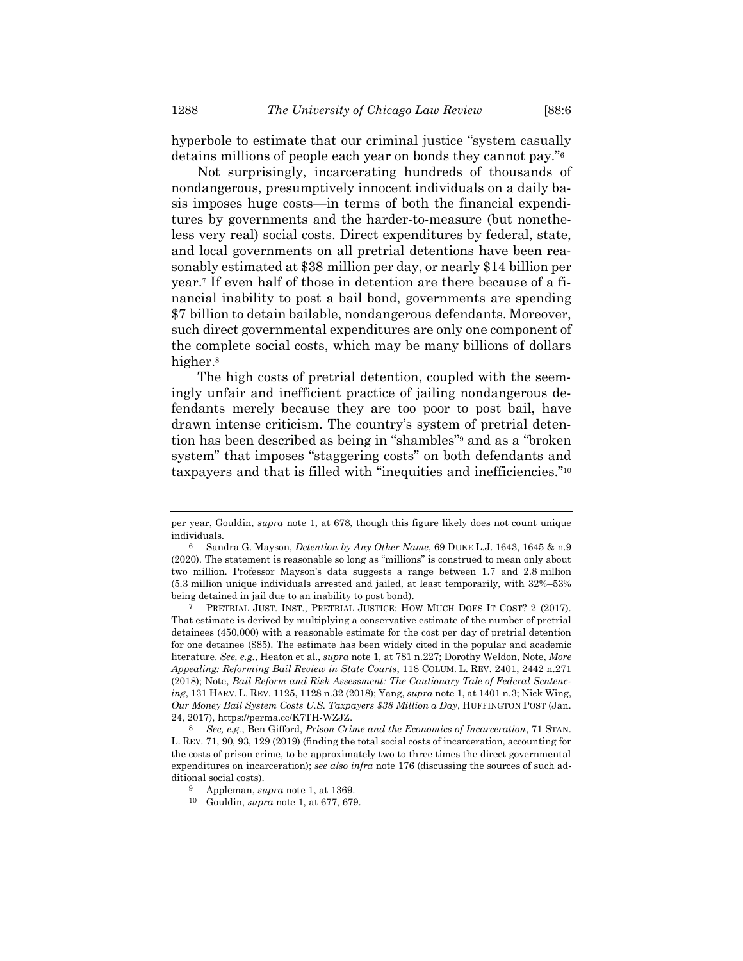hyperbole to estimate that our criminal justice "system casually detains millions of people each year on bonds they cannot pay."<sup>6</sup>

Not surprisingly, incarcerating hundreds of thousands of nondangerous, presumptively innocent individuals on a daily basis imposes huge costs—in terms of both the financial expenditures by governments and the harder-to-measure (but nonetheless very real) social costs. Direct expenditures by federal, state, and local governments on all pretrial detentions have been reasonably estimated at \$38 million per day, or nearly \$14 billion per year.<sup>7</sup> If even half of those in detention are there because of a financial inability to post a bail bond, governments are spending \$7 billion to detain bailable, nondangerous defendants. Moreover, such direct governmental expenditures are only one component of the complete social costs, which may be many billions of dollars higher.<sup>8</sup>

<span id="page-3-0"></span>The high costs of pretrial detention, coupled with the seemingly unfair and inefficient practice of jailing nondangerous defendants merely because they are too poor to post bail, have drawn intense criticism. The country's system of pretrial detention has been described as being in "shambles"<sup>9</sup> and as a "broken system" that imposes "staggering costs" on both defendants and taxpayers and that is filled with "inequities and inefficiencies."<sup>10</sup>

per year, Gouldin, *supra* note [1,](#page-1-0) at 678, though this figure likely does not count unique individuals.

<sup>6</sup> Sandra G. Mayson, *Detention by Any Other Name*, 69 DUKE L.J. 1643, 1645 & n.9 (2020). The statement is reasonable so long as "millions" is construed to mean only about two million. Professor Mayson's data suggests a range between 1.7 and 2.8 million (5.3 million unique individuals arrested and jailed, at least temporarily, with 32%–53% being detained in jail due to an inability to post bond).

PRETRIAL JUST. INST., PRETRIAL JUSTICE: HOW MUCH DOES IT COST? 2 (2017). That estimate is derived by multiplying a conservative estimate of the number of pretrial detainees (450,000) with a reasonable estimate for the cost per day of pretrial detention for one detainee (\$85). The estimate has been widely cited in the popular and academic literature. *See, e.g.*, Heaton et al., *supra* not[e 1,](#page-1-0) at 781 n.227; Dorothy Weldon, Note, *More Appealing: Reforming Bail Review in State Courts*, 118 COLUM. L. REV. 2401, 2442 n.271 (2018); Note, *Bail Reform and Risk Assessment: The Cautionary Tale of Federal Sentencing*, 131 HARV. L. REV. 1125, 1128 n.32 (2018); Yang, *supra* not[e 1,](#page-1-0) at 1401 n.3; Nick Wing, *Our Money Bail System Costs U.S. Taxpayers \$38 Million a Day*, HUFFINGTON POST (Jan. 24, 2017), https://perma.cc/K7TH-WZJZ.

<sup>8</sup> *See, e.g.*, Ben Gifford, *Prison Crime and the Economics of Incarceration*, 71 STAN. L. REV. 71, 90, 93, 129 (2019) (finding the total social costs of incarceration, accounting for the costs of prison crime, to be approximately two to three times the direct governmental expenditures on incarceration); *see also infra* note [176](#page-39-0) (discussing the sources of such additional social costs).

<sup>9</sup> Appleman, *supra* note [1,](#page-1-0) at 1369.

<sup>10</sup> Gouldin, *supra* not[e 1,](#page-1-0) at 677, 679.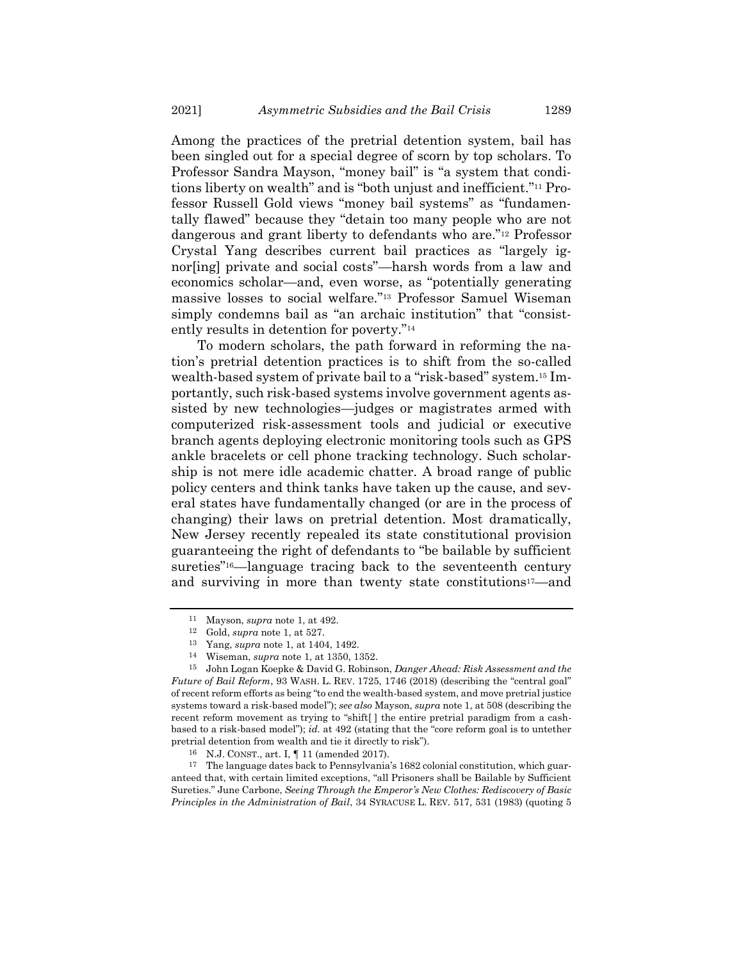Among the practices of the pretrial detention system, bail has been singled out for a special degree of scorn by top scholars. To Professor Sandra Mayson, "money bail" is "a system that conditions liberty on wealth" and is "both unjust and inefficient."<sup>11</sup> Professor Russell Gold views "money bail systems" as "fundamentally flawed" because they "detain too many people who are not dangerous and grant liberty to defendants who are."<sup>12</sup> Professor Crystal Yang describes current bail practices as "largely ignor[ing] private and social costs"—harsh words from a law and economics scholar—and, even worse, as "potentially generating massive losses to social welfare."<sup>13</sup> Professor Samuel Wiseman simply condemns bail as "an archaic institution" that "consistently results in detention for poverty."<sup>14</sup>

To modern scholars, the path forward in reforming the nation's pretrial detention practices is to shift from the so-called wealth-based system of private bail to a "risk-based" system.<sup>15</sup> Importantly, such risk-based systems involve government agents assisted by new technologies—judges or magistrates armed with computerized risk-assessment tools and judicial or executive branch agents deploying electronic monitoring tools such as GPS ankle bracelets or cell phone tracking technology. Such scholarship is not mere idle academic chatter. A broad range of public policy centers and think tanks have taken up the cause, and several states have fundamentally changed (or are in the process of changing) their laws on pretrial detention. Most dramatically, New Jersey recently repealed its state constitutional provision guaranteeing the right of defendants to "be bailable by sufficient sureties"<sup>16</sup>—language tracing back to the seventeenth century and surviving in more than twenty state constitutions17—and

<sup>11</sup> Mayson, *supra* note [1,](#page-1-0) at 492.

<sup>12</sup> Gold, *supra* not[e 1,](#page-1-0) at 527.

<sup>13</sup> Yang, *supra* not[e 1,](#page-1-0) at 1404, 1492.

<sup>14</sup> Wiseman, *supra* not[e 1,](#page-1-0) at 1350, 1352.

<sup>15</sup> John Logan Koepke & David G. Robinson, *Danger Ahead: Risk Assessment and the Future of Bail Reform*, 93 WASH. L. REV. 1725, 1746 (2018) (describing the "central goal" of recent reform efforts as being "to end the wealth-based system, and move pretrial justice systems toward a risk-based model"); *see also* Mayson, *supra* note [1,](#page-1-0) at 508 (describing the recent reform movement as trying to "shift[ ] the entire pretrial paradigm from a cashbased to a risk-based model"); *id.* at 492 (stating that the "core reform goal is to untether pretrial detention from wealth and tie it directly to risk").

<sup>16</sup> N.J. CONST., art. I, ¶ 11 (amended 2017).

<sup>17</sup> The language dates back to Pennsylvania's 1682 colonial constitution, which guaranteed that, with certain limited exceptions, "all Prisoners shall be Bailable by Sufficient Sureties." June Carbone, *Seeing Through the Emperor's New Clothes: Rediscovery of Basic Principles in the Administration of Bail*, 34 SYRACUSE L. REV. 517, 531 (1983) (quoting 5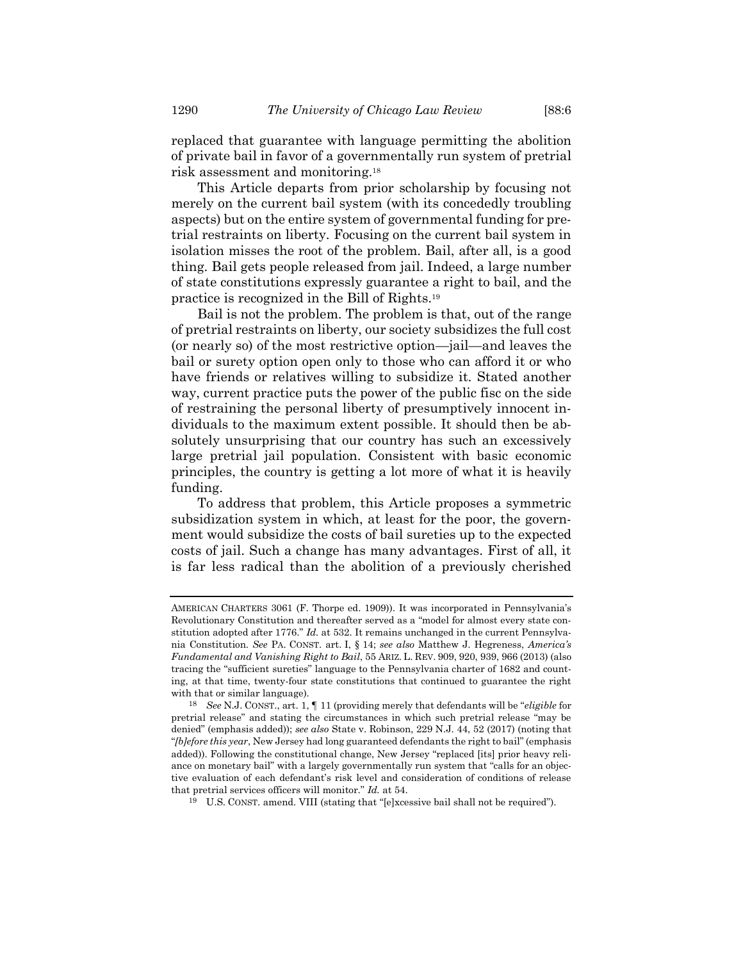replaced that guarantee with language permitting the abolition of private bail in favor of a governmentally run system of pretrial risk assessment and monitoring.<sup>18</sup>

This Article departs from prior scholarship by focusing not merely on the current bail system (with its concededly troubling aspects) but on the entire system of governmental funding for pretrial restraints on liberty. Focusing on the current bail system in isolation misses the root of the problem. Bail, after all, is a good thing. Bail gets people released from jail. Indeed, a large number of state constitutions expressly guarantee a right to bail, and the practice is recognized in the Bill of Rights.<sup>19</sup>

Bail is not the problem. The problem is that, out of the range of pretrial restraints on liberty, our society subsidizes the full cost (or nearly so) of the most restrictive option—jail—and leaves the bail or surety option open only to those who can afford it or who have friends or relatives willing to subsidize it. Stated another way, current practice puts the power of the public fisc on the side of restraining the personal liberty of presumptively innocent individuals to the maximum extent possible. It should then be absolutely unsurprising that our country has such an excessively large pretrial jail population. Consistent with basic economic principles, the country is getting a lot more of what it is heavily funding.

To address that problem, this Article proposes a symmetric subsidization system in which, at least for the poor, the government would subsidize the costs of bail sureties up to the expected costs of jail. Such a change has many advantages. First of all, it is far less radical than the abolition of a previously cherished

AMERICAN CHARTERS 3061 (F. Thorpe ed. 1909)). It was incorporated in Pennsylvania's Revolutionary Constitution and thereafter served as a "model for almost every state constitution adopted after 1776." *Id.* at 532. It remains unchanged in the current Pennsylvania Constitution. *See* PA. CONST. art. I, § 14; *see also* Matthew J. Hegreness, *America's Fundamental and Vanishing Right to Bail*, 55 ARIZ. L. REV. 909, 920, 939, 966 (2013) (also tracing the "sufficient sureties" language to the Pennsylvania charter of 1682 and counting, at that time, twenty-four state constitutions that continued to guarantee the right with that or similar language).

<sup>18</sup> *See* N.J. CONST., art. 1, ¶ 11 (providing merely that defendants will be "*eligible* for pretrial release" and stating the circumstances in which such pretrial release "may be denied" (emphasis added)); *see also* State v. Robinson, 229 N.J. 44, 52 (2017) (noting that "*[b]efore this year*, New Jersey had long guaranteed defendants the right to bail" (emphasis added)). Following the constitutional change, New Jersey "replaced [its] prior heavy reliance on monetary bail" with a largely governmentally run system that "calls for an objective evaluation of each defendant's risk level and consideration of conditions of release that pretrial services officers will monitor." *Id.* at 54.

<sup>19</sup> U.S. CONST. amend. VIII (stating that "[e]xcessive bail shall not be required").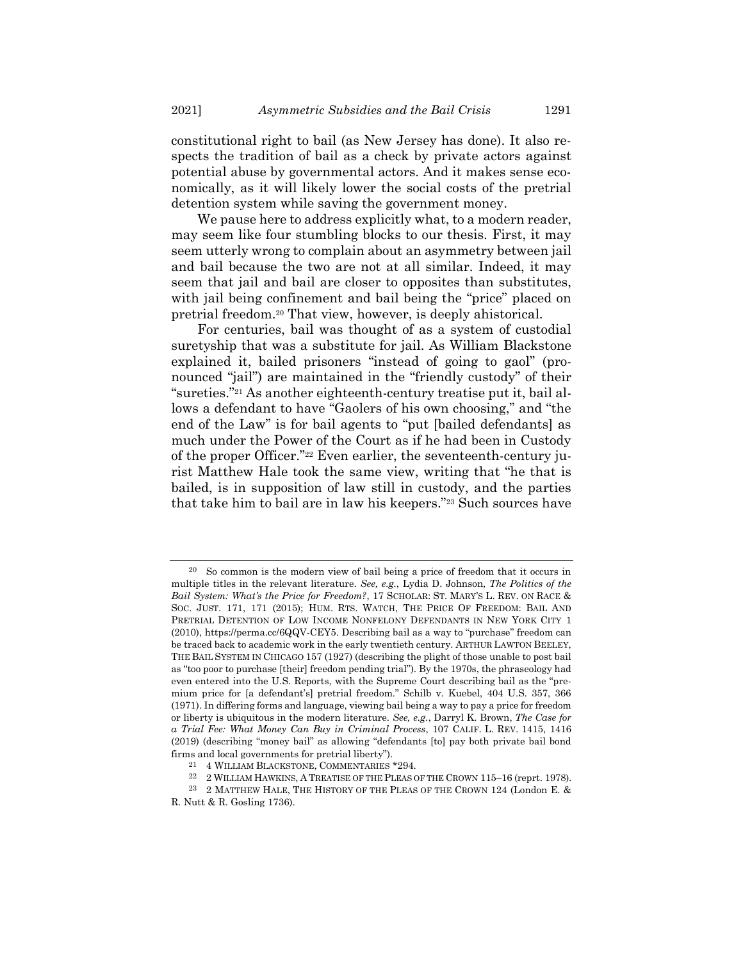constitutional right to bail (as New Jersey has done). It also respects the tradition of bail as a check by private actors against potential abuse by governmental actors. And it makes sense economically, as it will likely lower the social costs of the pretrial detention system while saving the government money.

We pause here to address explicitly what, to a modern reader, may seem like four stumbling blocks to our thesis. First, it may seem utterly wrong to complain about an asymmetry between jail and bail because the two are not at all similar. Indeed, it may seem that jail and bail are closer to opposites than substitutes, with jail being confinement and bail being the "price" placed on pretrial freedom.<sup>20</sup> That view, however, is deeply ahistorical.

<span id="page-6-3"></span><span id="page-6-0"></span>For centuries, bail was thought of as a system of custodial suretyship that was a substitute for jail. As William Blackstone explained it, bailed prisoners "instead of going to gaol" (pronounced "jail") are maintained in the "friendly custody" of their "sureties."<sup>21</sup> As another eighteenth-century treatise put it, bail allows a defendant to have "Gaolers of his own choosing," and "the end of the Law" is for bail agents to "put [bailed defendants] as much under the Power of the Court as if he had been in Custody of the proper Officer."<sup>22</sup> Even earlier, the seventeenth-century jurist Matthew Hale took the same view, writing that "he that is bailed, is in supposition of law still in custody, and the parties that take him to bail are in law his keepers."<sup>23</sup> Such sources have

<span id="page-6-2"></span><span id="page-6-1"></span><sup>20</sup> So common is the modern view of bail being a price of freedom that it occurs in multiple titles in the relevant literature. *See, e.g.*, Lydia D. Johnson, *The Politics of the Bail System: What's the Price for Freedom?*, 17 SCHOLAR: ST. MARY'S L. REV. ON RACE & SOC. JUST. 171, 171 (2015); HUM. RTS. WATCH, THE PRICE OF FREEDOM: BAIL AND PRETRIAL DETENTION OF LOW INCOME NONFELONY DEFENDANTS IN NEW YORK CITY 1 (2010), https://perma.cc/6QQV-CEY5. Describing bail as a way to "purchase" freedom can be traced back to academic work in the early twentieth century. ARTHUR LAWTON BEELEY, THE BAIL SYSTEM IN CHICAGO 157 (1927) (describing the plight of those unable to post bail as "too poor to purchase [their] freedom pending trial"). By the 1970s, the phraseology had even entered into the U.S. Reports, with the Supreme Court describing bail as the "premium price for [a defendant's] pretrial freedom." Schilb v. Kuebel, 404 U.S. 357, 366 (1971). In differing forms and language, viewing bail being a way to pay a price for freedom or liberty is ubiquitous in the modern literature. *See, e.g.*, Darryl K. Brown, *The Case for a Trial Fee: What Money Can Buy in Criminal Process*, 107 CALIF. L. REV. 1415, 1416 (2019) (describing "money bail" as allowing "defendants [to] pay both private bail bond firms and local governments for pretrial liberty").

<sup>21</sup> 4 WILLIAM BLACKSTONE, COMMENTARIES \*294.

<sup>22</sup> 2 WILLIAM HAWKINS, A TREATISE OF THE PLEAS OF THE CROWN 115–16 (reprt. 1978).

<sup>23</sup> 2 MATTHEW HALE, THE HISTORY OF THE PLEAS OF THE CROWN 124 (London E. & R. Nutt & R. Gosling 1736).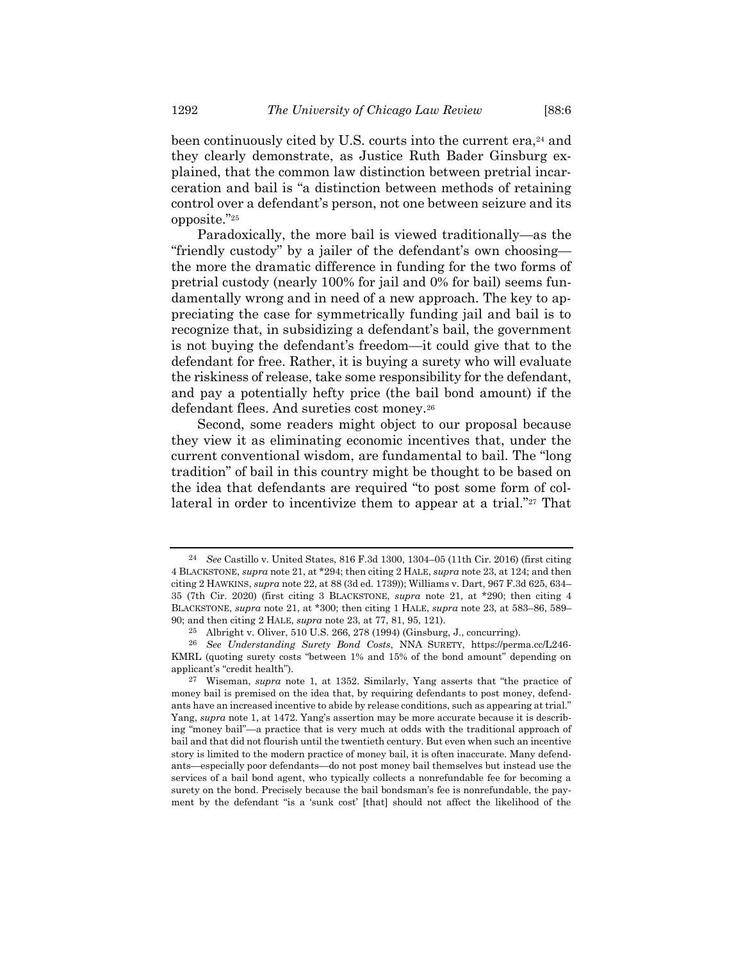been continuously cited by U.S. courts into the current era,<sup>24</sup> and they clearly demonstrate, as Justice Ruth Bader Ginsburg explained, that the common law distinction between pretrial incarceration and bail is "a distinction between methods of retaining control over a defendant's person, not one between seizure and its opposite."<sup>25</sup>

Paradoxically, the more bail is viewed traditionally—as the "friendly custody" by a jailer of the defendant's own choosing the more the dramatic difference in funding for the two forms of pretrial custody (nearly 100% for jail and 0% for bail) seems fundamentally wrong and in need of a new approach. The key to appreciating the case for symmetrically funding jail and bail is to recognize that, in subsidizing a defendant's bail, the government is not buying the defendant's freedom—it could give that to the defendant for free. Rather, it is buying a surety who will evaluate the riskiness of release, take some responsibility for the defendant, and pay a potentially hefty price (the bail bond amount) if the defendant flees. And sureties cost money.<sup>26</sup>

Second, some readers might object to our proposal because they view it as eliminating economic incentives that, under the current conventional wisdom, are fundamental to bail. The "long tradition" of bail in this country might be thought to be based on the idea that defendants are required "to post some form of collateral in order to incentivize them to appear at a trial."<sup>27</sup> That

<sup>24</sup> *See* Castillo v. United States, 816 F.3d 1300, 1304–05 (11th Cir. 2016) (first citing 4 BLACKSTONE, *supra* not[e 21,](#page-6-0) at \*294; then citing 2 HALE, *supra* not[e 23,](#page-6-1) at 124; and then citing 2 HAWKINS, *supra* not[e 22,](#page-6-2) at 88 (3d ed. 1739)); Williams v. Dart, 967 F.3d 625, 634– 35 (7th Cir. 2020) (first citing 3 BLACKSTONE, *supra* note [21,](#page-6-0) at \*290; then citing 4 BLACKSTONE, *supra* note [21,](#page-6-0) at \*300; then citing 1 HALE, *supra* not[e 23,](#page-6-1) at 583–86, 589– 90; and then citing 2 HALE, *supra* note [23,](#page-6-1) at 77, 81, 95, 121).

<sup>25</sup> Albright v. Oliver, 510 U.S. 266, 278 (1994) (Ginsburg, J., concurring).

<sup>26</sup> *See Understanding Surety Bond Costs*, NNA SURETY, https://perma.cc/L246- KMRL (quoting surety costs "between 1% and 15% of the bond amount" depending on applicant's "credit health").

<sup>27</sup> Wiseman, *supra* note [1](#page-1-0), at 1352. Similarly, Yang asserts that "the practice of money bail is premised on the idea that, by requiring defendants to post money, defendants have an increased incentive to abide by release conditions, such as appearing at trial." Yang, *supra* not[e 1](#page-1-0), at 1472. Yang's assertion may be more accurate because it is describing "money bail"—a practice that is very much at odds with the traditional approach of bail and that did not flourish until the twentieth century. But even when such an incentive story is limited to the modern practice of money bail, it is often inaccurate. Many defendants—especially poor defendants—do not post money bail themselves but instead use the services of a bail bond agent, who typically collects a nonrefundable fee for becoming a surety on the bond. Precisely because the bail bondsman's fee is nonrefundable, the payment by the defendant "is a 'sunk cost' [that] should not affect the likelihood of the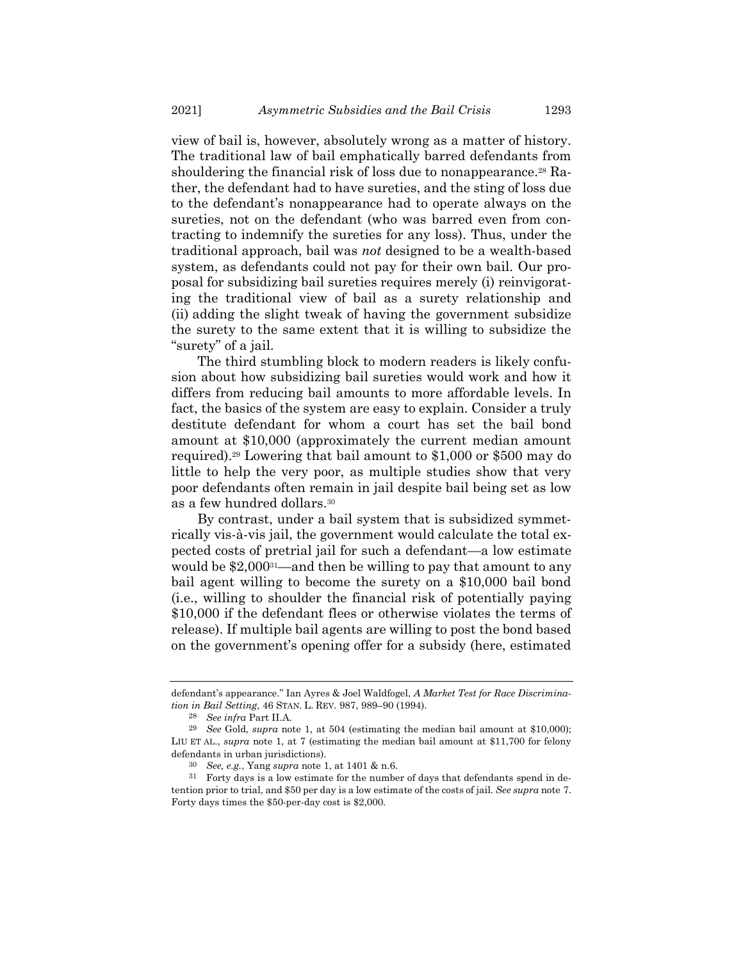view of bail is, however, absolutely wrong as a matter of history. The traditional law of bail emphatically barred defendants from shouldering the financial risk of loss due to nonappearance.<sup>28</sup> Rather, the defendant had to have sureties, and the sting of loss due to the defendant's nonappearance had to operate always on the sureties, not on the defendant (who was barred even from contracting to indemnify the sureties for any loss). Thus, under the traditional approach, bail was *not* designed to be a wealth-based system, as defendants could not pay for their own bail. Our proposal for subsidizing bail sureties requires merely (i) reinvigorating the traditional view of bail as a surety relationship and (ii) adding the slight tweak of having the government subsidize the surety to the same extent that it is willing to subsidize the "surety" of a jail.

The third stumbling block to modern readers is likely confusion about how subsidizing bail sureties would work and how it differs from reducing bail amounts to more affordable levels. In fact, the basics of the system are easy to explain. Consider a truly destitute defendant for whom a court has set the bail bond amount at \$10,000 (approximately the current median amount required).<sup>29</sup> Lowering that bail amount to \$1,000 or \$500 may do little to help the very poor, as multiple studies show that very poor defendants often remain in jail despite bail being set as low as a few hundred dollars.<sup>30</sup>

By contrast, under a bail system that is subsidized symmetrically vis-à-vis jail, the government would calculate the total expected costs of pretrial jail for such a defendant—a low estimate would be \$2,00031—and then be willing to pay that amount to any bail agent willing to become the surety on a \$10,000 bail bond (i.e., willing to shoulder the financial risk of potentially paying \$10,000 if the defendant flees or otherwise violates the terms of release). If multiple bail agents are willing to post the bond based on the government's opening offer for a subsidy (here, estimated

defendant's appearance." Ian Ayres & Joel Waldfogel, *A Market Test for Race Discrimination in Bail Setting*, 46 STAN. L. REV. 987, 989–90 (1994).

<sup>28</sup> *See infra* Part II.A.

<sup>29</sup> *See* Gold, *supra* note [1,](#page-1-0) at 504 (estimating the median bail amount at \$10,000); LIU ET AL., *supra* note [1,](#page-1-0) at 7 (estimating the median bail amount at \$11,700 for felony defendants in urban jurisdictions).

<sup>30</sup> *See, e.g.*, Yang *supra* not[e 1,](#page-1-0) at 1401 & n.6.

<sup>31</sup> Forty days is a low estimate for the number of days that defendants spend in detention prior to trial, and \$50 per day is a low estimate of the costs of jail. *See supra* note [7.](#page-3-0)  Forty days times the \$50-per-day cost is \$2,000.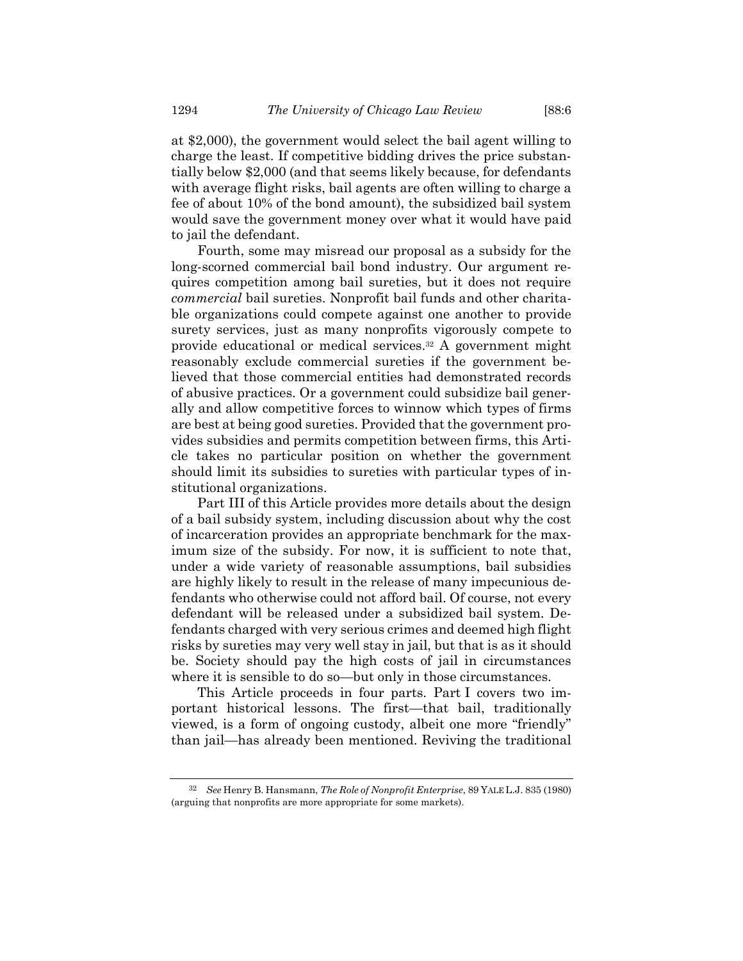at \$2,000), the government would select the bail agent willing to charge the least. If competitive bidding drives the price substantially below \$2,000 (and that seems likely because, for defendants with average flight risks, bail agents are often willing to charge a fee of about 10% of the bond amount), the subsidized bail system would save the government money over what it would have paid to jail the defendant.

Fourth, some may misread our proposal as a subsidy for the long-scorned commercial bail bond industry. Our argument requires competition among bail sureties, but it does not require *commercial* bail sureties. Nonprofit bail funds and other charitable organizations could compete against one another to provide surety services, just as many nonprofits vigorously compete to provide educational or medical services.<sup>32</sup> A government might reasonably exclude commercial sureties if the government believed that those commercial entities had demonstrated records of abusive practices. Or a government could subsidize bail generally and allow competitive forces to winnow which types of firms are best at being good sureties. Provided that the government provides subsidies and permits competition between firms, this Article takes no particular position on whether the government should limit its subsidies to sureties with particular types of institutional organizations.

Part III of this Article provides more details about the design of a bail subsidy system, including discussion about why the cost of incarceration provides an appropriate benchmark for the maximum size of the subsidy. For now, it is sufficient to note that, under a wide variety of reasonable assumptions, bail subsidies are highly likely to result in the release of many impecunious defendants who otherwise could not afford bail. Of course, not every defendant will be released under a subsidized bail system. Defendants charged with very serious crimes and deemed high flight risks by sureties may very well stay in jail, but that is as it should be. Society should pay the high costs of jail in circumstances where it is sensible to do so—but only in those circumstances.

This Article proceeds in four parts. Part I covers two important historical lessons. The first—that bail, traditionally viewed, is a form of ongoing custody, albeit one more "friendly" than jail—has already been mentioned. Reviving the traditional

<sup>32</sup> *See* Henry B. Hansmann, *The Role of Nonprofit Enterprise*, 89 YALE L.J. 835 (1980) (arguing that nonprofits are more appropriate for some markets).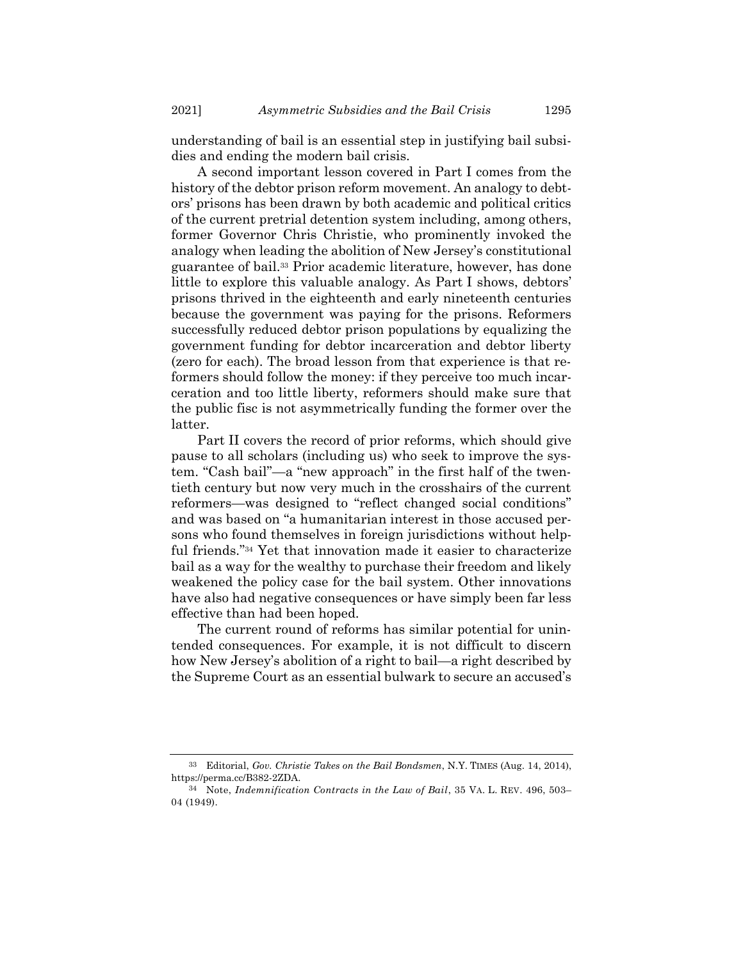understanding of bail is an essential step in justifying bail subsidies and ending the modern bail crisis.

A second important lesson covered in Part I comes from the history of the debtor prison reform movement. An analogy to debtors' prisons has been drawn by both academic and political critics of the current pretrial detention system including, among others, former Governor Chris Christie, who prominently invoked the analogy when leading the abolition of New Jersey's constitutional guarantee of bail.<sup>33</sup> Prior academic literature, however, has done little to explore this valuable analogy. As Part I shows, debtors' prisons thrived in the eighteenth and early nineteenth centuries because the government was paying for the prisons. Reformers successfully reduced debtor prison populations by equalizing the government funding for debtor incarceration and debtor liberty (zero for each). The broad lesson from that experience is that reformers should follow the money: if they perceive too much incarceration and too little liberty, reformers should make sure that the public fisc is not asymmetrically funding the former over the latter.

Part II covers the record of prior reforms, which should give pause to all scholars (including us) who seek to improve the system. "Cash bail"—a "new approach" in the first half of the twentieth century but now very much in the crosshairs of the current reformers—was designed to "reflect changed social conditions" and was based on "a humanitarian interest in those accused persons who found themselves in foreign jurisdictions without helpful friends."<sup>34</sup> Yet that innovation made it easier to characterize bail as a way for the wealthy to purchase their freedom and likely weakened the policy case for the bail system. Other innovations have also had negative consequences or have simply been far less effective than had been hoped.

The current round of reforms has similar potential for unintended consequences. For example, it is not difficult to discern how New Jersey's abolition of a right to bail—a right described by the Supreme Court as an essential bulwark to secure an accused's

<sup>33</sup> Editorial, *Gov. Christie Takes on the Bail Bondsmen*, N.Y. TIMES (Aug. 14, 2014), https://perma.cc/B382-2ZDA.

<sup>34</sup> Note, *Indemnification Contracts in the Law of Bail*, 35 VA. L. REV. 496, 503– 04 (1949).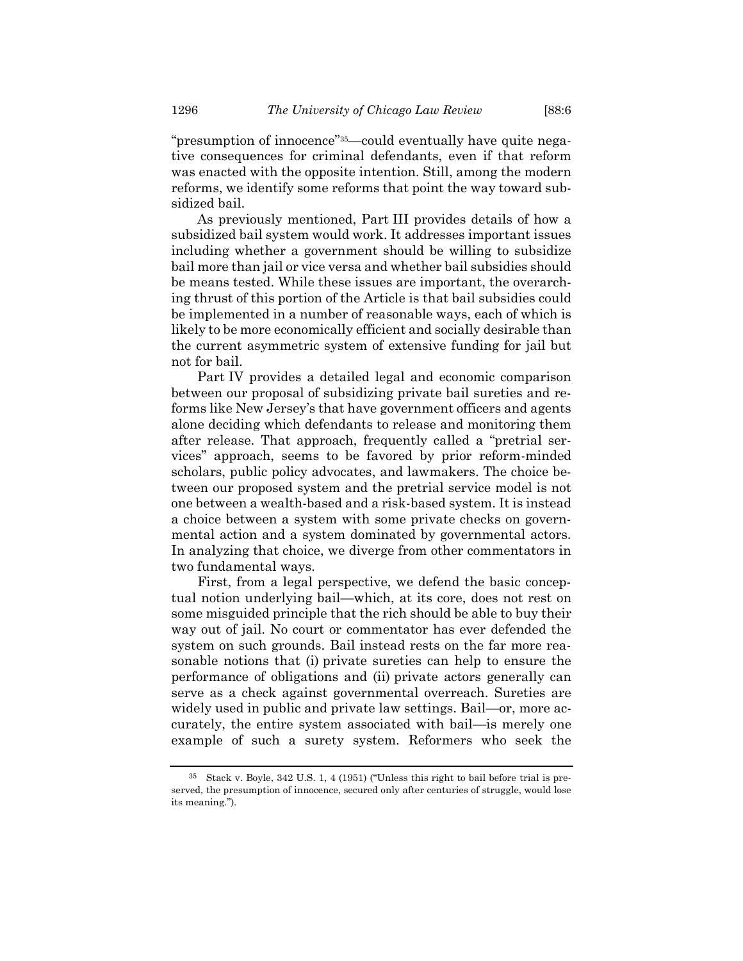"presumption of innocence"35—could eventually have quite negative consequences for criminal defendants, even if that reform was enacted with the opposite intention. Still, among the modern reforms, we identify some reforms that point the way toward subsidized bail.

As previously mentioned, Part III provides details of how a subsidized bail system would work. It addresses important issues including whether a government should be willing to subsidize bail more than jail or vice versa and whether bail subsidies should be means tested. While these issues are important, the overarching thrust of this portion of the Article is that bail subsidies could be implemented in a number of reasonable ways, each of which is likely to be more economically efficient and socially desirable than the current asymmetric system of extensive funding for jail but not for bail.

Part IV provides a detailed legal and economic comparison between our proposal of subsidizing private bail sureties and reforms like New Jersey's that have government officers and agents alone deciding which defendants to release and monitoring them after release. That approach, frequently called a "pretrial services" approach, seems to be favored by prior reform-minded scholars, public policy advocates, and lawmakers. The choice between our proposed system and the pretrial service model is not one between a wealth-based and a risk-based system. It is instead a choice between a system with some private checks on governmental action and a system dominated by governmental actors. In analyzing that choice, we diverge from other commentators in two fundamental ways.

First, from a legal perspective, we defend the basic conceptual notion underlying bail—which, at its core, does not rest on some misguided principle that the rich should be able to buy their way out of jail. No court or commentator has ever defended the system on such grounds. Bail instead rests on the far more reasonable notions that (i) private sureties can help to ensure the performance of obligations and (ii) private actors generally can serve as a check against governmental overreach. Sureties are widely used in public and private law settings. Bail—or, more accurately, the entire system associated with bail—is merely one example of such a surety system. Reformers who seek the

<sup>35</sup> Stack v. Boyle, 342 U.S. 1, 4 (1951) ("Unless this right to bail before trial is preserved, the presumption of innocence, secured only after centuries of struggle, would lose its meaning.").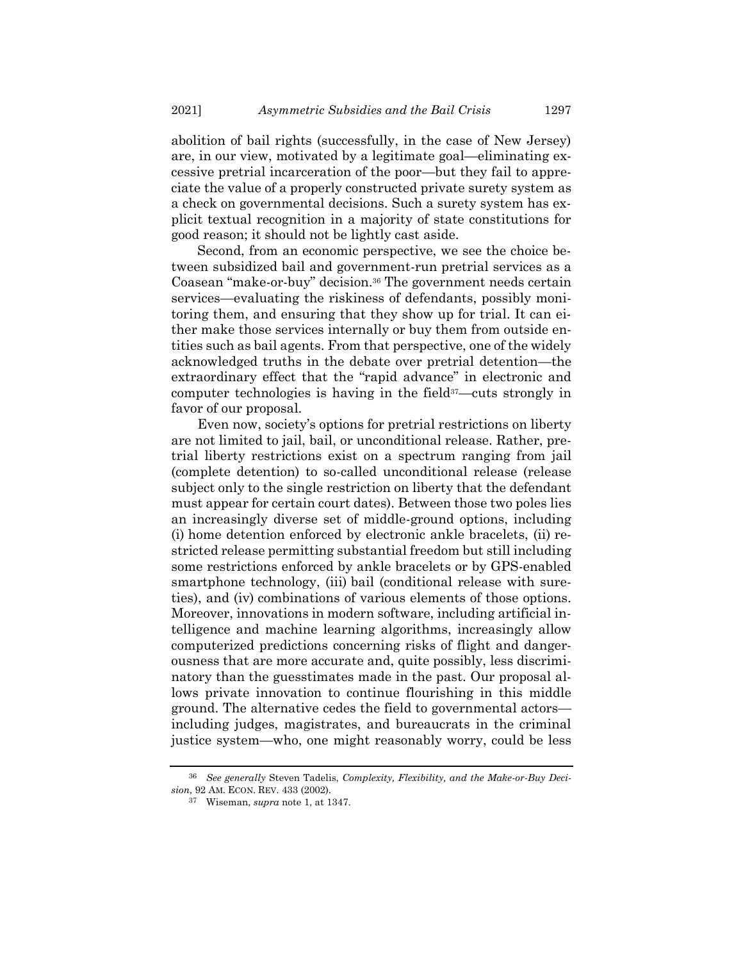abolition of bail rights (successfully, in the case of New Jersey) are, in our view, motivated by a legitimate goal—eliminating excessive pretrial incarceration of the poor—but they fail to appreciate the value of a properly constructed private surety system as a check on governmental decisions. Such a surety system has explicit textual recognition in a majority of state constitutions for good reason; it should not be lightly cast aside.

Second, from an economic perspective, we see the choice between subsidized bail and government-run pretrial services as a Coasean "make-or-buy" decision.<sup>36</sup> The government needs certain services—evaluating the riskiness of defendants, possibly monitoring them, and ensuring that they show up for trial. It can either make those services internally or buy them from outside entities such as bail agents. From that perspective, one of the widely acknowledged truths in the debate over pretrial detention—the extraordinary effect that the "rapid advance" in electronic and computer technologies is having in the field<sup>37</sup>—cuts strongly in favor of our proposal.

Even now, society's options for pretrial restrictions on liberty are not limited to jail, bail, or unconditional release. Rather, pretrial liberty restrictions exist on a spectrum ranging from jail (complete detention) to so-called unconditional release (release subject only to the single restriction on liberty that the defendant must appear for certain court dates). Between those two poles lies an increasingly diverse set of middle-ground options, including (i) home detention enforced by electronic ankle bracelets, (ii) restricted release permitting substantial freedom but still including some restrictions enforced by ankle bracelets or by GPS-enabled smartphone technology, (iii) bail (conditional release with sureties), and (iv) combinations of various elements of those options. Moreover, innovations in modern software, including artificial intelligence and machine learning algorithms, increasingly allow computerized predictions concerning risks of flight and dangerousness that are more accurate and, quite possibly, less discriminatory than the guesstimates made in the past. Our proposal allows private innovation to continue flourishing in this middle ground. The alternative cedes the field to governmental actors including judges, magistrates, and bureaucrats in the criminal justice system—who, one might reasonably worry, could be less

<sup>36</sup> *See generally* Steven Tadelis, *Complexity, Flexibility, and the Make-or-Buy Decision*, 92 AM. ECON. REV. 433 (2002).

<sup>37</sup> Wiseman, *supra* not[e 1,](#page-1-0) at 1347.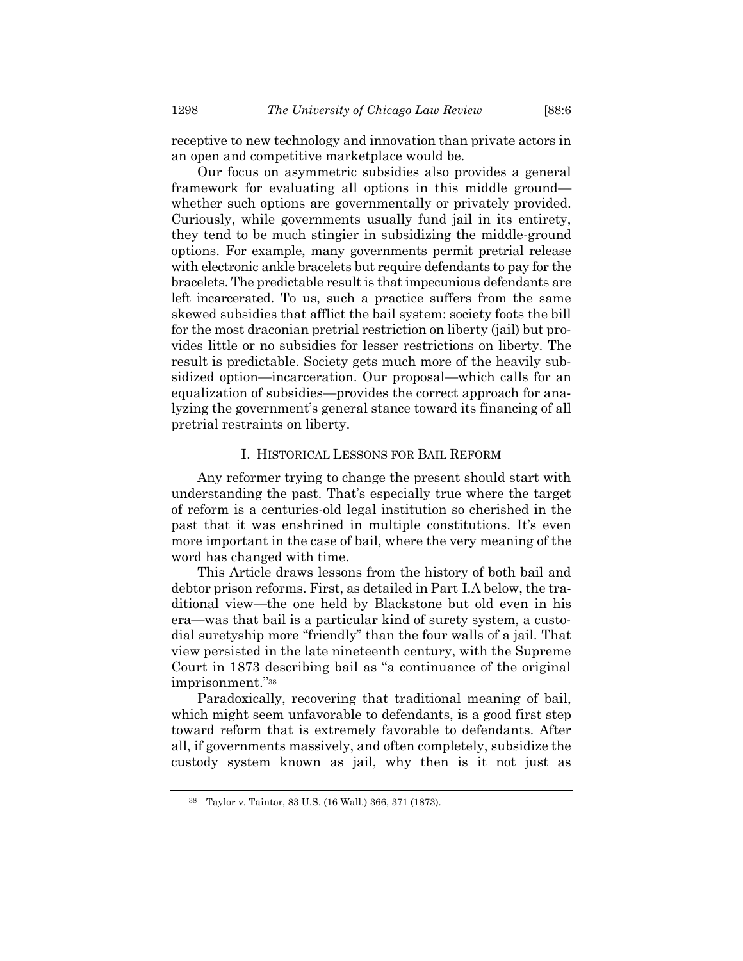receptive to new technology and innovation than private actors in an open and competitive marketplace would be.

Our focus on asymmetric subsidies also provides a general framework for evaluating all options in this middle ground whether such options are governmentally or privately provided. Curiously, while governments usually fund jail in its entirety, they tend to be much stingier in subsidizing the middle-ground options. For example, many governments permit pretrial release with electronic ankle bracelets but require defendants to pay for the bracelets. The predictable result is that impecunious defendants are left incarcerated. To us, such a practice suffers from the same skewed subsidies that afflict the bail system: society foots the bill for the most draconian pretrial restriction on liberty (jail) but provides little or no subsidies for lesser restrictions on liberty. The result is predictable. Society gets much more of the heavily subsidized option—incarceration. Our proposal—which calls for an equalization of subsidies—provides the correct approach for analyzing the government's general stance toward its financing of all pretrial restraints on liberty.

## I. HISTORICAL LESSONS FOR BAIL REFORM

Any reformer trying to change the present should start with understanding the past. That's especially true where the target of reform is a centuries-old legal institution so cherished in the past that it was enshrined in multiple constitutions. It's even more important in the case of bail, where the very meaning of the word has changed with time.

This Article draws lessons from the history of both bail and debtor prison reforms. First, as detailed in Part I.A below, the traditional view—the one held by Blackstone but old even in his era—was that bail is a particular kind of surety system, a custodial suretyship more "friendly" than the four walls of a jail. That view persisted in the late nineteenth century, with the Supreme Court in 1873 describing bail as "a continuance of the original imprisonment."<sup>38</sup>

Paradoxically, recovering that traditional meaning of bail, which might seem unfavorable to defendants, is a good first step toward reform that is extremely favorable to defendants. After all, if governments massively, and often completely, subsidize the custody system known as jail, why then is it not just as

<sup>38</sup> Taylor v. Taintor, 83 U.S. (16 Wall.) 366, 371 (1873).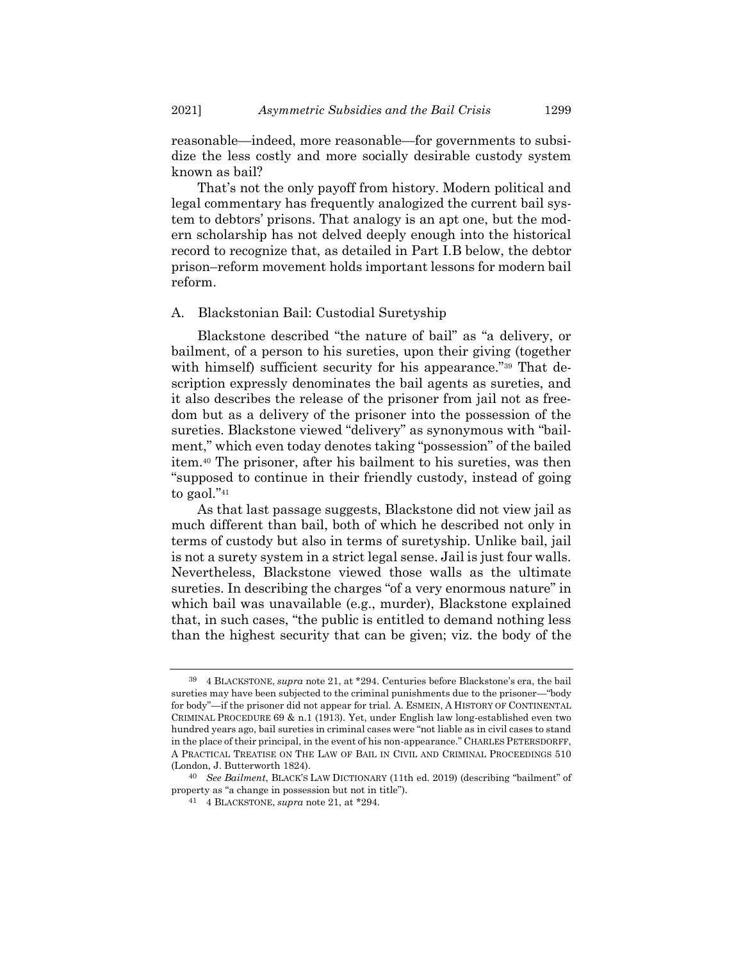reasonable—indeed, more reasonable—for governments to subsidize the less costly and more socially desirable custody system known as bail?

That's not the only payoff from history. Modern political and legal commentary has frequently analogized the current bail system to debtors' prisons. That analogy is an apt one, but the modern scholarship has not delved deeply enough into the historical record to recognize that, as detailed in Part I.B below, the debtor prison–reform movement holds important lessons for modern bail reform.

## A. Blackstonian Bail: Custodial Suretyship

<span id="page-14-0"></span>Blackstone described "the nature of bail" as "a delivery, or bailment, of a person to his sureties, upon their giving (together with himself) sufficient security for his appearance."<sup>39</sup> That description expressly denominates the bail agents as sureties, and it also describes the release of the prisoner from jail not as freedom but as a delivery of the prisoner into the possession of the sureties. Blackstone viewed "delivery" as synonymous with "bailment," which even today denotes taking "possession" of the bailed item.<sup>40</sup> The prisoner, after his bailment to his sureties, was then "supposed to continue in their friendly custody, instead of going to gaol."<sup>41</sup>

As that last passage suggests, Blackstone did not view jail as much different than bail, both of which he described not only in terms of custody but also in terms of suretyship. Unlike bail, jail is not a surety system in a strict legal sense. Jail is just four walls. Nevertheless, Blackstone viewed those walls as the ultimate sureties. In describing the charges "of a very enormous nature" in which bail was unavailable (e.g., murder), Blackstone explained that, in such cases, "the public is entitled to demand nothing less than the highest security that can be given; viz. the body of the

<sup>39</sup> 4 BLACKSTONE, *supra* note [21,](#page-6-0) at \*294. Centuries before Blackstone's era, the bail sureties may have been subjected to the criminal punishments due to the prisoner—"body for body"—if the prisoner did not appear for trial. A. ESMEIN, A HISTORY OF CONTINENTAL CRIMINAL PROCEDURE 69 & n.1 (1913). Yet, under English law long-established even two hundred years ago, bail sureties in criminal cases were "not liable as in civil cases to stand in the place of their principal, in the event of his non-appearance." CHARLES PETERSDORFF, A PRACTICAL TREATISE ON THE LAW OF BAIL IN CIVIL AND CRIMINAL PROCEEDINGS 510 (London, J. Butterworth 1824).

<sup>40</sup> *See Bailment*, BLACK'S LAW DICTIONARY (11th ed. 2019) (describing "bailment" of property as "a change in possession but not in title").

<sup>41</sup> 4 BLACKSTONE, *supra* not[e 21,](#page-6-0) at \*294.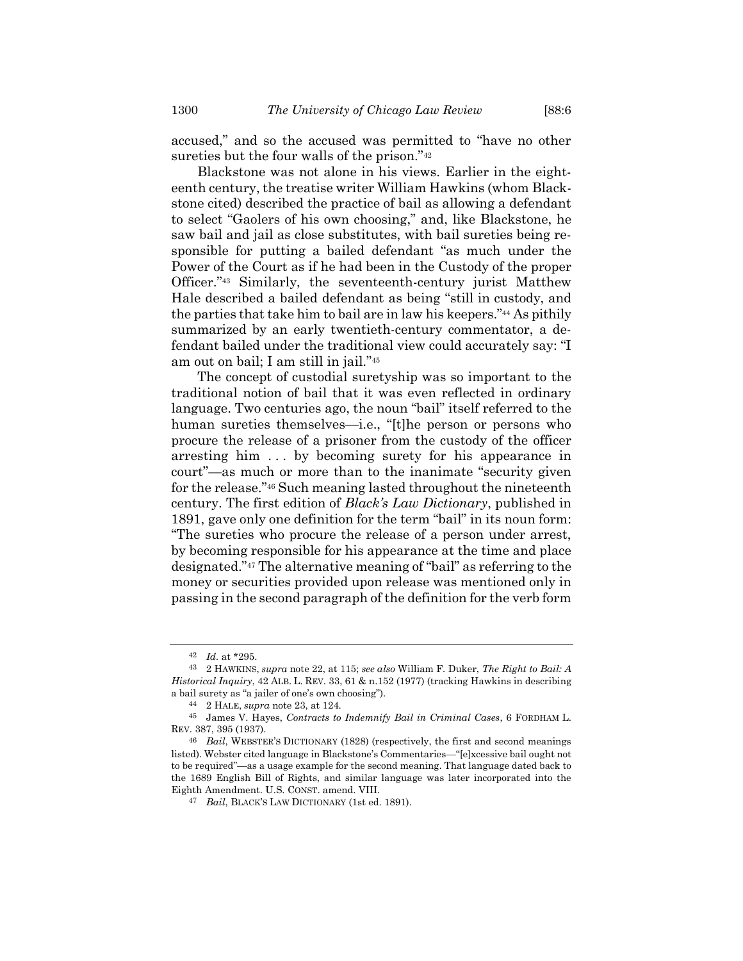accused," and so the accused was permitted to "have no other sureties but the four walls of the prison."<sup>42</sup>

Blackstone was not alone in his views. Earlier in the eighteenth century, the treatise writer William Hawkins (whom Blackstone cited) described the practice of bail as allowing a defendant to select "Gaolers of his own choosing," and, like Blackstone, he saw bail and jail as close substitutes, with bail sureties being responsible for putting a bailed defendant "as much under the Power of the Court as if he had been in the Custody of the proper Officer."<sup>43</sup> Similarly, the seventeenth-century jurist Matthew Hale described a bailed defendant as being "still in custody, and the parties that take him to bail are in law his keepers."<sup>44</sup> As pithily summarized by an early twentieth-century commentator, a defendant bailed under the traditional view could accurately say: "I am out on bail; I am still in jail."<sup>45</sup>

<span id="page-15-0"></span>The concept of custodial suretyship was so important to the traditional notion of bail that it was even reflected in ordinary language. Two centuries ago, the noun "bail" itself referred to the human sureties themselves—i.e., "[t]he person or persons who procure the release of a prisoner from the custody of the officer arresting him . . . by becoming surety for his appearance in court"—as much or more than to the inanimate "security given for the release."<sup>46</sup> Such meaning lasted throughout the nineteenth century. The first edition of *Black's Law Dictionary*, published in 1891, gave only one definition for the term "bail" in its noun form: "The sureties who procure the release of a person under arrest, by becoming responsible for his appearance at the time and place designated."<sup>47</sup> The alternative meaning of "bail" as referring to the money or securities provided upon release was mentioned only in passing in the second paragraph of the definition for the verb form

<sup>42</sup> *Id.* at \*295.

<sup>43</sup> 2 HAWKINS, *supra* note [22,](#page-6-2) at 115; *see also* William F. Duker, *The Right to Bail: A Historical Inquiry*, 42 ALB. L. REV. 33, 61 & n.152 (1977) (tracking Hawkins in describing a bail surety as "a jailer of one's own choosing").

<sup>44</sup> 2 HALE, *supra* not[e 23,](#page-6-1) at 124.

<sup>45</sup> James V. Hayes, *Contracts to Indemnify Bail in Criminal Cases*, 6 FORDHAM L. REV. 387, 395 (1937).

<sup>46</sup> *Bail*, WEBSTER'S DICTIONARY (1828) (respectively, the first and second meanings listed). Webster cited language in Blackstone's Commentaries—"[e]xcessive bail ought not to be required"—as a usage example for the second meaning. That language dated back to the 1689 English Bill of Rights, and similar language was later incorporated into the Eighth Amendment. U.S. CONST. amend. VIII.

<sup>47</sup> *Bail*, BLACK'S LAW DICTIONARY (1st ed. 1891).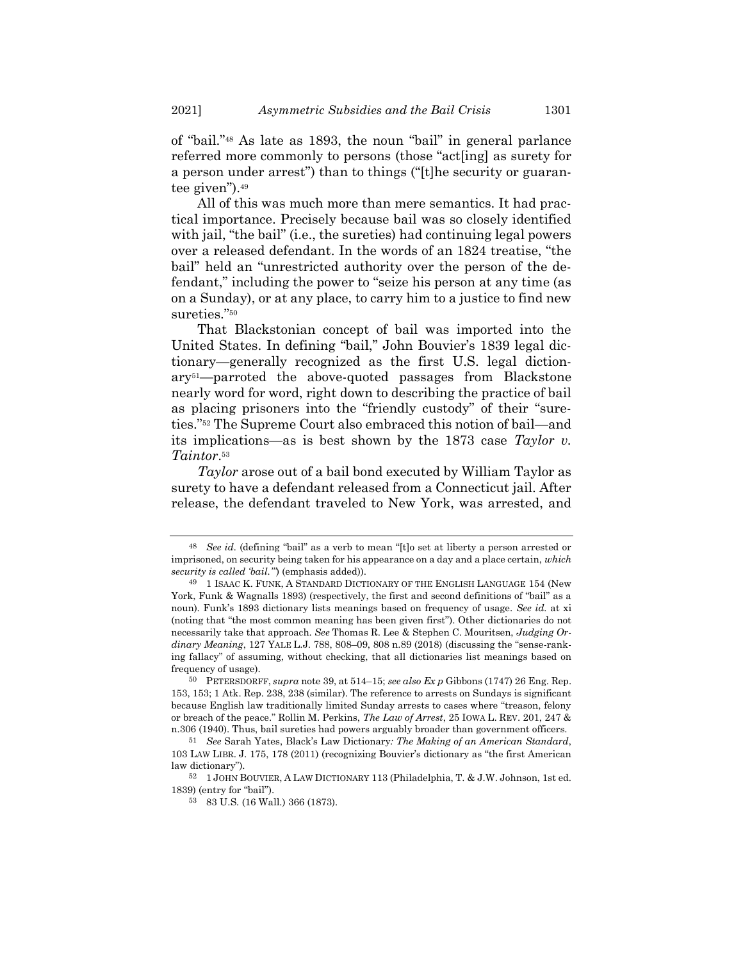of "bail."<sup>48</sup> As late as 1893, the noun "bail" in general parlance referred more commonly to persons (those "act[ing] as surety for a person under arrest") than to things ("[t]he security or guarantee given").<sup>49</sup>

All of this was much more than mere semantics. It had practical importance. Precisely because bail was so closely identified with jail, "the bail" (i.e., the sureties) had continuing legal powers over a released defendant. In the words of an 1824 treatise, "the bail" held an "unrestricted authority over the person of the defendant," including the power to "seize his person at any time (as on a Sunday), or at any place, to carry him to a justice to find new sureties."<sup>50</sup>

That Blackstonian concept of bail was imported into the United States. In defining "bail," John Bouvier's 1839 legal dictionary—generally recognized as the first U.S. legal dictionary51—parroted the above-quoted passages from Blackstone nearly word for word, right down to describing the practice of bail as placing prisoners into the "friendly custody" of their "sureties."<sup>52</sup> The Supreme Court also embraced this notion of bail—and its implications—as is best shown by the 1873 case *Taylor v. Taintor*. 53

*Taylor* arose out of a bail bond executed by William Taylor as surety to have a defendant released from a Connecticut jail. After release, the defendant traveled to New York, was arrested, and

<sup>48</sup> *See id.* (defining "bail" as a verb to mean "[t]o set at liberty a person arrested or imprisoned, on security being taken for his appearance on a day and a place certain, *which security is called 'bail.'"*) (emphasis added)).

<sup>49</sup> 1 ISAAC K. FUNK, A STANDARD DICTIONARY OF THE ENGLISH LANGUAGE 154 (New York, Funk & Wagnalls 1893) (respectively, the first and second definitions of "bail" as a noun). Funk's 1893 dictionary lists meanings based on frequency of usage. *See id.* at xi (noting that "the most common meaning has been given first"). Other dictionaries do not necessarily take that approach. *See* Thomas R. Lee & Stephen C. Mouritsen, *Judging Ordinary Meaning*, 127 YALE L.J. 788, 808–09, 808 n.89 (2018) (discussing the "sense-ranking fallacy" of assuming, without checking, that all dictionaries list meanings based on frequency of usage).

<sup>50</sup> PETERSDORFF, *supra* not[e 39,](#page-14-0) at 514–15; *see also Ex p* Gibbons (1747) 26 Eng. Rep. 153, 153; 1 Atk. Rep. 238, 238 (similar). The reference to arrests on Sundays is significant because English law traditionally limited Sunday arrests to cases where "treason, felony or breach of the peace." Rollin M. Perkins, *The Law of Arrest*, 25 IOWA L. REV. 201, 247 & n.306 (1940). Thus, bail sureties had powers arguably broader than government officers.

<sup>51</sup> *See* Sarah Yates, Black's Law Dictionary*: The Making of an American Standard*, 103 LAW LIBR. J. 175, 178 (2011) (recognizing Bouvier's dictionary as "the first American law dictionary").

<sup>52</sup> 1 JOHN BOUVIER, A LAW DICTIONARY 113 (Philadelphia, T. & J.W. Johnson, 1st ed. 1839) (entry for "bail").

<sup>53</sup> 83 U.S. (16 Wall.) 366 (1873).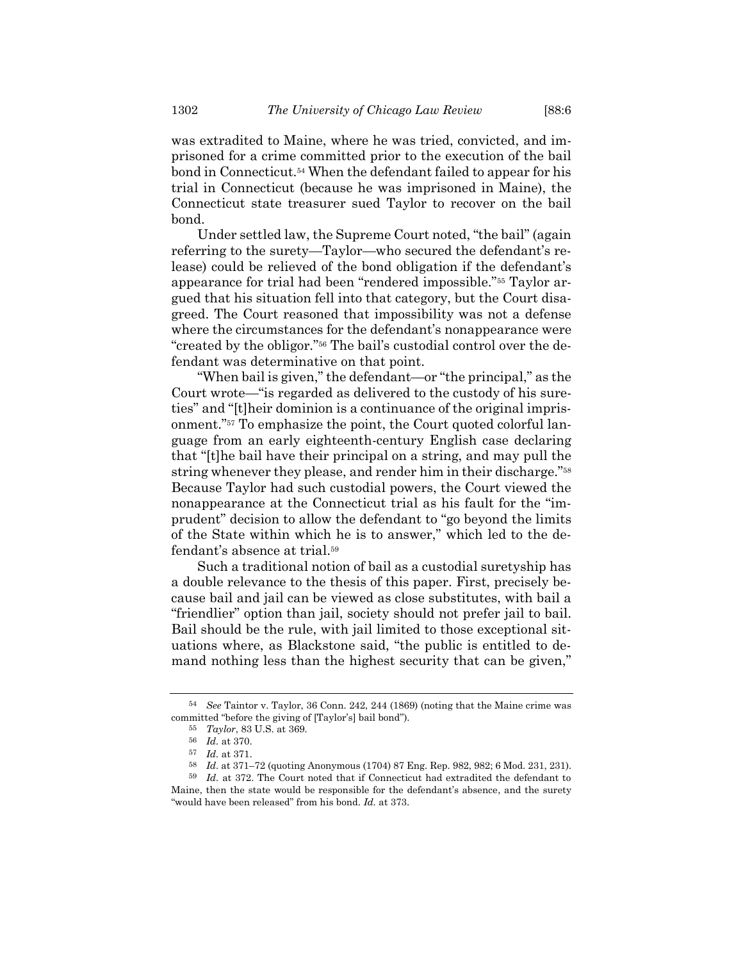was extradited to Maine, where he was tried, convicted, and imprisoned for a crime committed prior to the execution of the bail bond in Connecticut.<sup>54</sup> When the defendant failed to appear for his trial in Connecticut (because he was imprisoned in Maine), the Connecticut state treasurer sued Taylor to recover on the bail bond.

Under settled law, the Supreme Court noted, "the bail" (again referring to the surety—Taylor—who secured the defendant's release) could be relieved of the bond obligation if the defendant's appearance for trial had been "rendered impossible."<sup>55</sup> Taylor argued that his situation fell into that category, but the Court disagreed. The Court reasoned that impossibility was not a defense where the circumstances for the defendant's nonappearance were "created by the obligor."<sup>56</sup> The bail's custodial control over the defendant was determinative on that point.

"When bail is given," the defendant—or "the principal," as the Court wrote—"is regarded as delivered to the custody of his sureties" and "[t]heir dominion is a continuance of the original imprisonment."<sup>57</sup> To emphasize the point, the Court quoted colorful language from an early eighteenth-century English case declaring that "[t]he bail have their principal on a string, and may pull the string whenever they please, and render him in their discharge."<sup>58</sup> Because Taylor had such custodial powers, the Court viewed the nonappearance at the Connecticut trial as his fault for the "imprudent" decision to allow the defendant to "go beyond the limits of the State within which he is to answer," which led to the defendant's absence at trial.<sup>59</sup>

Such a traditional notion of bail as a custodial suretyship has a double relevance to the thesis of this paper. First, precisely because bail and jail can be viewed as close substitutes, with bail a "friendlier" option than jail, society should not prefer jail to bail. Bail should be the rule, with jail limited to those exceptional situations where, as Blackstone said, "the public is entitled to demand nothing less than the highest security that can be given,"

<sup>54</sup> *See* Taintor v. Taylor, 36 Conn. 242, 244 (1869) (noting that the Maine crime was committed "before the giving of [Taylor's] bail bond").

<sup>55</sup> *Taylor*, 83 U.S. at 369.

<sup>56</sup> *Id.* at 370.

<sup>57</sup> *Id.* at 371.

<sup>58</sup> *Id.* at 371–72 (quoting Anonymous (1704) 87 Eng. Rep. 982, 982; 6 Mod. 231, 231).

<sup>59</sup> *Id.* at 372. The Court noted that if Connecticut had extradited the defendant to Maine, then the state would be responsible for the defendant's absence, and the surety "would have been released" from his bond. *Id.* at 373.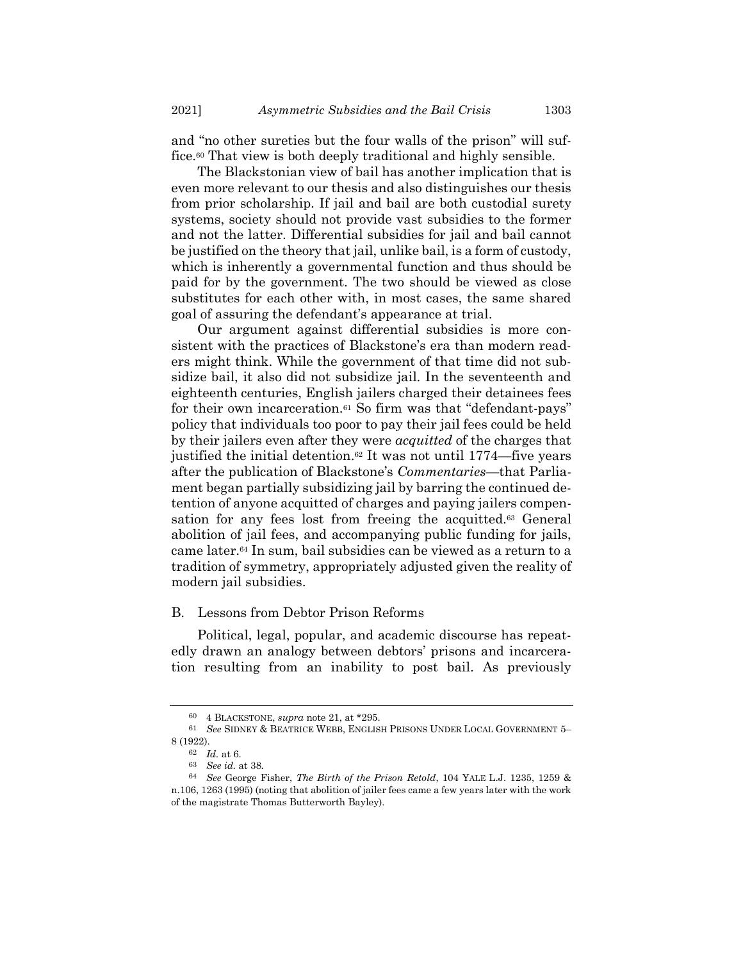and "no other sureties but the four walls of the prison" will suffice.<sup>60</sup> That view is both deeply traditional and highly sensible.

The Blackstonian view of bail has another implication that is even more relevant to our thesis and also distinguishes our thesis from prior scholarship. If jail and bail are both custodial surety systems, society should not provide vast subsidies to the former and not the latter. Differential subsidies for jail and bail cannot be justified on the theory that jail, unlike bail, is a form of custody, which is inherently a governmental function and thus should be paid for by the government. The two should be viewed as close substitutes for each other with, in most cases, the same shared goal of assuring the defendant's appearance at trial.

Our argument against differential subsidies is more consistent with the practices of Blackstone's era than modern readers might think. While the government of that time did not subsidize bail, it also did not subsidize jail. In the seventeenth and eighteenth centuries, English jailers charged their detainees fees for their own incarceration.<sup>61</sup> So firm was that "defendant-pays" policy that individuals too poor to pay their jail fees could be held by their jailers even after they were *acquitted* of the charges that justified the initial detention. <sup>62</sup> It was not until 1774—five years after the publication of Blackstone's *Commentaries*—that Parliament began partially subsidizing jail by barring the continued detention of anyone acquitted of charges and paying jailers compensation for any fees lost from freeing the acquitted.<sup>63</sup> General abolition of jail fees, and accompanying public funding for jails, came later.<sup>64</sup> In sum, bail subsidies can be viewed as a return to a tradition of symmetry, appropriately adjusted given the reality of modern jail subsidies.

## B. Lessons from Debtor Prison Reforms

Political, legal, popular, and academic discourse has repeatedly drawn an analogy between debtors' prisons and incarceration resulting from an inability to post bail. As previously

<sup>60</sup> 4 BLACKSTONE, *supra* not[e 21,](#page-6-0) at \*295.

<sup>61</sup> *See* SIDNEY & BEATRICE WEBB, ENGLISH PRISONS UNDER LOCAL GOVERNMENT 5– 8 (1922).

<sup>62</sup> *Id.* at 6.

<sup>63</sup> *See id.* at 38.

<sup>64</sup> *See* George Fisher, *The Birth of the Prison Retold*, 104 YALE L.J. 1235, 1259 & n.106, 1263 (1995) (noting that abolition of jailer fees came a few years later with the work of the magistrate Thomas Butterworth Bayley).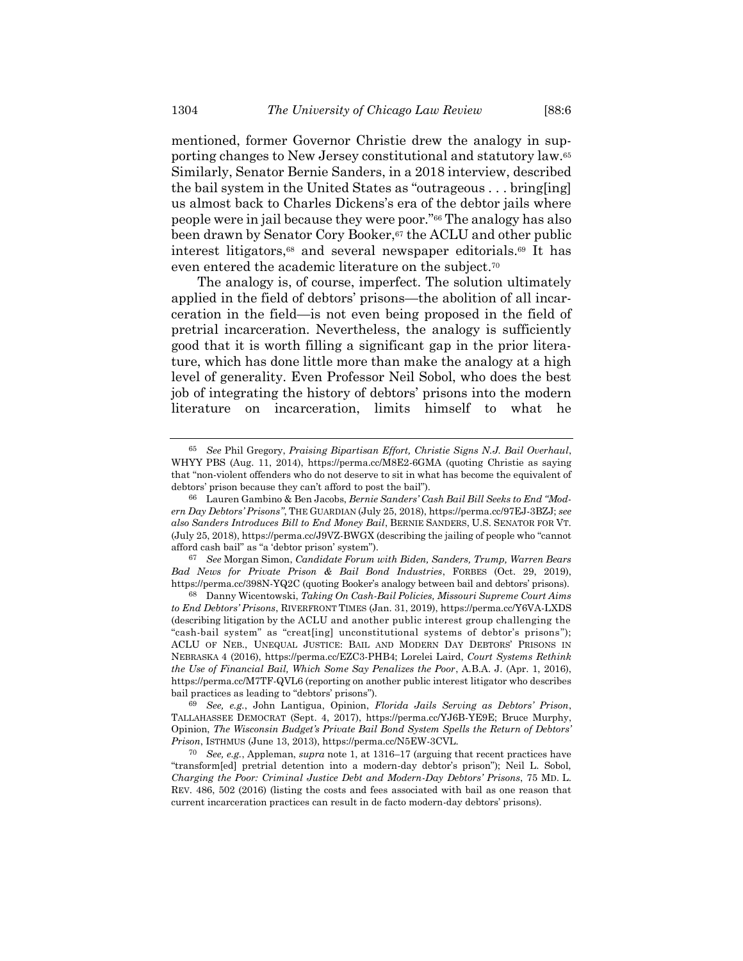mentioned, former Governor Christie drew the analogy in supporting changes to New Jersey constitutional and statutory law.<sup>65</sup> Similarly, Senator Bernie Sanders, in a 2018 interview, described the bail system in the United States as "outrageous . . . bring[ing] us almost back to Charles Dickens's era of the debtor jails where people were in jail because they were poor."<sup>66</sup> The analogy has also been drawn by Senator Cory Booker,<sup>67</sup> the ACLU and other public interest litigators,<sup>68</sup> and several newspaper editorials.<sup>69</sup> It has even entered the academic literature on the subject.<sup>70</sup>

<span id="page-19-0"></span>The analogy is, of course, imperfect. The solution ultimately applied in the field of debtors' prisons—the abolition of all incarceration in the field—is not even being proposed in the field of pretrial incarceration. Nevertheless, the analogy is sufficiently good that it is worth filling a significant gap in the prior literature, which has done little more than make the analogy at a high level of generality. Even Professor Neil Sobol, who does the best job of integrating the history of debtors' prisons into the modern literature on incarceration, limits himself to what he

<sup>65</sup> *See* Phil Gregory, *Praising Bipartisan Effort, Christie Signs N.J. Bail Overhaul*, WHYY PBS (Aug. 11, 2014), https://perma.cc/M8E2-6GMA (quoting Christie as saying that "non-violent offenders who do not deserve to sit in what has become the equivalent of debtors' prison because they can't afford to post the bail").

<sup>66</sup> Lauren Gambino & Ben Jacobs, *Bernie Sanders' Cash Bail Bill Seeks to End "Modern Day Debtors' Prisons"*, THE GUARDIAN (July 25, 2018), https://perma.cc/97EJ-3BZJ; *see also Sanders Introduces Bill to End Money Bail*, BERNIE SANDERS, U.S. SENATOR FOR VT. (July 25, 2018), https://perma.cc/J9VZ-BWGX (describing the jailing of people who "cannot afford cash bail" as "a 'debtor prison' system").

<sup>67</sup> *See* Morgan Simon, *Candidate Forum with Biden, Sanders, Trump, Warren Bears Bad News for Private Prison & Bail Bond Industries*, FORBES (Oct. 29, 2019), https://perma.cc/398N-YQ2C (quoting Booker's analogy between bail and debtors' prisons).

<sup>68</sup> Danny Wicentowski, *Taking On Cash-Bail Policies, Missouri Supreme Court Aims to End Debtors' Prisons*, RIVERFRONT TIMES (Jan. 31, 2019), https://perma.cc/Y6VA-LXDS (describing litigation by the ACLU and another public interest group challenging the "cash-bail system" as "creat[ing] unconstitutional systems of debtor's prisons"); ACLU OF NEB., UNEQUAL JUSTICE: BAIL AND MODERN DAY DEBTORS' PRISONS IN NEBRASKA 4 (2016), https://perma.cc/EZC3-PHB4; Lorelei Laird, *Court Systems Rethink the Use of Financial Bail, Which Some Say Penalizes the Poor*, A.B.A. J. (Apr. 1, 2016), https://perma.cc/M7TF-QVL6 (reporting on another public interest litigator who describes bail practices as leading to "debtors' prisons").

<sup>69</sup> *See, e.g.*, John Lantigua, Opinion, *Florida Jails Serving as Debtors' Prison*, TALLAHASSEE DEMOCRAT (Sept. 4, 2017), https://perma.cc/YJ6B-YE9E; Bruce Murphy, Opinion, *The Wisconsin Budget's Private Bail Bond System Spells the Return of Debtors' Prison*, ISTHMUS (June 13, 2013), https://perma.cc/N5EW-3CVL.

<sup>70</sup> *See, e.g.*, Appleman, *supra* note [1,](#page-1-0) at 1316–17 (arguing that recent practices have "transform[ed] pretrial detention into a modern-day debtor's prison"); Neil L. Sobol, *Charging the Poor: Criminal Justice Debt and Modern-Day Debtors' Prisons*, 75 MD. L. REV. 486, 502 (2016) (listing the costs and fees associated with bail as one reason that current incarceration practices can result in de facto modern-day debtors' prisons).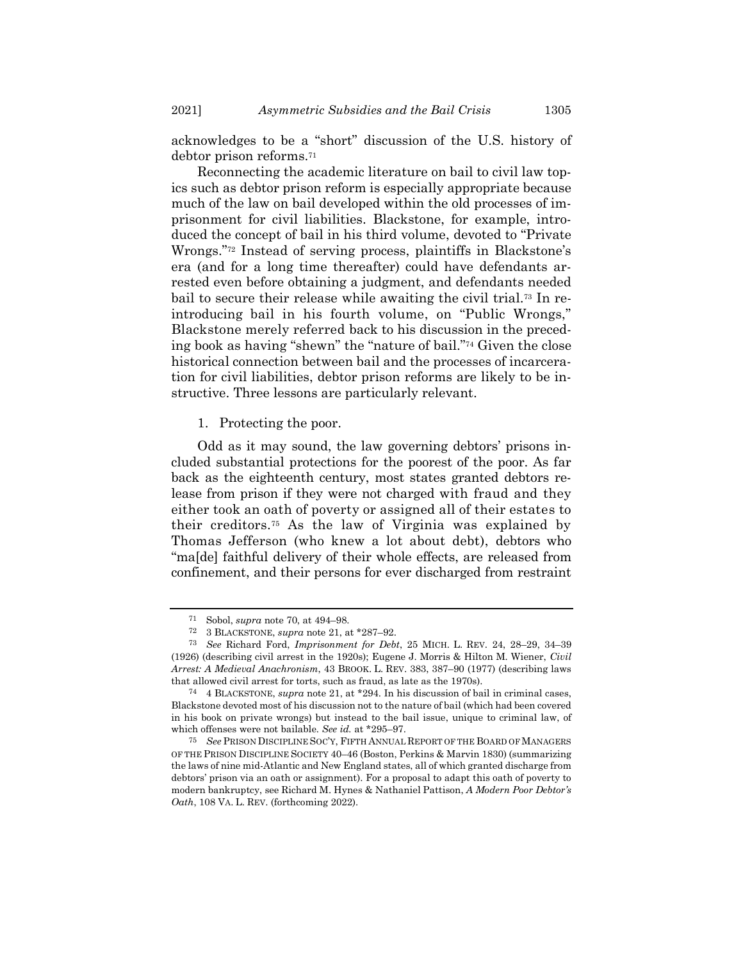acknowledges to be a "short" discussion of the U.S. history of debtor prison reforms.<sup>71</sup>

Reconnecting the academic literature on bail to civil law topics such as debtor prison reform is especially appropriate because much of the law on bail developed within the old processes of imprisonment for civil liabilities. Blackstone, for example, introduced the concept of bail in his third volume, devoted to "Private Wrongs."<sup>72</sup> Instead of serving process, plaintiffs in Blackstone's era (and for a long time thereafter) could have defendants arrested even before obtaining a judgment, and defendants needed bail to secure their release while awaiting the civil trial.<sup>73</sup> In reintroducing bail in his fourth volume, on "Public Wrongs," Blackstone merely referred back to his discussion in the preceding book as having "shewn" the "nature of bail."<sup>74</sup> Given the close historical connection between bail and the processes of incarceration for civil liabilities, debtor prison reforms are likely to be instructive. Three lessons are particularly relevant.

<span id="page-20-1"></span><span id="page-20-0"></span>1. Protecting the poor.

Odd as it may sound, the law governing debtors' prisons included substantial protections for the poorest of the poor. As far back as the eighteenth century, most states granted debtors release from prison if they were not charged with fraud and they either took an oath of poverty or assigned all of their estates to their creditors.<sup>75</sup> As the law of Virginia was explained by Thomas Jefferson (who knew a lot about debt), debtors who "ma[de] faithful delivery of their whole effects, are released from confinement, and their persons for ever discharged from restraint

<sup>71</sup> Sobol, *supra* note [70,](#page-19-0) at 494–98.

<sup>72</sup> 3 BLACKSTONE, *supra* not[e 21,](#page-6-0) at \*287–92.

<sup>73</sup> *See* Richard Ford, *Imprisonment for Debt*, 25 MICH. L. REV. 24, 28–29, 34–39 (1926) (describing civil arrest in the 1920s); Eugene J. Morris & Hilton M. Wiener, *Civil Arrest: A Medieval Anachronism*, 43 BROOK. L. REV. 383, 387–90 (1977) (describing laws that allowed civil arrest for torts, such as fraud, as late as the 1970s).

<sup>74</sup> 4 BLACKSTONE, *supra* note [21,](#page-6-0) at \*294. In his discussion of bail in criminal cases, Blackstone devoted most of his discussion not to the nature of bail (which had been covered in his book on private wrongs) but instead to the bail issue, unique to criminal law, of which offenses were not bailable. *See id.* at \*295–97.

<sup>75</sup> *See* PRISON DISCIPLINE SOC'Y, FIFTH ANNUAL REPORT OF THE BOARD OF MANAGERS OF THE PRISON DISCIPLINE SOCIETY 40–46 (Boston, Perkins & Marvin 1830) (summarizing the laws of nine mid-Atlantic and New England states, all of which granted discharge from debtors' prison via an oath or assignment). For a proposal to adapt this oath of poverty to modern bankruptcy, see Richard M. Hynes & Nathaniel Pattison, *A Modern Poor Debtor's Oath*, 108 VA. L. REV. (forthcoming 2022).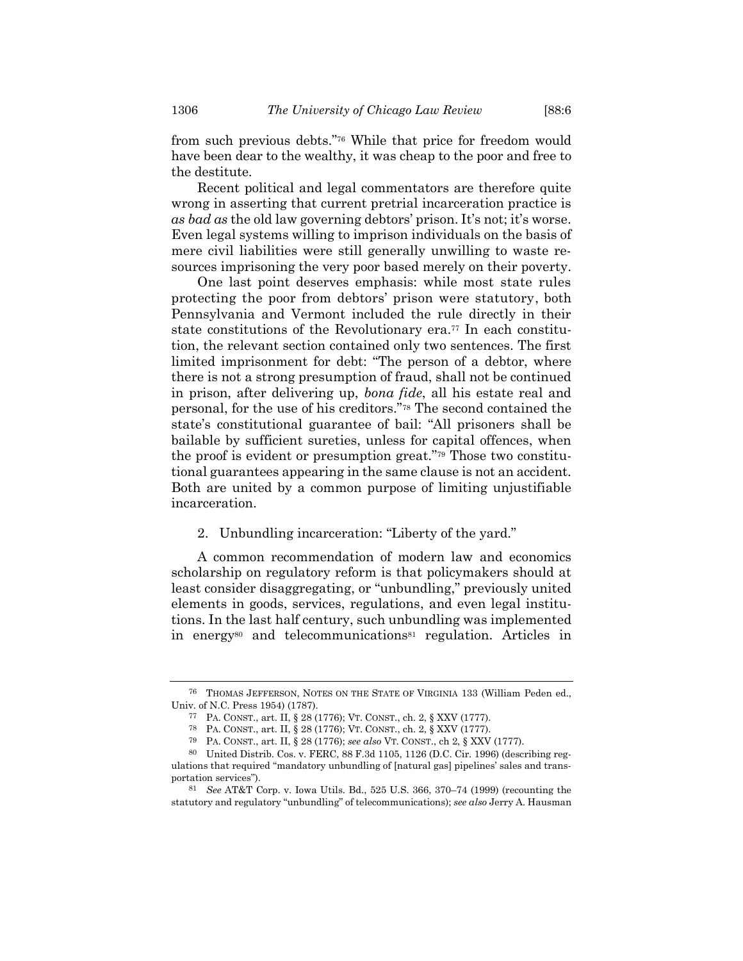from such previous debts."<sup>76</sup> While that price for freedom would have been dear to the wealthy, it was cheap to the poor and free to the destitute.

Recent political and legal commentators are therefore quite wrong in asserting that current pretrial incarceration practice is *as bad as* the old law governing debtors' prison. It's not; it's worse. Even legal systems willing to imprison individuals on the basis of mere civil liabilities were still generally unwilling to waste resources imprisoning the very poor based merely on their poverty.

One last point deserves emphasis: while most state rules protecting the poor from debtors' prison were statutory, both Pennsylvania and Vermont included the rule directly in their state constitutions of the Revolutionary era.<sup>77</sup> In each constitution, the relevant section contained only two sentences. The first limited imprisonment for debt: "The person of a debtor, where there is not a strong presumption of fraud, shall not be continued in prison, after delivering up, *bona fide*, all his estate real and personal, for the use of his creditors."<sup>78</sup> The second contained the state's constitutional guarantee of bail: "All prisoners shall be bailable by sufficient sureties, unless for capital offences, when the proof is evident or presumption great."<sup>79</sup> Those two constitutional guarantees appearing in the same clause is not an accident. Both are united by a common purpose of limiting unjustifiable incarceration.

## 2. Unbundling incarceration: "Liberty of the yard."

A common recommendation of modern law and economics scholarship on regulatory reform is that policymakers should at least consider disaggregating, or "unbundling," previously united elements in goods, services, regulations, and even legal institutions. In the last half century, such unbundling was implemented in energy<sup>80</sup> and telecommunications<sup>81</sup> regulation. Articles in

<sup>76</sup> THOMAS JEFFERSON, NOTES ON THE STATE OF VIRGINIA 133 (William Peden ed., Univ. of N.C. Press 1954) (1787).

<sup>77</sup> PA. CONST., art. II, § 28 (1776); VT. CONST., ch. 2, § XXV (1777).

<sup>78</sup> PA. CONST., art. II, § 28 (1776); VT. CONST., ch. 2, § XXV (1777).

<sup>79</sup> PA. CONST., art. II, § 28 (1776); *see also* VT. CONST., ch 2, § XXV (1777).

<sup>80</sup> United Distrib. Cos. v. FERC, 88 F.3d 1105, 1126 (D.C. Cir. 1996) (describing regulations that required "mandatory unbundling of [natural gas] pipelines' sales and transportation services").

<sup>81</sup> *See* AT&T Corp. v. Iowa Utils. Bd., 525 U.S. 366, 370–74 (1999) (recounting the statutory and regulatory "unbundling" of telecommunications); *see also* Jerry A. Hausman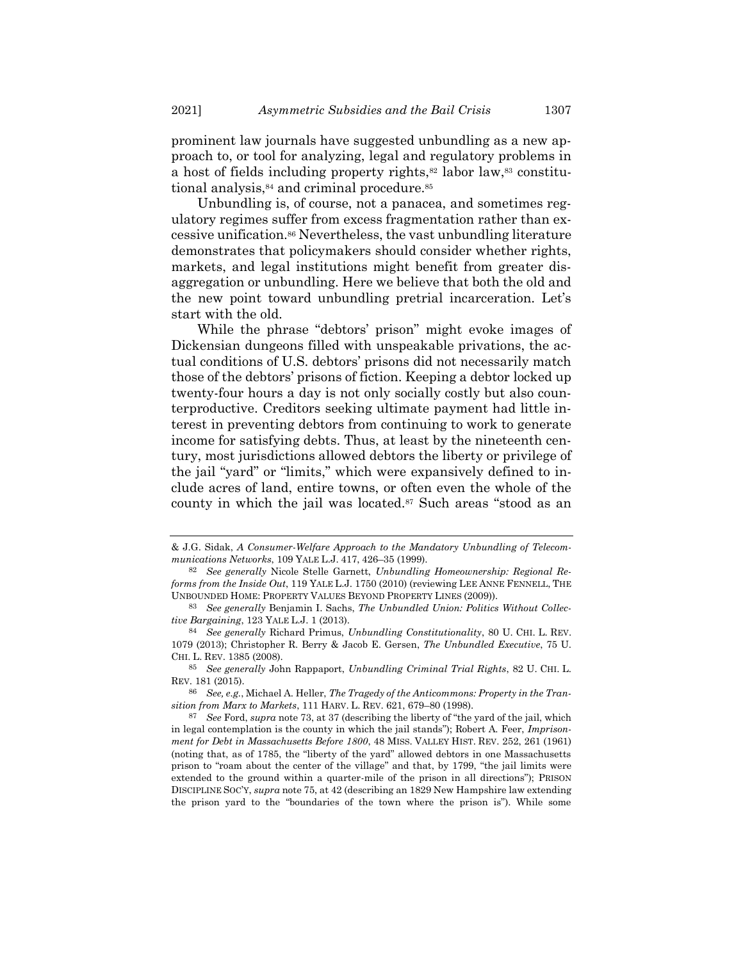prominent law journals have suggested unbundling as a new approach to, or tool for analyzing, legal and regulatory problems in a host of fields including property rights,<sup>82</sup> labor law,<sup>83</sup> constitutional analysis,<sup>84</sup> and criminal procedure.<sup>85</sup>

Unbundling is, of course, not a panacea, and sometimes regulatory regimes suffer from excess fragmentation rather than excessive unification.<sup>86</sup> Nevertheless, the vast unbundling literature demonstrates that policymakers should consider whether rights, markets, and legal institutions might benefit from greater disaggregation or unbundling. Here we believe that both the old and the new point toward unbundling pretrial incarceration. Let's start with the old.

While the phrase "debtors' prison" might evoke images of Dickensian dungeons filled with unspeakable privations, the actual conditions of U.S. debtors' prisons did not necessarily match those of the debtors' prisons of fiction. Keeping a debtor locked up twenty-four hours a day is not only socially costly but also counterproductive. Creditors seeking ultimate payment had little interest in preventing debtors from continuing to work to generate income for satisfying debts. Thus, at least by the nineteenth century, most jurisdictions allowed debtors the liberty or privilege of the jail "yard" or "limits," which were expansively defined to include acres of land, entire towns, or often even the whole of the county in which the jail was located.<sup>87</sup> Such areas "stood as an

<span id="page-22-0"></span><sup>&</sup>amp; J.G. Sidak, *A Consumer-Welfare Approach to the Mandatory Unbundling of Telecommunications Networks*, 109 YALE L.J. 417, 426–35 (1999).

<sup>82</sup> *See generally* Nicole Stelle Garnett, *Unbundling Homeownership: Regional Reforms from the Inside Out*, 119 YALE L.J. 1750 (2010) (reviewing LEE ANNE FENNELL, THE UNBOUNDED HOME: PROPERTY VALUES BEYOND PROPERTY LINES (2009)).

<sup>83</sup> *See generally* Benjamin I. Sachs, *The Unbundled Union: Politics Without Collective Bargaining*, 123 YALE L.J. 1 (2013).

<sup>84</sup> *See generally* Richard Primus, *Unbundling Constitutionality*, 80 U. CHI. L. REV. 1079 (2013); Christopher R. Berry & Jacob E. Gersen, *The Unbundled Executive*, 75 U. CHI. L. REV. 1385 (2008).

<sup>85</sup> *See generally* John Rappaport, *Unbundling Criminal Trial Rights*, 82 U. CHI. L. REV. 181 (2015).

<sup>86</sup> *See, e.g.*, Michael A. Heller, *The Tragedy of the Anticommons: Property in the Transition from Marx to Markets*, 111 HARV. L. REV. 621, 679–80 (1998).

<sup>87</sup> *See* Ford, *supra* not[e 73](#page-20-0), at 37 (describing the liberty of "the yard of the jail, which in legal contemplation is the county in which the jail stands"); Robert A. Feer, *Imprisonment for Debt in Massachusetts Before 1800*, 48 MISS. VALLEY HIST. REV. 252, 261 (1961) (noting that, as of 1785, the "liberty of the yard" allowed debtors in one Massachusetts prison to "roam about the center of the village" and that, by 1799, "the jail limits were extended to the ground within a quarter-mile of the prison in all directions"); PRISON DISCIPLINE SOC'Y, *supra* not[e 75,](#page-20-1) at 42 (describing an 1829 New Hampshire law extending the prison yard to the "boundaries of the town where the prison is"). While some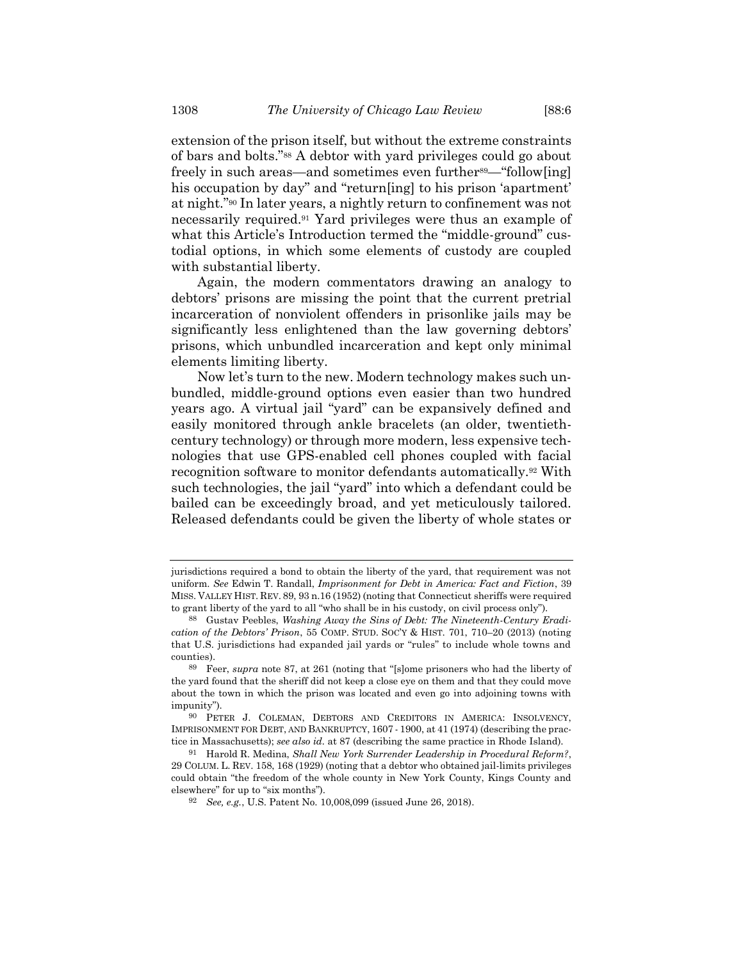<span id="page-23-0"></span>extension of the prison itself, but without the extreme constraints of bars and bolts."<sup>88</sup> A debtor with yard privileges could go about freely in such areas—and sometimes even further<sup>89</sup>—"follow[ing] his occupation by day" and "return[ing] to his prison 'apartment' at night."<sup>90</sup> In later years, a nightly return to confinement was not necessarily required.<sup>91</sup> Yard privileges were thus an example of what this Article's Introduction termed the "middle-ground" custodial options, in which some elements of custody are coupled with substantial liberty.

Again, the modern commentators drawing an analogy to debtors' prisons are missing the point that the current pretrial incarceration of nonviolent offenders in prisonlike jails may be significantly less enlightened than the law governing debtors' prisons, which unbundled incarceration and kept only minimal elements limiting liberty.

Now let's turn to the new. Modern technology makes such unbundled, middle-ground options even easier than two hundred years ago. A virtual jail "yard" can be expansively defined and easily monitored through ankle bracelets (an older, twentiethcentury technology) or through more modern, less expensive technologies that use GPS-enabled cell phones coupled with facial recognition software to monitor defendants automatically.<sup>92</sup> With such technologies, the jail "yard" into which a defendant could be bailed can be exceedingly broad, and yet meticulously tailored. Released defendants could be given the liberty of whole states or

jurisdictions required a bond to obtain the liberty of the yard, that requirement was not uniform. *See* Edwin T. Randall, *Imprisonment for Debt in America: Fact and Fiction*, 39 MISS. VALLEY HIST. REV. 89, 93 n.16 (1952) (noting that Connecticut sheriffs were required to grant liberty of the yard to all "who shall be in his custody, on civil process only").

<sup>88</sup> Gustav Peebles, *Washing Away the Sins of Debt: The Nineteenth-Century Eradication of the Debtors' Prison*, 55 COMP. STUD. SOC'Y & HIST. 701, 710–20 (2013) (noting that U.S. jurisdictions had expanded jail yards or "rules" to include whole towns and counties).

<sup>89</sup> Feer, *supra* note [87,](#page-22-0) at 261 (noting that "[s]ome prisoners who had the liberty of the yard found that the sheriff did not keep a close eye on them and that they could move about the town in which the prison was located and even go into adjoining towns with impunity").

<sup>90</sup> PETER J. COLEMAN, DEBTORS AND CREDITORS IN AMERICA: INSOLVENCY, IMPRISONMENT FOR DEBT, AND BANKRUPTCY, 1607 - 1900, at 41 (1974) (describing the practice in Massachusetts); *see also id.* at 87 (describing the same practice in Rhode Island).

<sup>91</sup> Harold R. Medina, *Shall New York Surrender Leadership in Procedural Reform?*, 29 COLUM. L. REV. 158, 168 (1929) (noting that a debtor who obtained jail-limits privileges could obtain "the freedom of the whole county in New York County, Kings County and elsewhere" for up to "six months").

<sup>92</sup> *See, e.g.*, U.S. Patent No. 10,008,099 (issued June 26, 2018).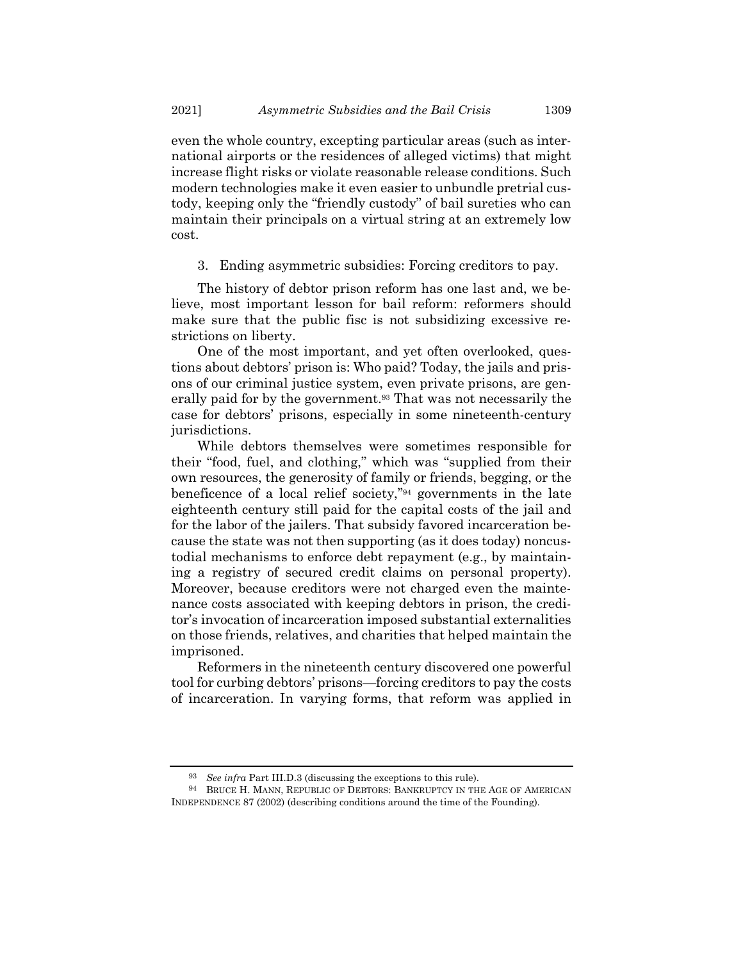even the whole country, excepting particular areas (such as international airports or the residences of alleged victims) that might increase flight risks or violate reasonable release conditions. Such modern technologies make it even easier to unbundle pretrial custody, keeping only the "friendly custody" of bail sureties who can maintain their principals on a virtual string at an extremely low cost.

3. Ending asymmetric subsidies: Forcing creditors to pay.

The history of debtor prison reform has one last and, we believe, most important lesson for bail reform: reformers should make sure that the public fisc is not subsidizing excessive restrictions on liberty.

One of the most important, and yet often overlooked, questions about debtors' prison is: Who paid? Today, the jails and prisons of our criminal justice system, even private prisons, are generally paid for by the government.<sup>93</sup> That was not necessarily the case for debtors' prisons, especially in some nineteenth-century jurisdictions.

<span id="page-24-0"></span>While debtors themselves were sometimes responsible for their "food, fuel, and clothing," which was "supplied from their own resources, the generosity of family or friends, begging, or the beneficence of a local relief society,"<sup>94</sup> governments in the late eighteenth century still paid for the capital costs of the jail and for the labor of the jailers. That subsidy favored incarceration because the state was not then supporting (as it does today) noncustodial mechanisms to enforce debt repayment (e.g., by maintaining a registry of secured credit claims on personal property). Moreover, because creditors were not charged even the maintenance costs associated with keeping debtors in prison, the creditor's invocation of incarceration imposed substantial externalities on those friends, relatives, and charities that helped maintain the imprisoned.

Reformers in the nineteenth century discovered one powerful tool for curbing debtors' prisons—forcing creditors to pay the costs of incarceration. In varying forms, that reform was applied in

<sup>93</sup> *See infra* Part III.D.3 (discussing the exceptions to this rule).

<sup>94</sup> BRUCE H. MANN, REPUBLIC OF DEBTORS: BANKRUPTCY IN THE AGE OF AMERICAN INDEPENDENCE 87 (2002) (describing conditions around the time of the Founding).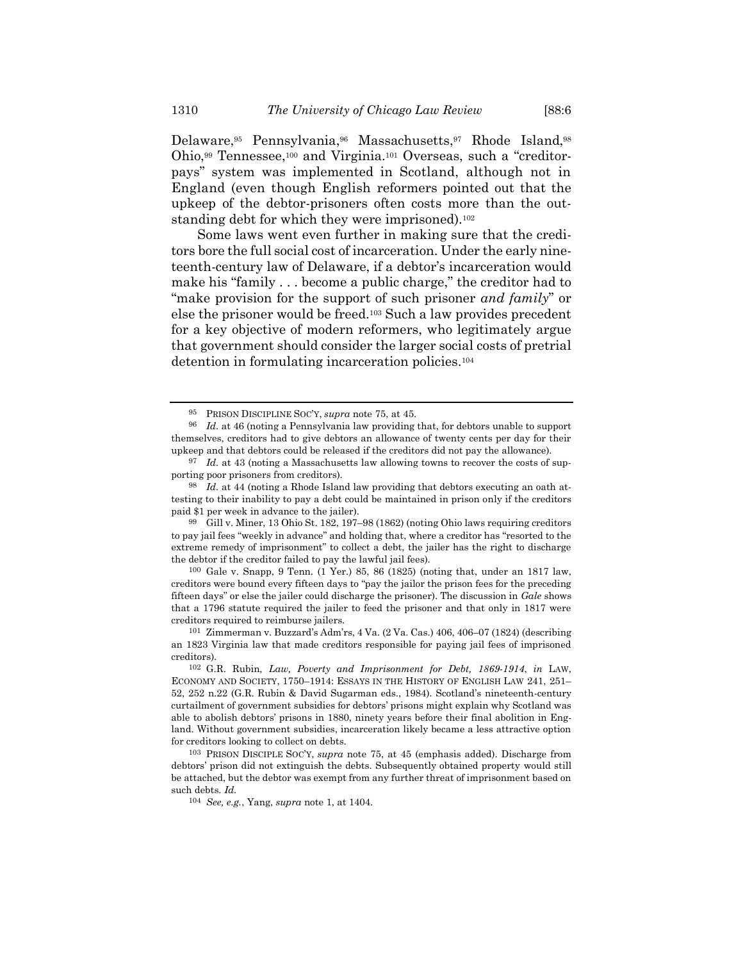Delaware,<sup>95</sup> Pennsylvania,<sup>96</sup> Massachusetts,<sup>97</sup> Rhode Island,<sup>98</sup> Ohio,<sup>99</sup> Tennessee,<sup>100</sup> and Virginia.<sup>101</sup> Overseas, such a "creditorpays" system was implemented in Scotland, although not in England (even though English reformers pointed out that the upkeep of the debtor-prisoners often costs more than the outstanding debt for which they were imprisoned).<sup>102</sup>

Some laws went even further in making sure that the creditors bore the full social cost of incarceration. Under the early nineteenth-century law of Delaware, if a debtor's incarceration would make his "family . . . become a public charge," the creditor had to "make provision for the support of such prisoner *and family*" or else the prisoner would be freed.<sup>103</sup> Such a law provides precedent for a key objective of modern reformers, who legitimately argue that government should consider the larger social costs of pretrial detention in formulating incarceration policies.<sup>104</sup>

99 Gill v. Miner, 13 Ohio St. 182, 197–98 (1862) (noting Ohio laws requiring creditors to pay jail fees "weekly in advance" and holding that, where a creditor has "resorted to the extreme remedy of imprisonment" to collect a debt, the jailer has the right to discharge the debtor if the creditor failed to pay the lawful jail fees).

100 Gale v. Snapp, 9 Tenn. (1 Yer.) 85, 86 (1825) (noting that, under an 1817 law, creditors were bound every fifteen days to "pay the jailor the prison fees for the preceding fifteen days" or else the jailer could discharge the prisoner). The discussion in *Gale* shows that a 1796 statute required the jailer to feed the prisoner and that only in 1817 were creditors required to reimburse jailers.

<sup>95</sup> PRISON DISCIPLINE SOC'Y, *supra* note [75,](#page-20-1) at 45.

<sup>96</sup> *Id.* at 46 (noting a Pennsylvania law providing that, for debtors unable to support themselves, creditors had to give debtors an allowance of twenty cents per day for their upkeep and that debtors could be released if the creditors did not pay the allowance).

<sup>&</sup>lt;sup>97</sup> *Id.* at 43 (noting a Massachusetts law allowing towns to recover the costs of supporting poor prisoners from creditors).

<sup>98</sup> *Id.* at 44 (noting a Rhode Island law providing that debtors executing an oath attesting to their inability to pay a debt could be maintained in prison only if the creditors paid \$1 per week in advance to the jailer).

<sup>101</sup> Zimmerman v. Buzzard's Adm'rs, 4 Va. (2 Va. Cas.) 406, 406–07 (1824) (describing an 1823 Virginia law that made creditors responsible for paying jail fees of imprisoned creditors).

<sup>102</sup> G.R. Rubin, *Law, Poverty and Imprisonment for Debt, 1869-1914*, *in* LAW, ECONOMY AND SOCIETY, 1750–1914: ESSAYS IN THE HISTORY OF ENGLISH LAW 241, 251– 52, 252 n.22 (G.R. Rubin & David Sugarman eds., 1984). Scotland's nineteenth-century curtailment of government subsidies for debtors' prisons might explain why Scotland was able to abolish debtors' prisons in 1880, ninety years before their final abolition in England. Without government subsidies, incarceration likely became a less attractive option for creditors looking to collect on debts.

<sup>103</sup> PRISON DISCIPLE SOC'Y, *supra* note [75,](#page-20-1) at 45 (emphasis added). Discharge from debtors' prison did not extinguish the debts. Subsequently obtained property would still be attached, but the debtor was exempt from any further threat of imprisonment based on such debts. *Id.*

<sup>104</sup> *See, e.g.*, Yang, *supra* note [1,](#page-1-0) at 1404.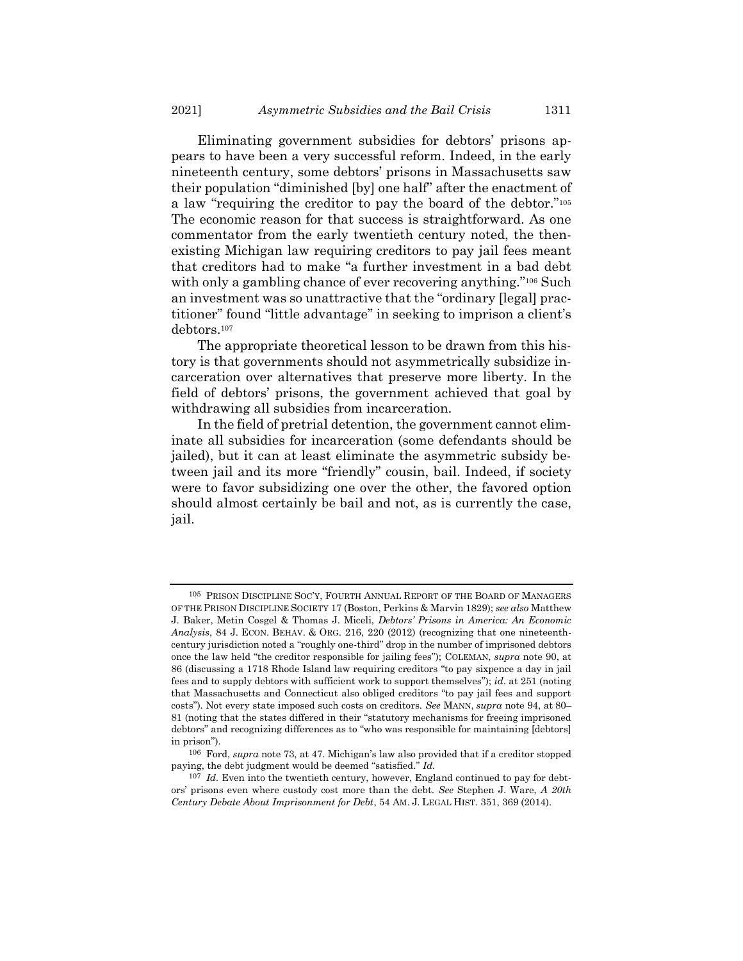Eliminating government subsidies for debtors' prisons appears to have been a very successful reform. Indeed, in the early nineteenth century, some debtors' prisons in Massachusetts saw their population "diminished [by] one half" after the enactment of a law "requiring the creditor to pay the board of the debtor."<sup>105</sup> The economic reason for that success is straightforward. As one commentator from the early twentieth century noted, the thenexisting Michigan law requiring creditors to pay jail fees meant that creditors had to make "a further investment in a bad debt with only a gambling chance of ever recovering anything."<sup>106</sup> Such an investment was so unattractive that the "ordinary [legal] practitioner" found "little advantage" in seeking to imprison a client's debtors.<sup>107</sup>

The appropriate theoretical lesson to be drawn from this history is that governments should not asymmetrically subsidize incarceration over alternatives that preserve more liberty. In the field of debtors' prisons, the government achieved that goal by withdrawing all subsidies from incarceration.

In the field of pretrial detention, the government cannot eliminate all subsidies for incarceration (some defendants should be jailed), but it can at least eliminate the asymmetric subsidy between jail and its more "friendly" cousin, bail. Indeed, if society were to favor subsidizing one over the other, the favored option should almost certainly be bail and not, as is currently the case, jail.

<sup>105</sup> PRISON DISCIPLINE SOC'Y, FOURTH ANNUAL REPORT OF THE BOARD OF MANAGERS OF THE PRISON DISCIPLINE SOCIETY 17 (Boston, Perkins & Marvin 1829); *see also* Matthew J. Baker, Metin Cosgel & Thomas J. Miceli, *Debtors' Prisons in America: An Economic Analysis*, 84 J. ECON. BEHAV. & ORG. 216, 220 (2012) (recognizing that one nineteenthcentury jurisdiction noted a "roughly one-third" drop in the number of imprisoned debtors once the law held "the creditor responsible for jailing fees"); COLEMAN, *supra* not[e 90,](#page-23-0) at 86 (discussing a 1718 Rhode Island law requiring creditors "to pay sixpence a day in jail fees and to supply debtors with sufficient work to support themselves"); *id*. at 251 (noting that Massachusetts and Connecticut also obliged creditors "to pay jail fees and support costs"). Not every state imposed such costs on creditors. *See* MANN, *supra* not[e 94,](#page-24-0) at 80– 81 (noting that the states differed in their "statutory mechanisms for freeing imprisoned debtors" and recognizing differences as to "who was responsible for maintaining [debtors] in prison").

<sup>106</sup> Ford, *supra* not[e 73](#page-20-0), at 47. Michigan's law also provided that if a creditor stopped paying, the debt judgment would be deemed "satisfied." *Id.*

<sup>107</sup> *Id.* Even into the twentieth century, however, England continued to pay for debtors' prisons even where custody cost more than the debt. *See* Stephen J. Ware, *A 20th Century Debate About Imprisonment for Debt*, 54 AM. J. LEGAL HIST. 351, 369 (2014).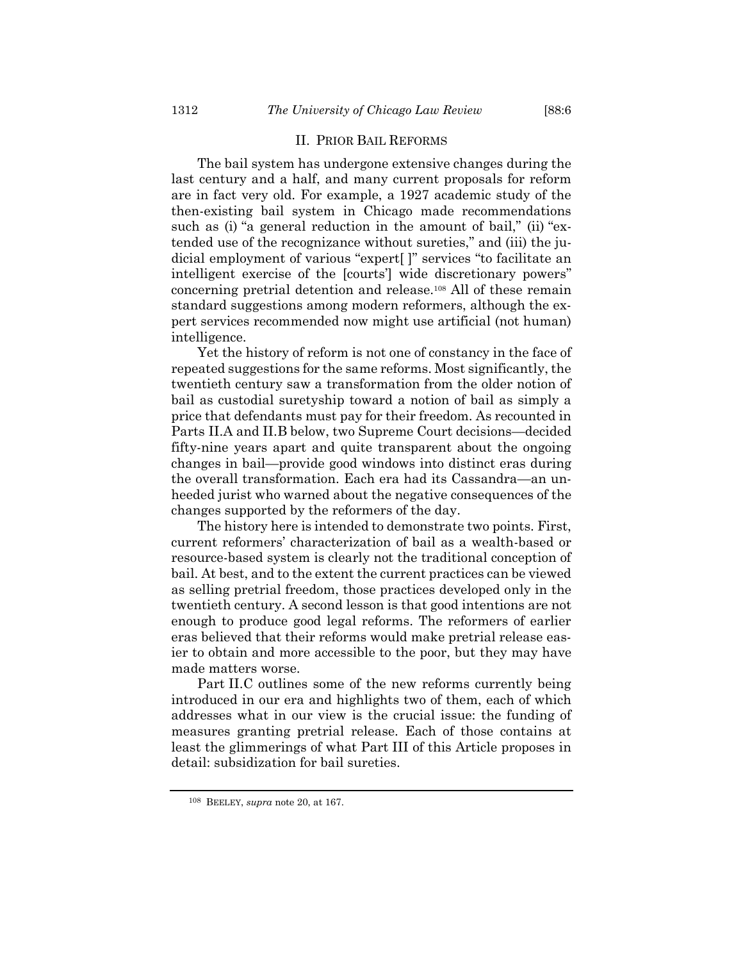#### II. PRIOR BAIL REFORMS

The bail system has undergone extensive changes during the last century and a half, and many current proposals for reform are in fact very old. For example, a 1927 academic study of the then-existing bail system in Chicago made recommendations such as (i) "a general reduction in the amount of bail," (ii) "extended use of the recognizance without sureties," and (iii) the judicial employment of various "expert[ ]" services "to facilitate an intelligent exercise of the [courts'] wide discretionary powers" concerning pretrial detention and release.<sup>108</sup> All of these remain standard suggestions among modern reformers, although the expert services recommended now might use artificial (not human) intelligence.

Yet the history of reform is not one of constancy in the face of repeated suggestions for the same reforms. Most significantly, the twentieth century saw a transformation from the older notion of bail as custodial suretyship toward a notion of bail as simply a price that defendants must pay for their freedom. As recounted in Parts II.A and II.B below, two Supreme Court decisions—decided fifty-nine years apart and quite transparent about the ongoing changes in bail—provide good windows into distinct eras during the overall transformation. Each era had its Cassandra—an unheeded jurist who warned about the negative consequences of the changes supported by the reformers of the day.

The history here is intended to demonstrate two points. First, current reformers' characterization of bail as a wealth-based or resource-based system is clearly not the traditional conception of bail. At best, and to the extent the current practices can be viewed as selling pretrial freedom, those practices developed only in the twentieth century. A second lesson is that good intentions are not enough to produce good legal reforms. The reformers of earlier eras believed that their reforms would make pretrial release easier to obtain and more accessible to the poor, but they may have made matters worse.

Part II.C outlines some of the new reforms currently being introduced in our era and highlights two of them, each of which addresses what in our view is the crucial issue: the funding of measures granting pretrial release. Each of those contains at least the glimmerings of what Part III of this Article proposes in detail: subsidization for bail sureties.

<sup>108</sup> BEELEY, *supra* not[e 20,](#page-6-3) at 167.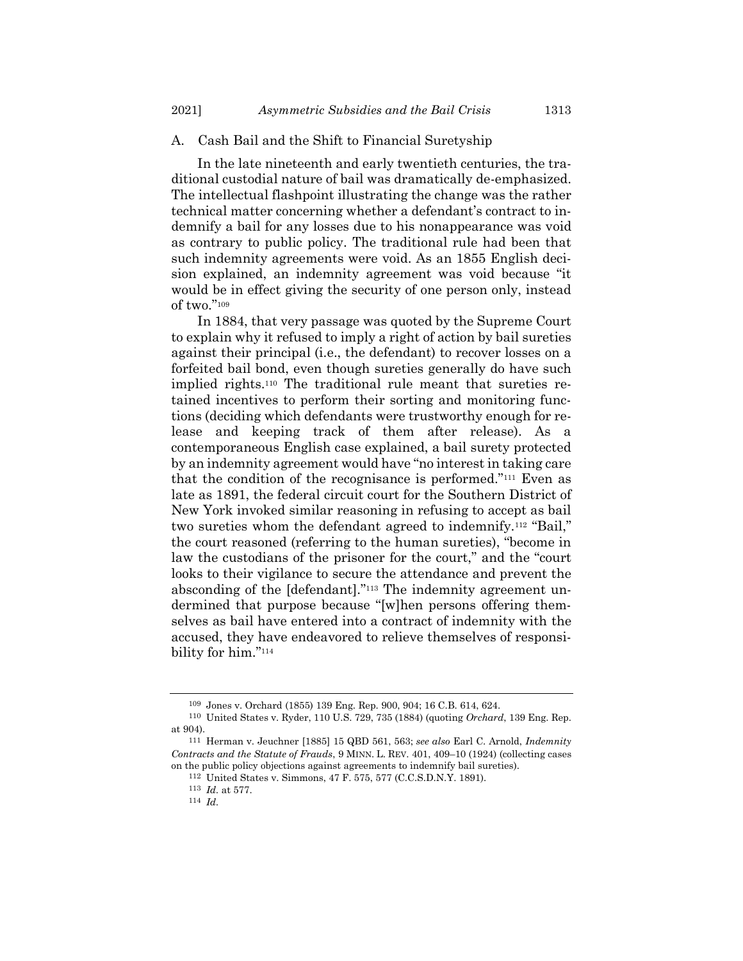#### A. Cash Bail and the Shift to Financial Suretyship

In the late nineteenth and early twentieth centuries, the traditional custodial nature of bail was dramatically de-emphasized. The intellectual flashpoint illustrating the change was the rather technical matter concerning whether a defendant's contract to indemnify a bail for any losses due to his nonappearance was void as contrary to public policy. The traditional rule had been that such indemnity agreements were void. As an 1855 English decision explained, an indemnity agreement was void because "it would be in effect giving the security of one person only, instead of two."<sup>109</sup>

In 1884, that very passage was quoted by the Supreme Court to explain why it refused to imply a right of action by bail sureties against their principal (i.e., the defendant) to recover losses on a forfeited bail bond, even though sureties generally do have such implied rights.<sup>110</sup> The traditional rule meant that sureties retained incentives to perform their sorting and monitoring functions (deciding which defendants were trustworthy enough for release and keeping track of them after release). As a contemporaneous English case explained, a bail surety protected by an indemnity agreement would have "no interest in taking care that the condition of the recognisance is performed."<sup>111</sup> Even as late as 1891, the federal circuit court for the Southern District of New York invoked similar reasoning in refusing to accept as bail two sureties whom the defendant agreed to indemnify.<sup>112</sup> "Bail," the court reasoned (referring to the human sureties), "become in law the custodians of the prisoner for the court," and the "court looks to their vigilance to secure the attendance and prevent the absconding of the [defendant]."<sup>113</sup> The indemnity agreement undermined that purpose because "[w]hen persons offering themselves as bail have entered into a contract of indemnity with the accused, they have endeavored to relieve themselves of responsibility for him."<sup>114</sup>

<sup>109</sup> Jones v. Orchard (1855) 139 Eng. Rep. 900, 904; 16 C.B. 614, 624.

<sup>110</sup> United States v. Ryder, 110 U.S. 729, 735 (1884) (quoting *Orchard*, 139 Eng. Rep. at 904).

<sup>111</sup> Herman v. Jeuchner [1885] 15 QBD 561, 563; *see also* Earl C. Arnold, *Indemnity Contracts and the Statute of Frauds*, 9 MINN. L. REV. 401, 409–10 (1924) (collecting cases on the public policy objections against agreements to indemnify bail sureties).

<sup>112</sup> United States v. Simmons, 47 F. 575, 577 (C.C.S.D.N.Y. 1891).

<sup>113</sup> *Id.* at 577.

<sup>114</sup> *Id.*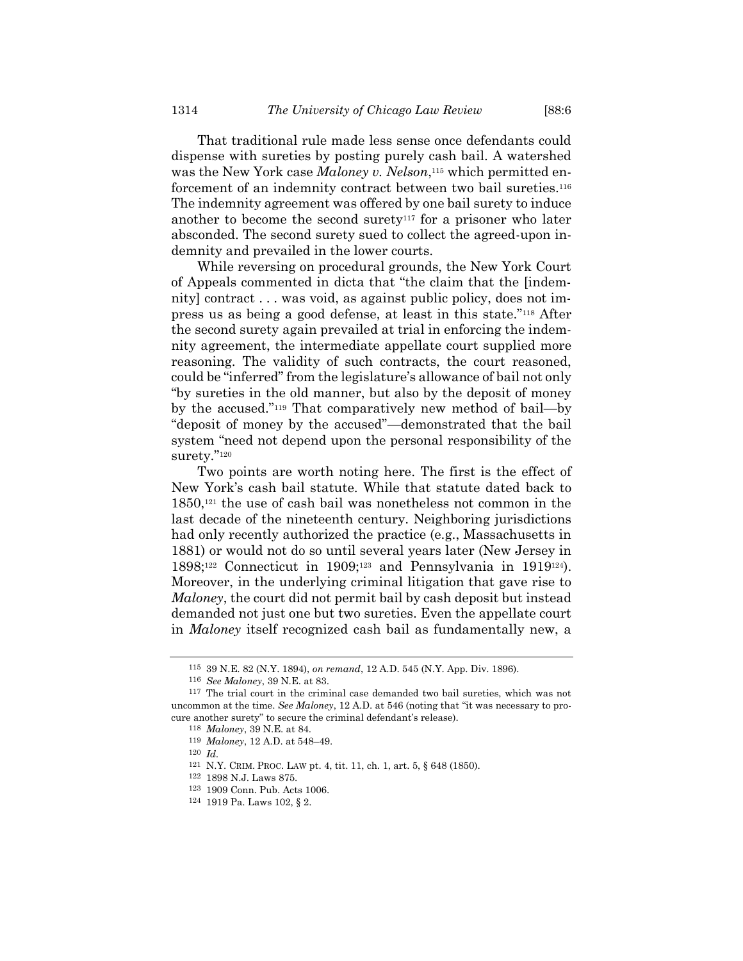That traditional rule made less sense once defendants could dispense with sureties by posting purely cash bail. A watershed was the New York case *Maloney v. Nelson*, <sup>115</sup> which permitted enforcement of an indemnity contract between two bail sureties.<sup>116</sup> The indemnity agreement was offered by one bail surety to induce another to become the second surety<sup>117</sup> for a prisoner who later absconded. The second surety sued to collect the agreed-upon indemnity and prevailed in the lower courts.

While reversing on procedural grounds, the New York Court of Appeals commented in dicta that "the claim that the [indemnity] contract . . . was void, as against public policy, does not impress us as being a good defense, at least in this state."<sup>118</sup> After the second surety again prevailed at trial in enforcing the indemnity agreement, the intermediate appellate court supplied more reasoning. The validity of such contracts, the court reasoned, could be "inferred" from the legislature's allowance of bail not only "by sureties in the old manner, but also by the deposit of money by the accused."<sup>119</sup> That comparatively new method of bail—by "deposit of money by the accused"—demonstrated that the bail system "need not depend upon the personal responsibility of the surety."<sup>120</sup>

Two points are worth noting here. The first is the effect of New York's cash bail statute. While that statute dated back to 1850,<sup>121</sup> the use of cash bail was nonetheless not common in the last decade of the nineteenth century. Neighboring jurisdictions had only recently authorized the practice (e.g., Massachusetts in 1881) or would not do so until several years later (New Jersey in 1898;<sup>122</sup> Connecticut in 1909;<sup>123</sup> and Pennsylvania in 1919124). Moreover, in the underlying criminal litigation that gave rise to *Maloney*, the court did not permit bail by cash deposit but instead demanded not just one but two sureties. Even the appellate court in *Maloney* itself recognized cash bail as fundamentally new, a

<sup>115</sup> 39 N.E. 82 (N.Y. 1894), *on remand*, 12 A.D. 545 (N.Y. App. Div. 1896).

<sup>116</sup> *See Maloney*, 39 N.E. at 83.

 $117$  The trial court in the criminal case demanded two bail sureties, which was not uncommon at the time. *See Maloney*, 12 A.D. at 546 (noting that "it was necessary to procure another surety" to secure the criminal defendant's release).

<sup>118</sup> *Maloney*, 39 N.E. at 84.

<sup>119</sup> *Maloney*, 12 A.D. at 548–49.

<sup>120</sup> *Id.*

<sup>121</sup> N.Y. CRIM. PROC. LAW pt. 4, tit. 11, ch. 1, art. 5, § 648 (1850).

<sup>122</sup> 1898 N.J. Laws 875.

<sup>123</sup> 1909 Conn. Pub. Acts 1006.

<sup>124</sup> 1919 Pa. Laws 102, § 2.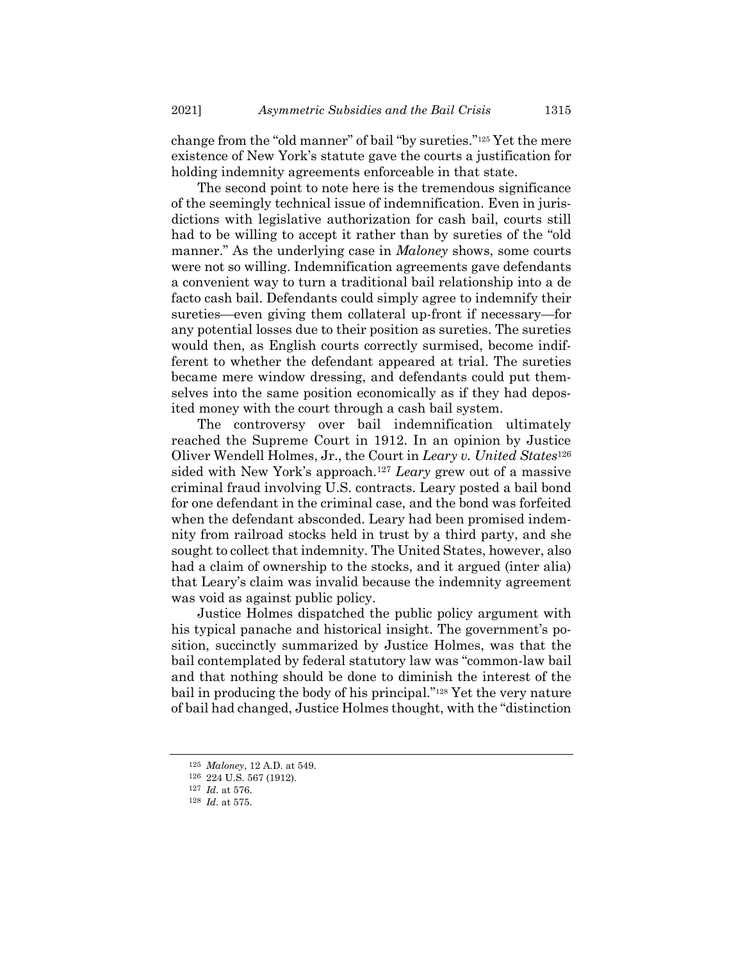change from the "old manner" of bail "by sureties."<sup>125</sup> Yet the mere existence of New York's statute gave the courts a justification for holding indemnity agreements enforceable in that state.

The second point to note here is the tremendous significance of the seemingly technical issue of indemnification. Even in jurisdictions with legislative authorization for cash bail, courts still had to be willing to accept it rather than by sureties of the "old manner." As the underlying case in *Maloney* shows, some courts were not so willing. Indemnification agreements gave defendants a convenient way to turn a traditional bail relationship into a de facto cash bail. Defendants could simply agree to indemnify their sureties—even giving them collateral up-front if necessary—for any potential losses due to their position as sureties. The sureties would then, as English courts correctly surmised, become indifferent to whether the defendant appeared at trial. The sureties became mere window dressing, and defendants could put themselves into the same position economically as if they had deposited money with the court through a cash bail system.

The controversy over bail indemnification ultimately reached the Supreme Court in 1912. In an opinion by Justice Oliver Wendell Holmes, Jr., the Court in *Leary v. United States*<sup>126</sup> sided with New York's approach.<sup>127</sup> *Leary* grew out of a massive criminal fraud involving U.S. contracts. Leary posted a bail bond for one defendant in the criminal case, and the bond was forfeited when the defendant absconded. Leary had been promised indemnity from railroad stocks held in trust by a third party, and she sought to collect that indemnity. The United States, however, also had a claim of ownership to the stocks, and it argued (inter alia) that Leary's claim was invalid because the indemnity agreement was void as against public policy.

Justice Holmes dispatched the public policy argument with his typical panache and historical insight. The government's position, succinctly summarized by Justice Holmes, was that the bail contemplated by federal statutory law was "common-law bail and that nothing should be done to diminish the interest of the bail in producing the body of his principal."<sup>128</sup> Yet the very nature of bail had changed, Justice Holmes thought, with the "distinction

<sup>125</sup> *Maloney*, 12 A.D. at 549.

<sup>126</sup> 224 U.S. 567 (1912).

<sup>127</sup> *Id.* at 576.

<sup>128</sup> *Id.* at 575.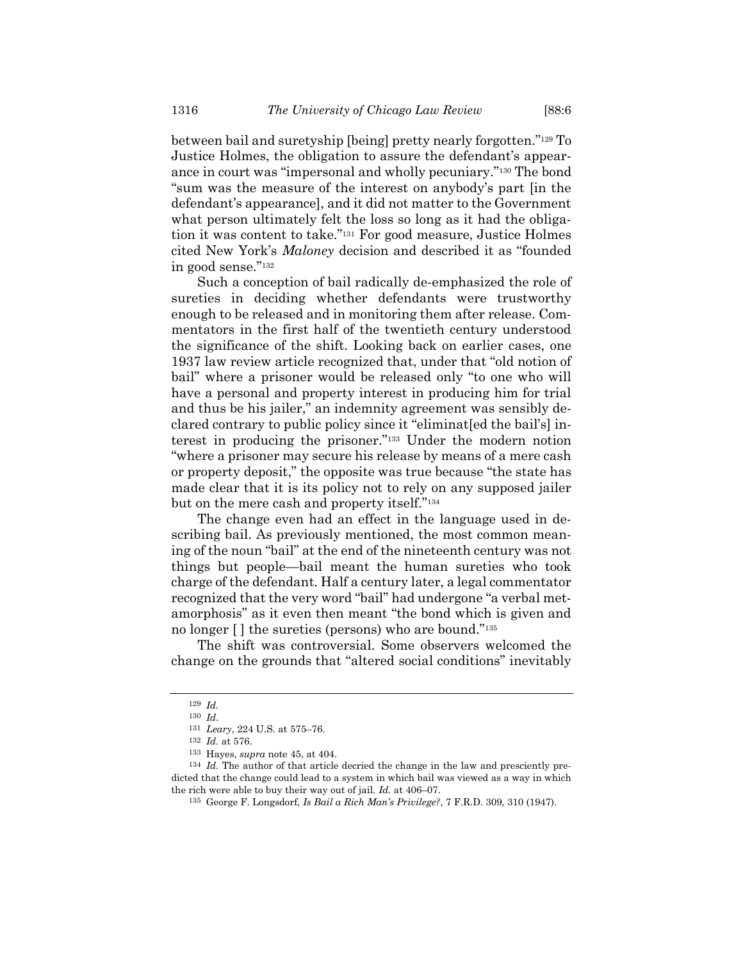between bail and suretyship [being] pretty nearly forgotten."<sup>129</sup> To Justice Holmes, the obligation to assure the defendant's appearance in court was "impersonal and wholly pecuniary."<sup>130</sup> The bond "sum was the measure of the interest on anybody's part [in the defendant's appearance], and it did not matter to the Government what person ultimately felt the loss so long as it had the obligation it was content to take."<sup>131</sup> For good measure, Justice Holmes cited New York's *Maloney* decision and described it as "founded in good sense."<sup>132</sup>

Such a conception of bail radically de-emphasized the role of sureties in deciding whether defendants were trustworthy enough to be released and in monitoring them after release. Commentators in the first half of the twentieth century understood the significance of the shift. Looking back on earlier cases, one 1937 law review article recognized that, under that "old notion of bail" where a prisoner would be released only "to one who will have a personal and property interest in producing him for trial and thus be his jailer," an indemnity agreement was sensibly declared contrary to public policy since it "eliminat[ed the bail's] interest in producing the prisoner."<sup>133</sup> Under the modern notion "where a prisoner may secure his release by means of a mere cash or property deposit," the opposite was true because "the state has made clear that it is its policy not to rely on any supposed jailer but on the mere cash and property itself."<sup>134</sup>

The change even had an effect in the language used in describing bail. As previously mentioned, the most common meaning of the noun "bail" at the end of the nineteenth century was not things but people—bail meant the human sureties who took charge of the defendant. Half a century later, a legal commentator recognized that the very word "bail" had undergone "a verbal metamorphosis" as it even then meant "the bond which is given and no longer [ ] the sureties (persons) who are bound."<sup>135</sup>

The shift was controversial. Some observers welcomed the change on the grounds that "altered social conditions" inevitably

<sup>129</sup> *Id.* 130 *Id.*

<sup>131</sup> *Leary*, 224 U.S. at 575–76.

<sup>132</sup> *Id.* at 576.

<sup>133</sup> Hayes, *supra* note [45,](#page-15-0) at 404.

<sup>134</sup> *Id.* The author of that article decried the change in the law and presciently predicted that the change could lead to a system in which bail was viewed as a way in which the rich were able to buy their way out of jail. *Id.* at 406–07.

<sup>135</sup> George F. Longsdorf, *Is Bail a Rich Man's Privilege?*, 7 F.R.D. 309, 310 (1947).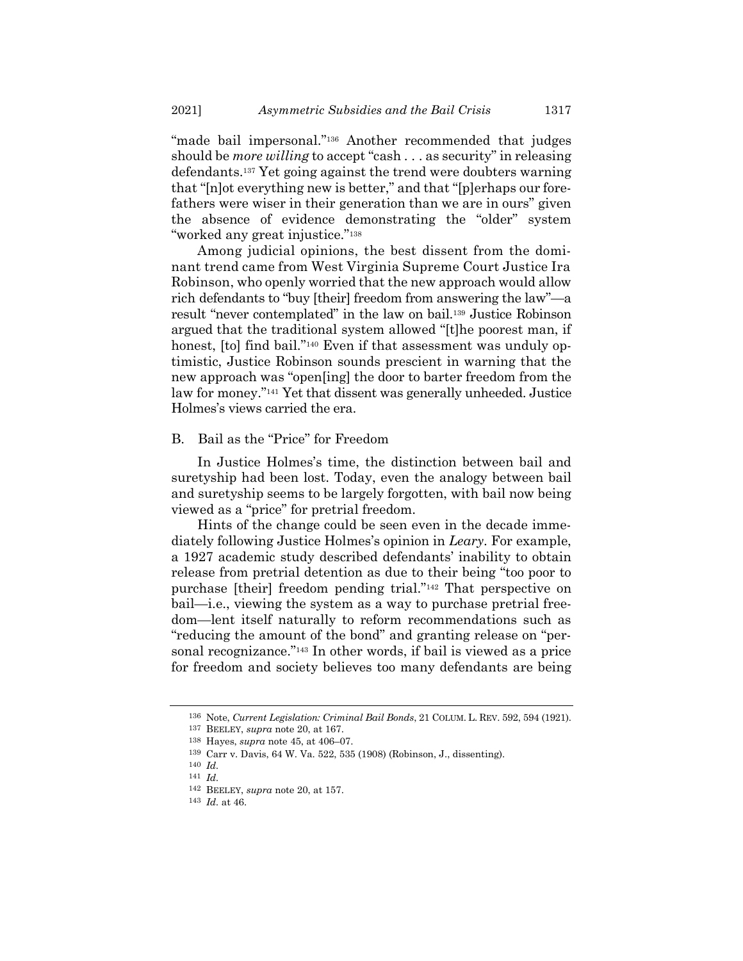"made bail impersonal." <sup>136</sup> Another recommended that judges should be *more willing* to accept "cash . . . as security" in releasing defendants.<sup>137</sup> Yet going against the trend were doubters warning that "[n]ot everything new is better," and that "[p]erhaps our forefathers were wiser in their generation than we are in ours" given the absence of evidence demonstrating the "older" system "worked any great injustice."<sup>138</sup>

Among judicial opinions, the best dissent from the dominant trend came from West Virginia Supreme Court Justice Ira Robinson, who openly worried that the new approach would allow rich defendants to "buy [their] freedom from answering the law"—a result "never contemplated" in the law on bail.<sup>139</sup> Justice Robinson argued that the traditional system allowed "[t]he poorest man, if honest, [to] find bail."<sup>140</sup> Even if that assessment was unduly optimistic, Justice Robinson sounds prescient in warning that the new approach was "open[ing] the door to barter freedom from the law for money."<sup>141</sup> Yet that dissent was generally unheeded. Justice Holmes's views carried the era.

### B. Bail as the "Price" for Freedom

In Justice Holmes's time, the distinction between bail and suretyship had been lost. Today, even the analogy between bail and suretyship seems to be largely forgotten, with bail now being viewed as a "price" for pretrial freedom.

Hints of the change could be seen even in the decade immediately following Justice Holmes's opinion in *Leary*. For example, a 1927 academic study described defendants' inability to obtain release from pretrial detention as due to their being "too poor to purchase [their] freedom pending trial."<sup>142</sup> That perspective on bail—i.e., viewing the system as a way to purchase pretrial freedom—lent itself naturally to reform recommendations such as "reducing the amount of the bond" and granting release on "personal recognizance."<sup>143</sup> In other words, if bail is viewed as a price for freedom and society believes too many defendants are being

<sup>136</sup> Note, *Current Legislation: Criminal Bail Bonds*, 21 COLUM. L. REV. 592, 594 (1921).

<sup>137</sup> BEELEY, *supra* not[e 20,](#page-6-3) at 167.

<sup>138</sup> Hayes, *supra* note [45,](#page-15-0) at 406–07.

<sup>139</sup> Carr v. Davis, 64 W. Va. 522, 535 (1908) (Robinson, J., dissenting).

<sup>140</sup> *Id.*

<sup>141</sup> *Id.*

<sup>142</sup> BEELEY, *supra* not[e 20,](#page-6-3) at 157.

<sup>143</sup> *Id.* at 46.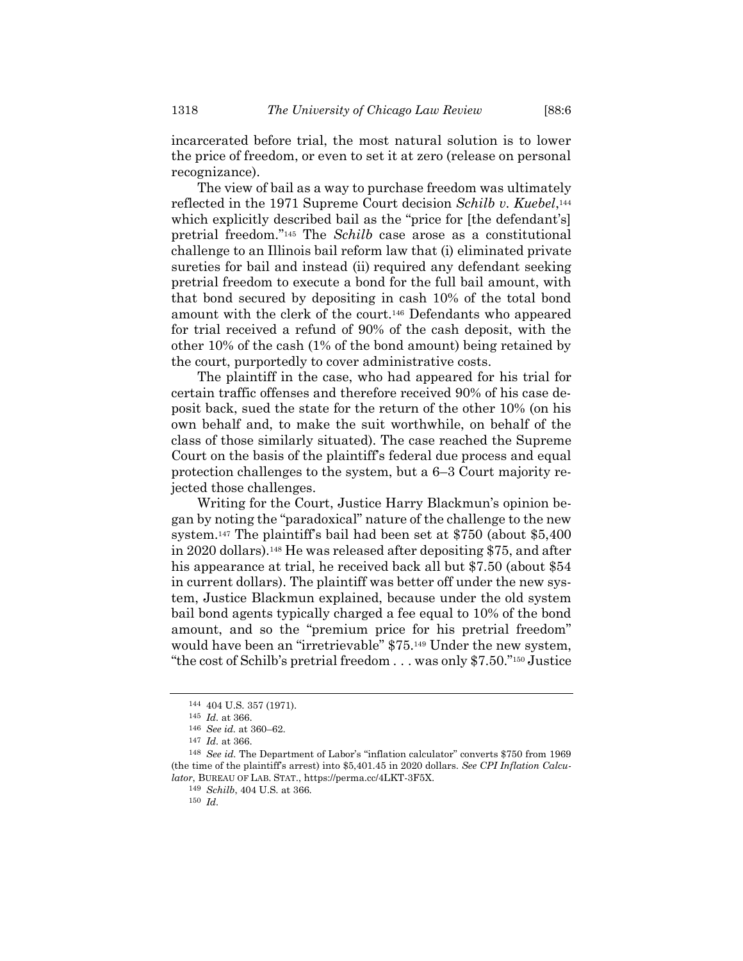incarcerated before trial, the most natural solution is to lower the price of freedom, or even to set it at zero (release on personal recognizance).

The view of bail as a way to purchase freedom was ultimately reflected in the 1971 Supreme Court decision *Schilb v. Kuebel*, 144 which explicitly described bail as the "price for [the defendant's] pretrial freedom." <sup>145</sup> The *Schilb* case arose as a constitutional challenge to an Illinois bail reform law that (i) eliminated private sureties for bail and instead (ii) required any defendant seeking pretrial freedom to execute a bond for the full bail amount, with that bond secured by depositing in cash 10% of the total bond amount with the clerk of the court.<sup>146</sup> Defendants who appeared for trial received a refund of 90% of the cash deposit, with the other 10% of the cash (1% of the bond amount) being retained by the court, purportedly to cover administrative costs.

The plaintiff in the case, who had appeared for his trial for certain traffic offenses and therefore received 90% of his case deposit back, sued the state for the return of the other 10% (on his own behalf and, to make the suit worthwhile, on behalf of the class of those similarly situated). The case reached the Supreme Court on the basis of the plaintiff's federal due process and equal protection challenges to the system, but a 6–3 Court majority rejected those challenges.

Writing for the Court, Justice Harry Blackmun's opinion began by noting the "paradoxical" nature of the challenge to the new system.<sup>147</sup> The plaintiff's bail had been set at \$750 (about \$5,400 in 2020 dollars).<sup>148</sup> He was released after depositing \$75, and after his appearance at trial, he received back all but \$7.50 (about \$54 in current dollars). The plaintiff was better off under the new system, Justice Blackmun explained, because under the old system bail bond agents typically charged a fee equal to 10% of the bond amount, and so the "premium price for his pretrial freedom" would have been an "irretrievable" \$75.<sup>149</sup> Under the new system, "the cost of Schilb's pretrial freedom . . . was only \$7.50."<sup>150</sup> Justice

<sup>144</sup> 404 U.S. 357 (1971).

<sup>145</sup> *Id.* at 366.

<sup>146</sup> *See id.* at 360–62.

<sup>147</sup> *Id.* at 366.

<sup>148</sup> *See id.* The Department of Labor's "inflation calculator" converts \$750 from 1969 (the time of the plaintiff's arrest) into \$5,401.45 in 2020 dollars. *See CPI Inflation Calculator*, BUREAU OF LAB. STAT., https://perma.cc/4LKT-3F5X.

<sup>149</sup> *Schilb*, 404 U.S. at 366.

<sup>150</sup> *Id.*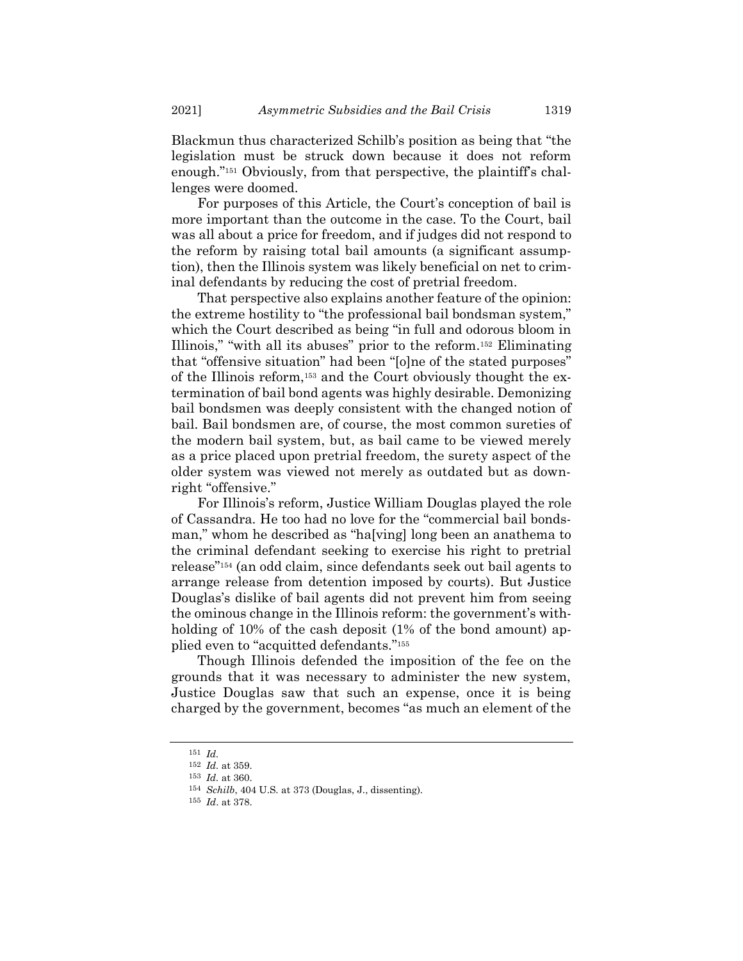Blackmun thus characterized Schilb's position as being that "the legislation must be struck down because it does not reform enough."<sup>151</sup> Obviously, from that perspective, the plaintiff's challenges were doomed.

For purposes of this Article, the Court's conception of bail is more important than the outcome in the case. To the Court, bail was all about a price for freedom, and if judges did not respond to the reform by raising total bail amounts (a significant assumption), then the Illinois system was likely beneficial on net to criminal defendants by reducing the cost of pretrial freedom.

That perspective also explains another feature of the opinion: the extreme hostility to "the professional bail bondsman system," which the Court described as being "in full and odorous bloom in Illinois," "with all its abuses" prior to the reform.<sup>152</sup> Eliminating that "offensive situation" had been "[o]ne of the stated purposes" of the Illinois reform,<sup>153</sup> and the Court obviously thought the extermination of bail bond agents was highly desirable. Demonizing bail bondsmen was deeply consistent with the changed notion of bail. Bail bondsmen are, of course, the most common sureties of the modern bail system, but, as bail came to be viewed merely as a price placed upon pretrial freedom, the surety aspect of the older system was viewed not merely as outdated but as downright "offensive."

For Illinois's reform, Justice William Douglas played the role of Cassandra. He too had no love for the "commercial bail bondsman," whom he described as "ha[ving] long been an anathema to the criminal defendant seeking to exercise his right to pretrial release"<sup>154</sup> (an odd claim, since defendants seek out bail agents to arrange release from detention imposed by courts). But Justice Douglas's dislike of bail agents did not prevent him from seeing the ominous change in the Illinois reform: the government's withholding of 10% of the cash deposit (1% of the bond amount) applied even to "acquitted defendants."<sup>155</sup>

Though Illinois defended the imposition of the fee on the grounds that it was necessary to administer the new system, Justice Douglas saw that such an expense, once it is being charged by the government, becomes "as much an element of the

<sup>151</sup> *Id.*

<sup>152</sup> *Id.* at 359.

<sup>153</sup> *Id.* at 360.

<sup>154</sup> *Schilb*, 404 U.S. at 373 (Douglas, J., dissenting).

<sup>155</sup> *Id*. at 378.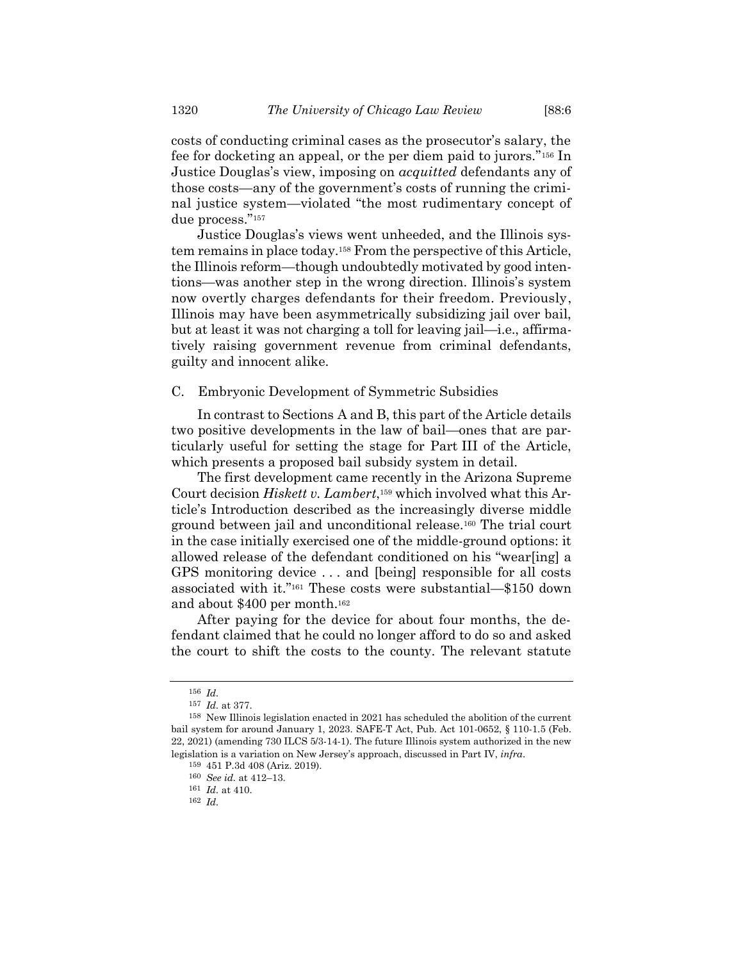costs of conducting criminal cases as the prosecutor's salary, the fee for docketing an appeal, or the per diem paid to jurors."<sup>156</sup> In Justice Douglas's view, imposing on *acquitted* defendants any of those costs—any of the government's costs of running the criminal justice system—violated "the most rudimentary concept of due process."<sup>157</sup>

Justice Douglas's views went unheeded, and the Illinois system remains in place today.<sup>158</sup> From the perspective of this Article, the Illinois reform—though undoubtedly motivated by good intentions—was another step in the wrong direction. Illinois's system now overtly charges defendants for their freedom. Previously, Illinois may have been asymmetrically subsidizing jail over bail, but at least it was not charging a toll for leaving jail—i.e., affirmatively raising government revenue from criminal defendants, guilty and innocent alike.

## C. Embryonic Development of Symmetric Subsidies

In contrast to Sections A and B, this part of the Article details two positive developments in the law of bail—ones that are particularly useful for setting the stage for Part III of the Article, which presents a proposed bail subsidy system in detail.

The first development came recently in the Arizona Supreme Court decision *Hiskett v. Lambert*, <sup>159</sup> which involved what this Article's Introduction described as the increasingly diverse middle ground between jail and unconditional release.<sup>160</sup> The trial court in the case initially exercised one of the middle-ground options: it allowed release of the defendant conditioned on his "wear[ing] a GPS monitoring device . . . and [being] responsible for all costs associated with it."<sup>161</sup> These costs were substantial—\$150 down and about \$400 per month.<sup>162</sup>

After paying for the device for about four months, the defendant claimed that he could no longer afford to do so and asked the court to shift the costs to the county. The relevant statute

<sup>156</sup> *Id.*

<sup>157</sup> *Id.* at 377.

<sup>158</sup> New Illinois legislation enacted in 2021 has scheduled the abolition of the current bail system for around January 1, 2023. SAFE-T Act, Pub. Act 101-0652, § 110-1.5 (Feb. 22, 2021) (amending 730 ILCS 5/3-14-1). The future Illinois system authorized in the new legislation is a variation on New Jersey's approach, discussed in Part IV, *infra*.

<sup>159</sup> 451 P.3d 408 (Ariz. 2019).

<sup>160</sup> *See id.* at 412–13.

<sup>161</sup> *Id.* at 410.

<sup>162</sup> *Id.*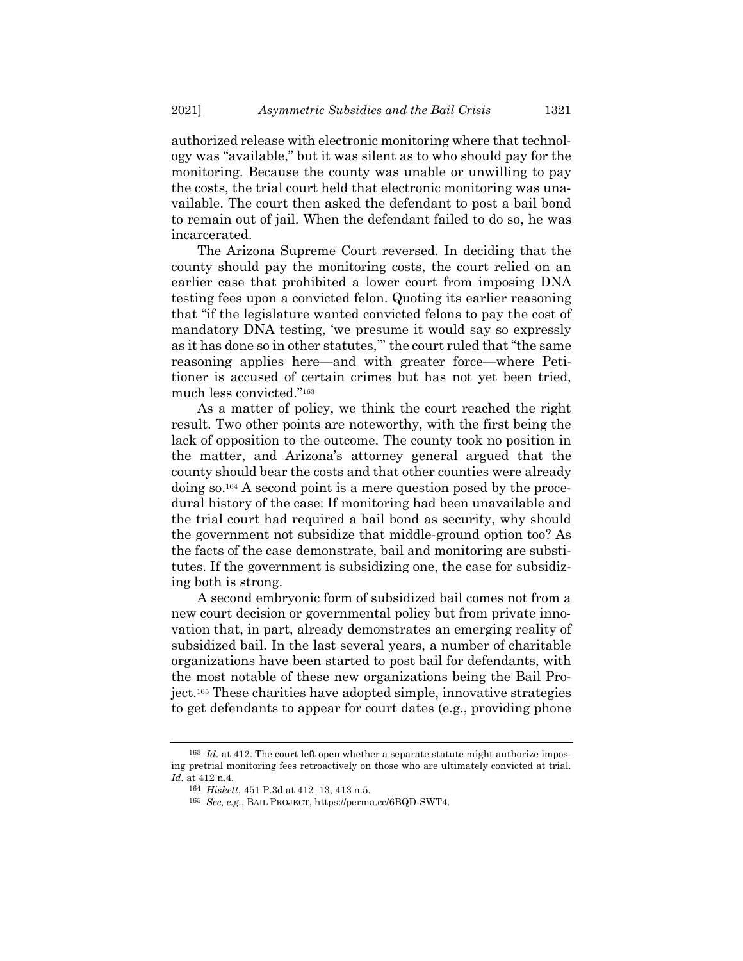authorized release with electronic monitoring where that technology was "available," but it was silent as to who should pay for the monitoring. Because the county was unable or unwilling to pay the costs, the trial court held that electronic monitoring was unavailable. The court then asked the defendant to post a bail bond to remain out of jail. When the defendant failed to do so, he was incarcerated.

The Arizona Supreme Court reversed. In deciding that the county should pay the monitoring costs, the court relied on an earlier case that prohibited a lower court from imposing DNA testing fees upon a convicted felon. Quoting its earlier reasoning that "if the legislature wanted convicted felons to pay the cost of mandatory DNA testing, 'we presume it would say so expressly as it has done so in other statutes,'" the court ruled that "the same reasoning applies here—and with greater force—where Petitioner is accused of certain crimes but has not yet been tried, much less convicted."<sup>163</sup>

As a matter of policy, we think the court reached the right result. Two other points are noteworthy, with the first being the lack of opposition to the outcome. The county took no position in the matter, and Arizona's attorney general argued that the county should bear the costs and that other counties were already doing so.<sup>164</sup> A second point is a mere question posed by the procedural history of the case: If monitoring had been unavailable and the trial court had required a bail bond as security, why should the government not subsidize that middle-ground option too? As the facts of the case demonstrate, bail and monitoring are substitutes. If the government is subsidizing one, the case for subsidizing both is strong.

A second embryonic form of subsidized bail comes not from a new court decision or governmental policy but from private innovation that, in part, already demonstrates an emerging reality of subsidized bail. In the last several years, a number of charitable organizations have been started to post bail for defendants, with the most notable of these new organizations being the Bail Project.<sup>165</sup> These charities have adopted simple, innovative strategies to get defendants to appear for court dates (e.g., providing phone

<sup>&</sup>lt;sup>163</sup> *Id.* at 412. The court left open whether a separate statute might authorize imposing pretrial monitoring fees retroactively on those who are ultimately convicted at trial. *Id.* at 412 n.4.

<sup>164</sup> *Hiskett*, 451 P.3d at 412–13, 413 n.5.

<sup>165</sup> *See, e.g.*, BAIL PROJECT, https://perma.cc/6BQD-SWT4.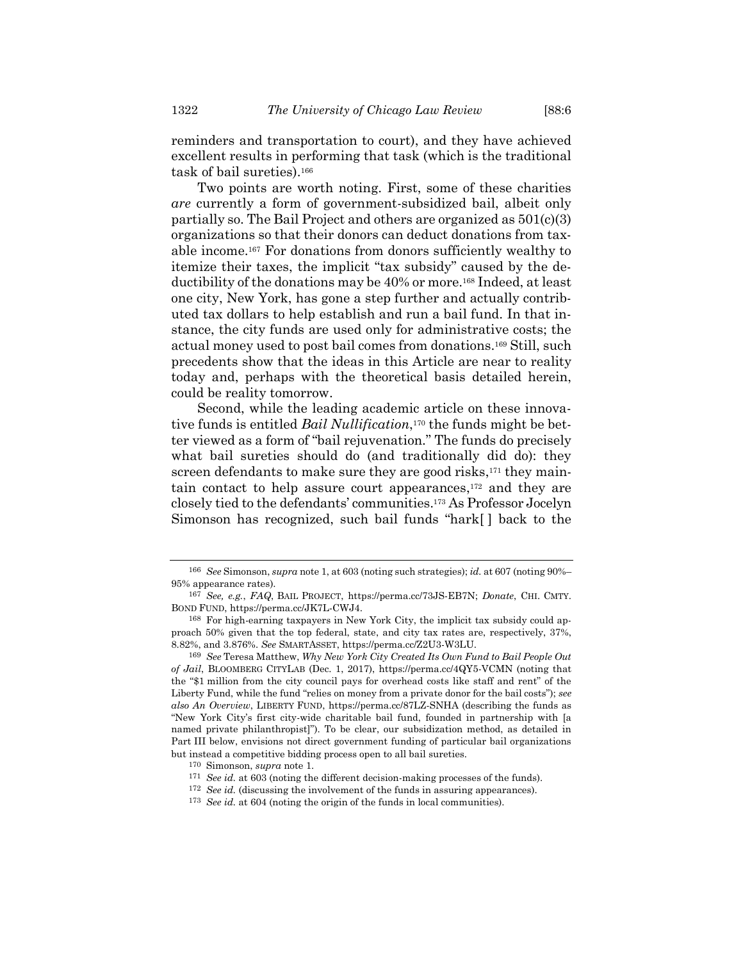reminders and transportation to court), and they have achieved excellent results in performing that task (which is the traditional task of bail sureties).<sup>166</sup>

Two points are worth noting. First, some of these charities *are* currently a form of government-subsidized bail, albeit only partially so. The Bail Project and others are organized as 501(c)(3) organizations so that their donors can deduct donations from taxable income.<sup>167</sup> For donations from donors sufficiently wealthy to itemize their taxes, the implicit "tax subsidy" caused by the deductibility of the donations may be 40% or more.<sup>168</sup> Indeed, at least one city, New York, has gone a step further and actually contributed tax dollars to help establish and run a bail fund. In that instance, the city funds are used only for administrative costs; the actual money used to post bail comes from donations.<sup>169</sup> Still, such precedents show that the ideas in this Article are near to reality today and, perhaps with the theoretical basis detailed herein, could be reality tomorrow.

Second, while the leading academic article on these innovative funds is entitled *Bail Nullification*, <sup>170</sup> the funds might be better viewed as a form of "bail rejuvenation." The funds do precisely what bail sureties should do (and traditionally did do): they screen defendants to make sure they are good risks,<sup>171</sup> they maintain contact to help assure court appearances, <sup>172</sup> and they are closely tied to the defendants' communities.<sup>173</sup> As Professor Jocelyn Simonson has recognized, such bail funds "hark[ ] back to the

173 *See id.* at 604 (noting the origin of the funds in local communities).

<sup>166</sup> *See* Simonson, *supra* not[e 1,](#page-1-0) at 603 (noting such strategies); *id.* at 607 (noting 90%– 95% appearance rates).

<sup>167</sup> *See, e.g.*, *FAQ*, BAIL PROJECT, https://perma.cc/73JS-EB7N; *Donate*, CHI. CMTY. BOND FUND, https://perma.cc/JK7L-CWJ4.

<sup>168</sup> For high-earning taxpayers in New York City, the implicit tax subsidy could approach 50% given that the top federal, state, and city tax rates are, respectively, 37%, 8.82%, and 3.876%. *See* SMARTASSET, https://perma.cc/Z2U3-W3LU.

<sup>169</sup> *See* Teresa Matthew, *Why New York City Created Its Own Fund to Bail People Out of Jail*, BLOOMBERG CITYLAB (Dec. 1, 2017), https://perma.cc/4QY5-VCMN (noting that the "\$1 million from the city council pays for overhead costs like staff and rent" of the Liberty Fund, while the fund "relies on money from a private donor for the bail costs"); *see also An Overview*, LIBERTY FUND, https://perma.cc/87LZ-SNHA (describing the funds as "New York City's first city-wide charitable bail fund, founded in partnership with [a named private philanthropist]"). To be clear, our subsidization method, as detailed in Part III below, envisions not direct government funding of particular bail organizations but instead a competitive bidding process open to all bail sureties.

<sup>170</sup> Simonson, *supra* not[e 1.](#page-1-0)

<sup>171</sup> *See id.* at 603 (noting the different decision-making processes of the funds).

<sup>172</sup> *See id.* (discussing the involvement of the funds in assuring appearances).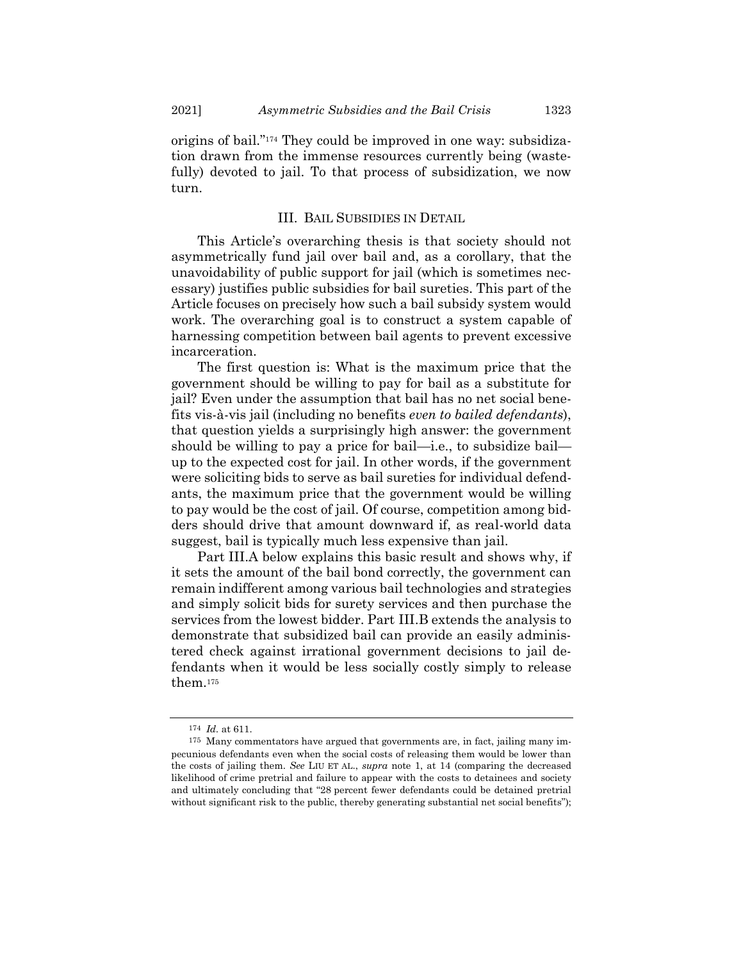origins of bail."<sup>174</sup> They could be improved in one way: subsidization drawn from the immense resources currently being (wastefully) devoted to jail. To that process of subsidization, we now turn.

## III. BAIL SUBSIDIES IN DETAIL

This Article's overarching thesis is that society should not asymmetrically fund jail over bail and, as a corollary, that the unavoidability of public support for jail (which is sometimes necessary) justifies public subsidies for bail sureties. This part of the Article focuses on precisely how such a bail subsidy system would work. The overarching goal is to construct a system capable of harnessing competition between bail agents to prevent excessive incarceration.

The first question is: What is the maximum price that the government should be willing to pay for bail as a substitute for jail? Even under the assumption that bail has no net social benefits vis-à-vis jail (including no benefits *even to bailed defendants*), that question yields a surprisingly high answer: the government should be willing to pay a price for bail—i.e., to subsidize bail up to the expected cost for jail. In other words, if the government were soliciting bids to serve as bail sureties for individual defendants, the maximum price that the government would be willing to pay would be the cost of jail. Of course, competition among bidders should drive that amount downward if, as real-world data suggest, bail is typically much less expensive than jail.

Part III.A below explains this basic result and shows why, if it sets the amount of the bail bond correctly, the government can remain indifferent among various bail technologies and strategies and simply solicit bids for surety services and then purchase the services from the lowest bidder. Part III.B extends the analysis to demonstrate that subsidized bail can provide an easily administered check against irrational government decisions to jail defendants when it would be less socially costly simply to release them.<sup>175</sup>

<sup>174</sup> *Id.* at 611.

<sup>175</sup> Many commentators have argued that governments are, in fact, jailing many impecunious defendants even when the social costs of releasing them would be lower than the costs of jailing them. *See* LIU ET AL., *supra* note [1,](#page-1-0) at 14 (comparing the decreased likelihood of crime pretrial and failure to appear with the costs to detainees and society and ultimately concluding that "28 percent fewer defendants could be detained pretrial without significant risk to the public, thereby generating substantial net social benefits");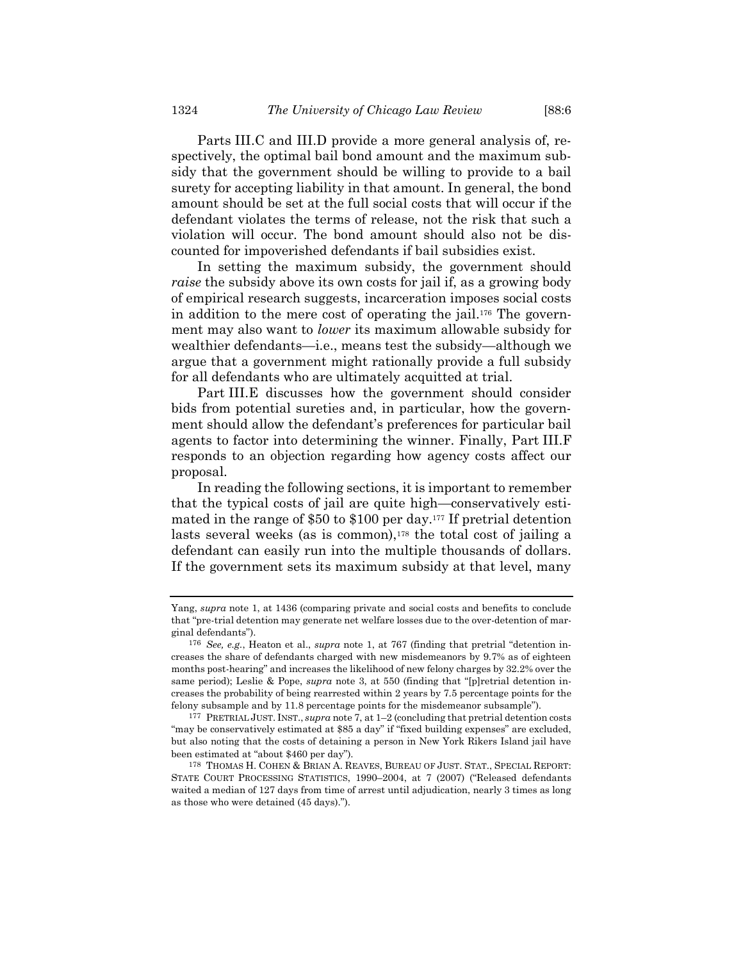Parts III.C and III.D provide a more general analysis of, respectively, the optimal bail bond amount and the maximum subsidy that the government should be willing to provide to a bail surety for accepting liability in that amount. In general, the bond amount should be set at the full social costs that will occur if the defendant violates the terms of release, not the risk that such a violation will occur. The bond amount should also not be discounted for impoverished defendants if bail subsidies exist.

<span id="page-39-0"></span>In setting the maximum subsidy, the government should *raise* the subsidy above its own costs for jail if, as a growing body of empirical research suggests, incarceration imposes social costs in addition to the mere cost of operating the jail. <sup>176</sup> The government may also want to *lower* its maximum allowable subsidy for wealthier defendants—i.e., means test the subsidy—although we argue that a government might rationally provide a full subsidy for all defendants who are ultimately acquitted at trial.

Part III.E discusses how the government should consider bids from potential sureties and, in particular, how the government should allow the defendant's preferences for particular bail agents to factor into determining the winner. Finally, Part III.F responds to an objection regarding how agency costs affect our proposal.

In reading the following sections, it is important to remember that the typical costs of jail are quite high—conservatively estimated in the range of \$50 to \$100 per day.<sup>177</sup> If pretrial detention lasts several weeks (as is common),<sup>178</sup> the total cost of jailing a defendant can easily run into the multiple thousands of dollars. If the government sets its maximum subsidy at that level, many

Yang, *supra* not[e 1,](#page-1-0) at 1436 (comparing private and social costs and benefits to conclude that "pre-trial detention may generate net welfare losses due to the over-detention of marginal defendants").

<sup>176</sup> *See, e.g.*, Heaton et al., *supra* note [1](#page-1-0), at 767 (finding that pretrial "detention increases the share of defendants charged with new misdemeanors by 9.7% as of eighteen months post-hearing" and increases the likelihood of new felony charges by 32.2% over the same period); Leslie & Pope, *supra* note [3](#page-2-0), at 550 (finding that "[p]retrial detention increases the probability of being rearrested within 2 years by 7.5 percentage points for the felony subsample and by 11.8 percentage points for the misdemeanor subsample").

<sup>177</sup> PRETRIAL JUST. INST., *supra* not[e 7,](#page-3-0) at 1–2 (concluding that pretrial detention costs "may be conservatively estimated at \$85 a day" if "fixed building expenses" are excluded, but also noting that the costs of detaining a person in New York Rikers Island jail have been estimated at "about \$460 per day").

<sup>178</sup> THOMAS H. COHEN & BRIAN A. REAVES, BUREAU OF JUST. STAT., SPECIAL REPORT: STATE COURT PROCESSING STATISTICS, 1990–2004, at 7 (2007) ("Released defendants waited a median of 127 days from time of arrest until adjudication, nearly 3 times as long as those who were detained (45 days).").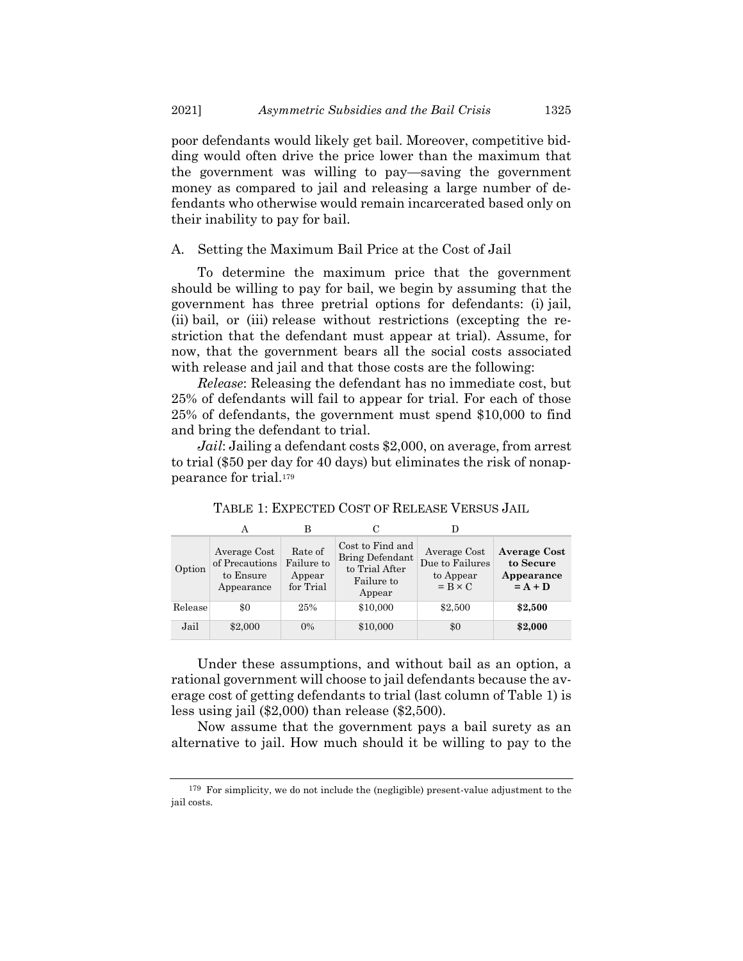poor defendants would likely get bail. Moreover, competitive bidding would often drive the price lower than the maximum that the government was willing to pay—saving the government money as compared to jail and releasing a large number of defendants who otherwise would remain incarcerated based only on their inability to pay for bail.

A. Setting the Maximum Bail Price at the Cost of Jail

To determine the maximum price that the government should be willing to pay for bail, we begin by assuming that the government has three pretrial options for defendants: (i) jail, (ii) bail, or (iii) release without restrictions (excepting the restriction that the defendant must appear at trial). Assume, for now, that the government bears all the social costs associated with release and jail and that those costs are the following:

*Release*: Releasing the defendant has no immediate cost, but 25% of defendants will fail to appear for trial. For each of those 25% of defendants, the government must spend \$10,000 to find and bring the defendant to trial.

*Jail*: Jailing a defendant costs \$2,000, on average, from arrest to trial (\$50 per day for 40 days) but eliminates the risk of nonappearance for trial.<sup>179</sup>

|         | A                                                         |                                              | C                                                                             |                                                                |                                                             |
|---------|-----------------------------------------------------------|----------------------------------------------|-------------------------------------------------------------------------------|----------------------------------------------------------------|-------------------------------------------------------------|
| Option  | Average Cost<br>of Precautions<br>to Ensure<br>Appearance | Rate of<br>Failure to<br>Appear<br>for Trial | Cost to Find and<br>Bring Defendant<br>to Trial After<br>Failure to<br>Appear | Average Cost<br>Due to Failures<br>to Appear<br>$= B \times C$ | <b>Average Cost</b><br>to Secure<br>Appearance<br>$= A + D$ |
| Release | \$0                                                       | 25%                                          | \$10,000                                                                      | \$2,500                                                        | \$2,500                                                     |
| Jail    | \$2,000                                                   | $0\%$                                        | \$10,000                                                                      | \$0                                                            | \$2,000                                                     |

TABLE 1: EXPECTED COST OF RELEASE VERSUS JAIL

Under these assumptions, and without bail as an option, a rational government will choose to jail defendants because the average cost of getting defendants to trial (last column of Table 1) is less using jail (\$2,000) than release (\$2,500).

Now assume that the government pays a bail surety as an alternative to jail. How much should it be willing to pay to the

<sup>179</sup> For simplicity, we do not include the (negligible) present-value adjustment to the jail costs.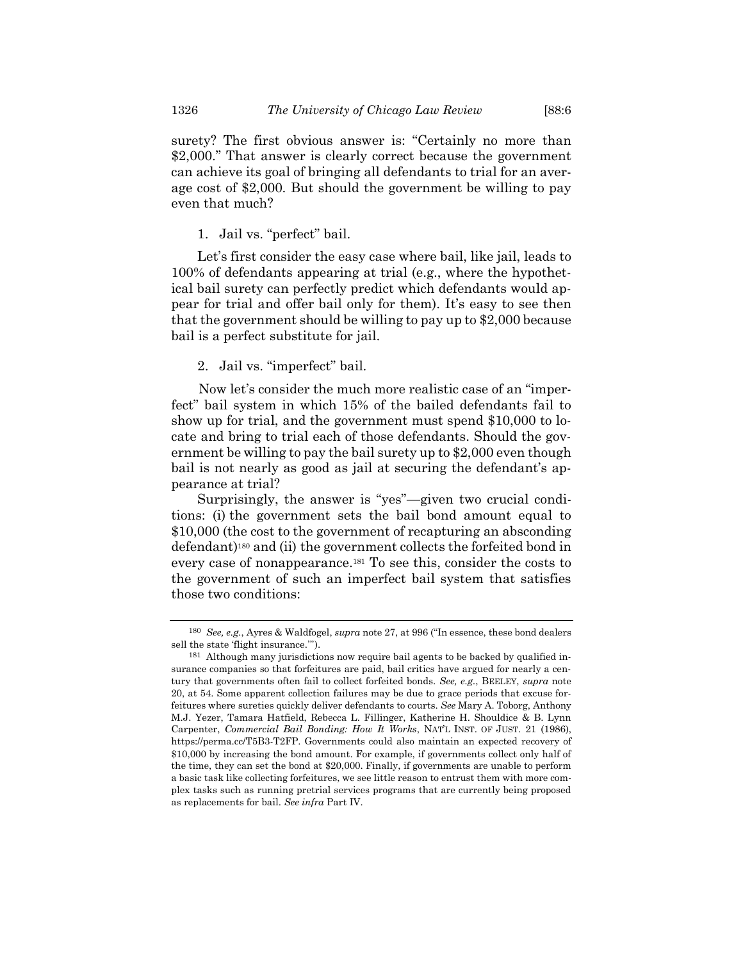surety? The first obvious answer is: "Certainly no more than \$2,000." That answer is clearly correct because the government can achieve its goal of bringing all defendants to trial for an average cost of \$2,000. But should the government be willing to pay even that much?

## 1. Jail vs. "perfect" bail.

Let's first consider the easy case where bail, like jail, leads to 100% of defendants appearing at trial (e.g., where the hypothetical bail surety can perfectly predict which defendants would appear for trial and offer bail only for them). It's easy to see then that the government should be willing to pay up to \$2,000 because bail is a perfect substitute for jail.

## 2. Jail vs. "imperfect" bail.

Now let's consider the much more realistic case of an "imperfect" bail system in which 15% of the bailed defendants fail to show up for trial, and the government must spend \$10,000 to locate and bring to trial each of those defendants. Should the government be willing to pay the bail surety up to \$2,000 even though bail is not nearly as good as jail at securing the defendant's appearance at trial?

Surprisingly, the answer is "yes"—given two crucial conditions: (i) the government sets the bail bond amount equal to \$10,000 (the cost to the government of recapturing an absconding defendant)<sup>180</sup> and (ii) the government collects the forfeited bond in every case of nonappearance.<sup>181</sup> To see this, consider the costs to the government of such an imperfect bail system that satisfies those two conditions:

<sup>180</sup> *See, e.g.*, Ayres & Waldfogel, *supra* note [27](#page-7-0), at 996 ("In essence, these bond dealers sell the state 'flight insurance.'").

<sup>181</sup> Although many jurisdictions now require bail agents to be backed by qualified insurance companies so that forfeitures are paid, bail critics have argued for nearly a century that governments often fail to collect forfeited bonds. *See, e.g.*, BEELEY, *supra* note [20,](#page-6-0) at 54. Some apparent collection failures may be due to grace periods that excuse forfeitures where sureties quickly deliver defendants to courts. *See* Mary A. Toborg, Anthony M.J. Yezer, Tamara Hatfield, Rebecca L. Fillinger, Katherine H. Shouldice & B. Lynn Carpenter, *Commercial Bail Bonding: How It Works*, NAT'L INST. OF JUST. 21 (1986), https://perma.cc/T5B3-T2FP. Governments could also maintain an expected recovery of \$10,000 by increasing the bond amount. For example, if governments collect only half of the time, they can set the bond at \$20,000. Finally, if governments are unable to perform a basic task like collecting forfeitures, we see little reason to entrust them with more complex tasks such as running pretrial services programs that are currently being proposed as replacements for bail. *See infra* Part IV.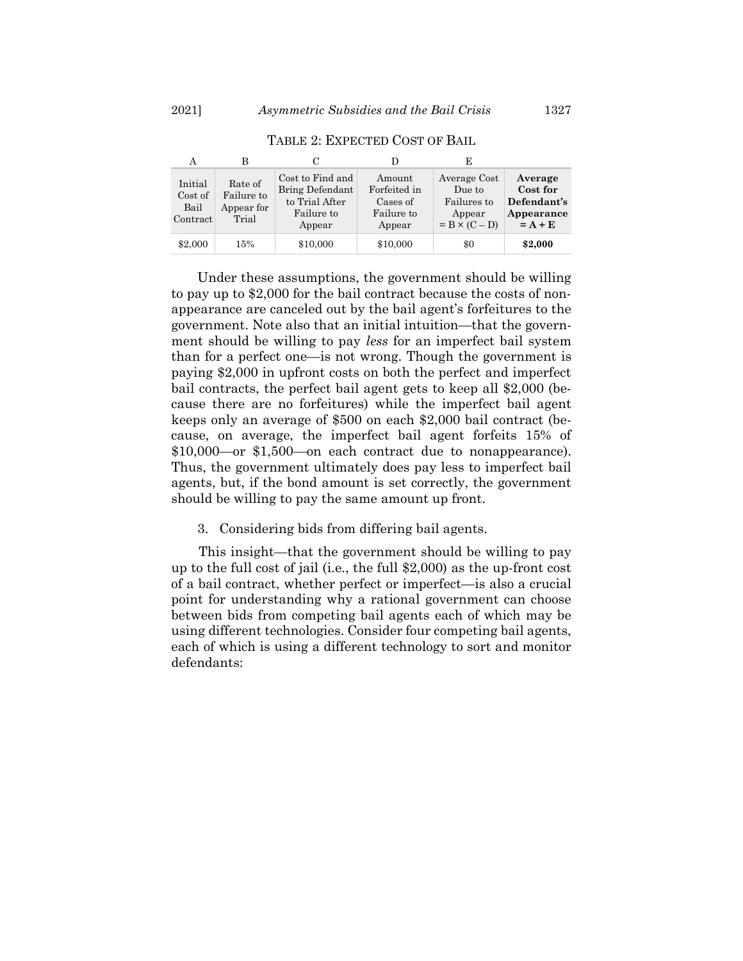| А                                      |                                              |                                                                               |                                                            |                                                                         |                                                               |
|----------------------------------------|----------------------------------------------|-------------------------------------------------------------------------------|------------------------------------------------------------|-------------------------------------------------------------------------|---------------------------------------------------------------|
| Initial<br>Cost of<br>Bail<br>Contract | Rate of<br>Failure to<br>Appear for<br>Trial | Cost to Find and<br>Bring Defendant<br>to Trial After<br>Failure to<br>Appear | Amount<br>Forfeited in<br>Cases of<br>Failure to<br>Appear | Average Cost<br>Due to<br>Failures to<br>Appear<br>$= B \times (C - D)$ | Average<br>Cost for<br>Defendant's<br>Appearance<br>$= A + E$ |
| \$2,000                                | 15%                                          | \$10,000                                                                      | \$10,000                                                   | \$0                                                                     | \$2,000                                                       |

TABLE 2: EXPECTED COST OF BAIL

Under these assumptions, the government should be willing to pay up to \$2,000 for the bail contract because the costs of nonappearance are canceled out by the bail agent's forfeitures to the government. Note also that an initial intuition—that the government should be willing to pay *less* for an imperfect bail system than for a perfect one—is not wrong. Though the government is paying \$2,000 in upfront costs on both the perfect and imperfect bail contracts, the perfect bail agent gets to keep all \$2,000 (because there are no forfeitures) while the imperfect bail agent keeps only an average of \$500 on each \$2,000 bail contract (because, on average, the imperfect bail agent forfeits 15% of \$10,000—or \$1,500—on each contract due to nonappearance). Thus, the government ultimately does pay less to imperfect bail agents, but, if the bond amount is set correctly, the government should be willing to pay the same amount up front.

#### 3. Considering bids from differing bail agents.

This insight—that the government should be willing to pay up to the full cost of jail (i.e., the full \$2,000) as the up-front cost of a bail contract, whether perfect or imperfect—is also a crucial point for understanding why a rational government can choose between bids from competing bail agents each of which may be using different technologies. Consider four competing bail agents, each of which is using a different technology to sort and monitor defendants: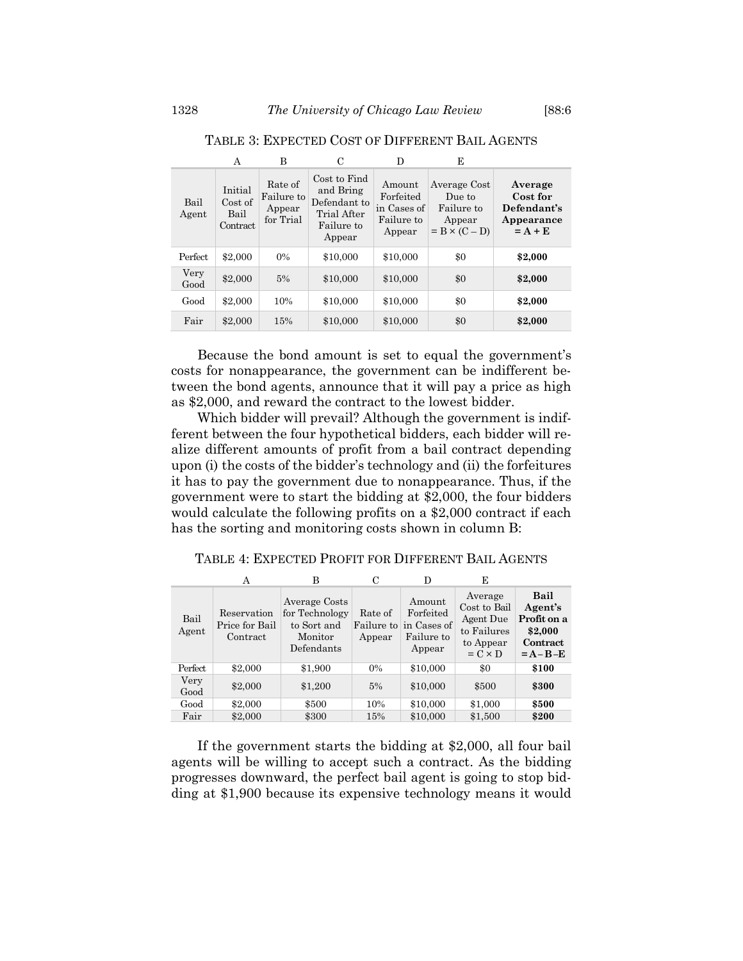|               | А                                      | в                                            | C                                                                                | D                                                          | E                                                                      |                                                               |
|---------------|----------------------------------------|----------------------------------------------|----------------------------------------------------------------------------------|------------------------------------------------------------|------------------------------------------------------------------------|---------------------------------------------------------------|
| Bail<br>Agent | Initial<br>Cost of<br>Bail<br>Contract | Rate of<br>Failure to<br>Appear<br>for Trial | Cost to Find<br>and Bring<br>Defendant to<br>Trial After<br>Failure to<br>Appear | Amount<br>Forfeited<br>in Cases of<br>Failure to<br>Appear | Average Cost<br>Due to<br>Failure to<br>Appear<br>$= B \times (C - D)$ | Average<br>Cost for<br>Defendant's<br>Appearance<br>$= A + E$ |
| Perfect       | \$2,000                                | 0%                                           | \$10,000                                                                         | \$10,000                                                   | \$0                                                                    | \$2,000                                                       |
| Very<br>Good  | \$2,000                                | 5%                                           | \$10,000                                                                         | \$10,000                                                   | \$0                                                                    | \$2,000                                                       |
| Good          | \$2,000                                | 10%                                          | \$10,000                                                                         | \$10,000                                                   | \$0                                                                    | \$2,000                                                       |
| Fair          | \$2,000                                | 15%                                          | \$10,000                                                                         | \$10,000                                                   | \$0                                                                    | \$2,000                                                       |

TABLE 3: EXPECTED COST OF DIFFERENT BAIL AGENTS

Because the bond amount is set to equal the government's costs for nonappearance, the government can be indifferent between the bond agents, announce that it will pay a price as high as \$2,000, and reward the contract to the lowest bidder.

Which bidder will prevail? Although the government is indifferent between the four hypothetical bidders, each bidder will realize different amounts of profit from a bail contract depending upon (i) the costs of the bidder's technology and (ii) the forfeitures it has to pay the government due to nonappearance. Thus, if the government were to start the bidding at \$2,000, the four bidders would calculate the following profits on a \$2,000 contract if each has the sorting and monitoring costs shown in column B:

TABLE 4: EXPECTED PROFIT FOR DIFFERENT BAIL AGENTS

|               | А                                         | в                                                                       | С                 | D                                                                     | E                                                                                  |                                                                        |
|---------------|-------------------------------------------|-------------------------------------------------------------------------|-------------------|-----------------------------------------------------------------------|------------------------------------------------------------------------------------|------------------------------------------------------------------------|
| Bail<br>Agent | Reservation<br>Price for Bail<br>Contract | Average Costs<br>for Technology<br>to Sort and<br>Monitor<br>Defendants | Rate of<br>Appear | Amount<br>Forfeited<br>Failure to in Cases of<br>Failure to<br>Appear | Average<br>Cost to Bail<br>Agent Due<br>to Failures<br>to Appear<br>$= C \times D$ | Bail<br>Agent's<br>Profit on a<br>\$2,000<br>Contract<br>$= A - B - E$ |
| Perfect       | \$2,000                                   | \$1,900                                                                 | $0\%$             | \$10,000                                                              | \$0                                                                                | \$100                                                                  |
| Very<br>Good  | \$2,000                                   | \$1,200                                                                 | 5%                | \$10,000                                                              | \$500                                                                              | \$300                                                                  |
| Good          | \$2,000                                   | \$500                                                                   | 10%               | \$10,000                                                              | \$1,000                                                                            | \$500                                                                  |
| Fair          | \$2,000                                   | \$300                                                                   | 15%               | \$10,000                                                              | \$1,500                                                                            | \$200                                                                  |

If the government starts the bidding at \$2,000, all four bail agents will be willing to accept such a contract. As the bidding progresses downward, the perfect bail agent is going to stop bidding at \$1,900 because its expensive technology means it would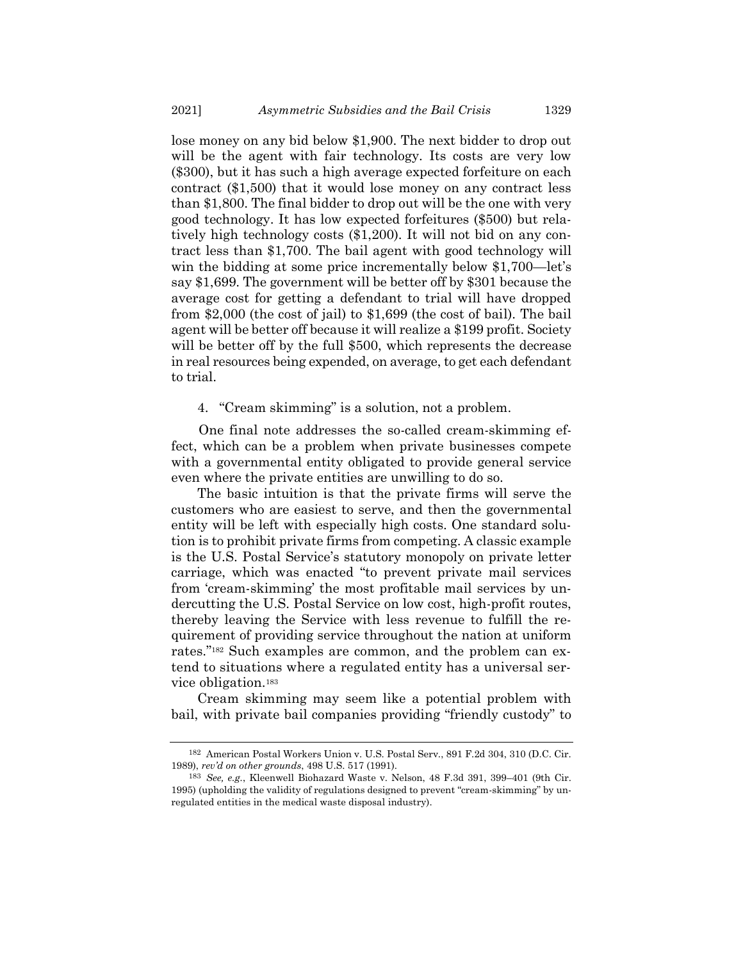lose money on any bid below \$1,900. The next bidder to drop out will be the agent with fair technology. Its costs are very low (\$300), but it has such a high average expected forfeiture on each contract (\$1,500) that it would lose money on any contract less than \$1,800. The final bidder to drop out will be the one with very good technology. It has low expected forfeitures (\$500) but relatively high technology costs (\$1,200). It will not bid on any contract less than \$1,700. The bail agent with good technology will win the bidding at some price incrementally below \$1,700—let's say \$1,699. The government will be better off by \$301 because the average cost for getting a defendant to trial will have dropped from \$2,000 (the cost of jail) to \$1,699 (the cost of bail). The bail agent will be better off because it will realize a \$199 profit. Society will be better off by the full \$500, which represents the decrease in real resources being expended, on average, to get each defendant to trial.

4. "Cream skimming" is a solution, not a problem.

One final note addresses the so-called cream-skimming effect, which can be a problem when private businesses compete with a governmental entity obligated to provide general service even where the private entities are unwilling to do so.

The basic intuition is that the private firms will serve the customers who are easiest to serve, and then the governmental entity will be left with especially high costs. One standard solution is to prohibit private firms from competing. A classic example is the U.S. Postal Service's statutory monopoly on private letter carriage, which was enacted "to prevent private mail services from 'cream-skimming' the most profitable mail services by undercutting the U.S. Postal Service on low cost, high-profit routes, thereby leaving the Service with less revenue to fulfill the requirement of providing service throughout the nation at uniform rates."<sup>182</sup> Such examples are common, and the problem can extend to situations where a regulated entity has a universal service obligation.<sup>183</sup>

Cream skimming may seem like a potential problem with bail, with private bail companies providing "friendly custody" to

<sup>182</sup> American Postal Workers Union v. U.S. Postal Serv., 891 F.2d 304, 310 (D.C. Cir. 1989), *rev'd on other grounds*, 498 U.S. 517 (1991).

<sup>183</sup> *See, e.g.*, Kleenwell Biohazard Waste v. Nelson, 48 F.3d 391, 399–401 (9th Cir. 1995) (upholding the validity of regulations designed to prevent "cream-skimming" by unregulated entities in the medical waste disposal industry).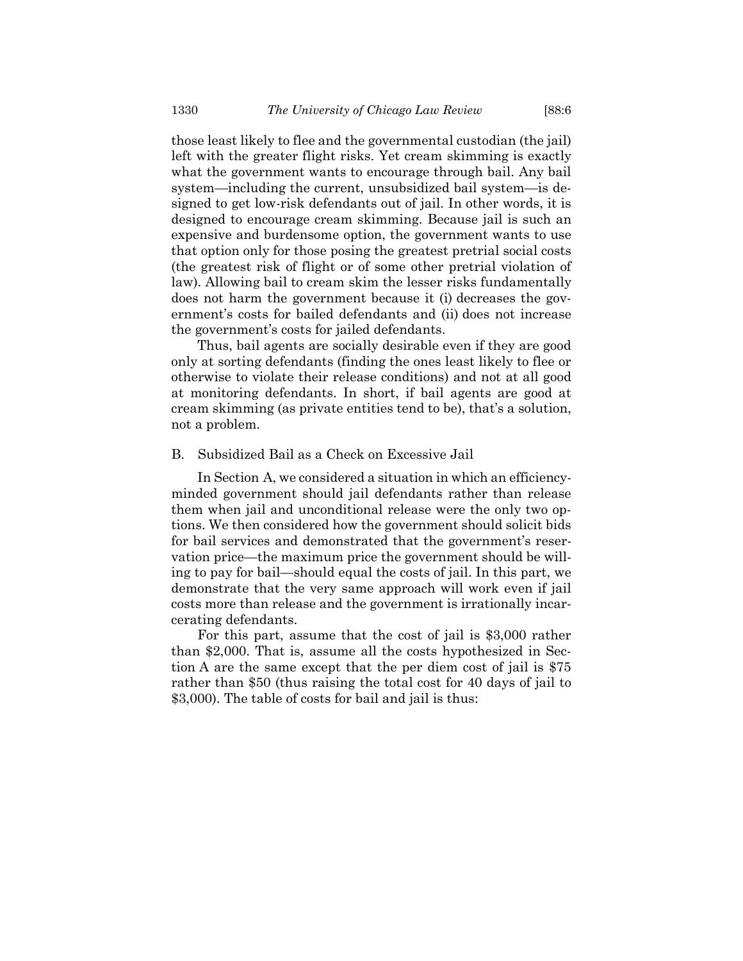those least likely to flee and the governmental custodian (the jail) left with the greater flight risks. Yet cream skimming is exactly what the government wants to encourage through bail. Any bail system—including the current, unsubsidized bail system—is designed to get low-risk defendants out of jail. In other words, it is designed to encourage cream skimming. Because jail is such an expensive and burdensome option, the government wants to use that option only for those posing the greatest pretrial social costs (the greatest risk of flight or of some other pretrial violation of law). Allowing bail to cream skim the lesser risks fundamentally does not harm the government because it (i) decreases the government's costs for bailed defendants and (ii) does not increase the government's costs for jailed defendants.

Thus, bail agents are socially desirable even if they are good only at sorting defendants (finding the ones least likely to flee or otherwise to violate their release conditions) and not at all good at monitoring defendants. In short, if bail agents are good at cream skimming (as private entities tend to be), that's a solution, not a problem.

#### B. Subsidized Bail as a Check on Excessive Jail

In Section A, we considered a situation in which an efficiencyminded government should jail defendants rather than release them when jail and unconditional release were the only two options. We then considered how the government should solicit bids for bail services and demonstrated that the government's reservation price—the maximum price the government should be willing to pay for bail—should equal the costs of jail. In this part, we demonstrate that the very same approach will work even if jail costs more than release and the government is irrationally incarcerating defendants.

For this part, assume that the cost of jail is \$3,000 rather than \$2,000. That is, assume all the costs hypothesized in Section A are the same except that the per diem cost of jail is \$75 rather than \$50 (thus raising the total cost for 40 days of jail to \$3,000). The table of costs for bail and jail is thus: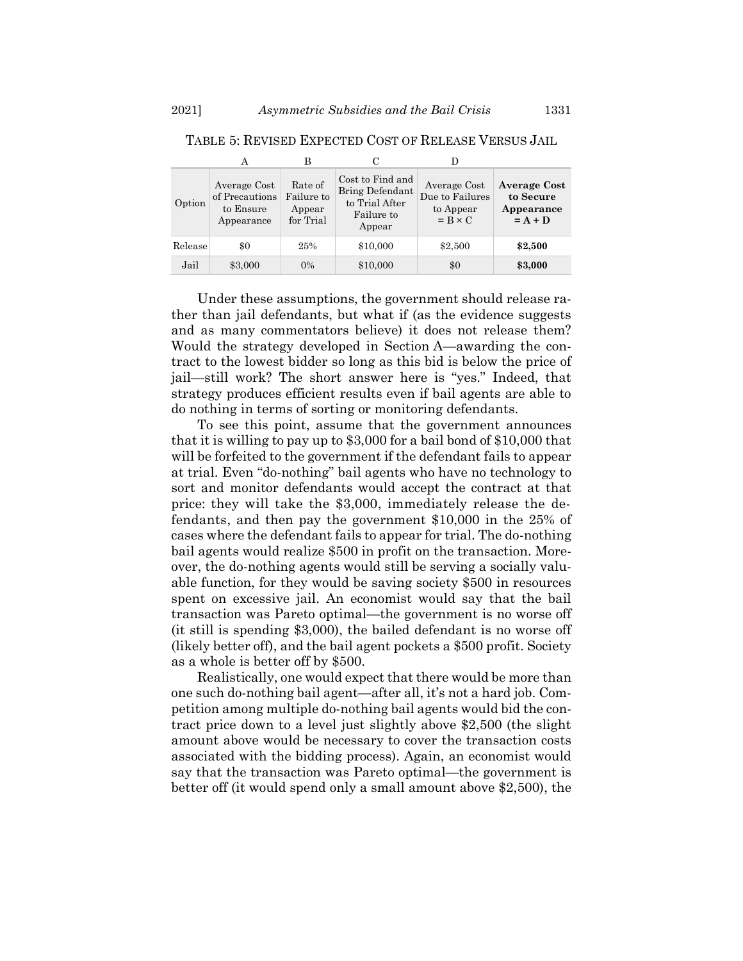|         |                                                           | в                                            | С                                                                             |                                                                |                                                             |
|---------|-----------------------------------------------------------|----------------------------------------------|-------------------------------------------------------------------------------|----------------------------------------------------------------|-------------------------------------------------------------|
| Option  | Average Cost<br>of Precautions<br>to Ensure<br>Appearance | Rate of<br>Failure to<br>Appear<br>for Trial | Cost to Find and<br>Bring Defendant<br>to Trial After<br>Failure to<br>Appear | Average Cost<br>Due to Failures<br>to Appear<br>$= B \times C$ | <b>Average Cost</b><br>to Secure<br>Appearance<br>$= A + D$ |
| Release | \$0                                                       | 25%                                          | \$10,000                                                                      | \$2,500                                                        | \$2,500                                                     |
| Jail    | \$3,000                                                   | $0\%$                                        | \$10,000                                                                      | \$0                                                            | \$3,000                                                     |

TABLE 5: REVISED EXPECTED COST OF RELEASE VERSUS JAIL

Under these assumptions, the government should release rather than jail defendants, but what if (as the evidence suggests and as many commentators believe) it does not release them? Would the strategy developed in Section A—awarding the contract to the lowest bidder so long as this bid is below the price of jail—still work? The short answer here is "yes." Indeed, that strategy produces efficient results even if bail agents are able to do nothing in terms of sorting or monitoring defendants.

To see this point, assume that the government announces that it is willing to pay up to \$3,000 for a bail bond of \$10,000 that will be forfeited to the government if the defendant fails to appear at trial. Even "do-nothing" bail agents who have no technology to sort and monitor defendants would accept the contract at that price: they will take the \$3,000, immediately release the defendants, and then pay the government \$10,000 in the 25% of cases where the defendant fails to appear for trial. The do-nothing bail agents would realize \$500 in profit on the transaction. Moreover, the do-nothing agents would still be serving a socially valuable function, for they would be saving society \$500 in resources spent on excessive jail. An economist would say that the bail transaction was Pareto optimal—the government is no worse off (it still is spending \$3,000), the bailed defendant is no worse off (likely better off), and the bail agent pockets a \$500 profit. Society as a whole is better off by \$500.

Realistically, one would expect that there would be more than one such do-nothing bail agent—after all, it's not a hard job. Competition among multiple do-nothing bail agents would bid the contract price down to a level just slightly above \$2,500 (the slight amount above would be necessary to cover the transaction costs associated with the bidding process). Again, an economist would say that the transaction was Pareto optimal—the government is better off (it would spend only a small amount above \$2,500), the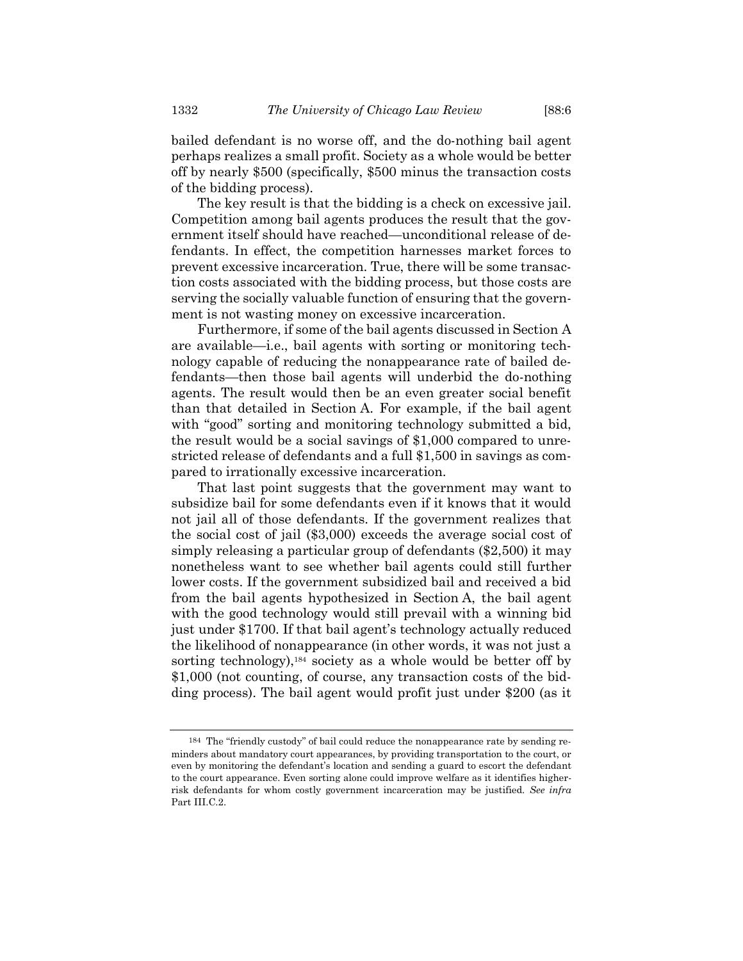bailed defendant is no worse off, and the do-nothing bail agent perhaps realizes a small profit. Society as a whole would be better off by nearly \$500 (specifically, \$500 minus the transaction costs of the bidding process).

The key result is that the bidding is a check on excessive jail. Competition among bail agents produces the result that the government itself should have reached—unconditional release of defendants. In effect, the competition harnesses market forces to prevent excessive incarceration. True, there will be some transaction costs associated with the bidding process, but those costs are serving the socially valuable function of ensuring that the government is not wasting money on excessive incarceration.

Furthermore, if some of the bail agents discussed in Section A are available—i.e., bail agents with sorting or monitoring technology capable of reducing the nonappearance rate of bailed defendants—then those bail agents will underbid the do-nothing agents. The result would then be an even greater social benefit than that detailed in Section A. For example, if the bail agent with "good" sorting and monitoring technology submitted a bid, the result would be a social savings of \$1,000 compared to unrestricted release of defendants and a full \$1,500 in savings as compared to irrationally excessive incarceration.

That last point suggests that the government may want to subsidize bail for some defendants even if it knows that it would not jail all of those defendants. If the government realizes that the social cost of jail (\$3,000) exceeds the average social cost of simply releasing a particular group of defendants (\$2,500) it may nonetheless want to see whether bail agents could still further lower costs. If the government subsidized bail and received a bid from the bail agents hypothesized in Section A, the bail agent with the good technology would still prevail with a winning bid just under \$1700. If that bail agent's technology actually reduced the likelihood of nonappearance (in other words, it was not just a sorting technology),<sup>184</sup> society as a whole would be better off by \$1,000 (not counting, of course, any transaction costs of the bidding process). The bail agent would profit just under \$200 (as it

<sup>184</sup> The "friendly custody" of bail could reduce the nonappearance rate by sending reminders about mandatory court appearances, by providing transportation to the court, or even by monitoring the defendant's location and sending a guard to escort the defendant to the court appearance. Even sorting alone could improve welfare as it identifies higherrisk defendants for whom costly government incarceration may be justified. *See infra* Part III.C.2.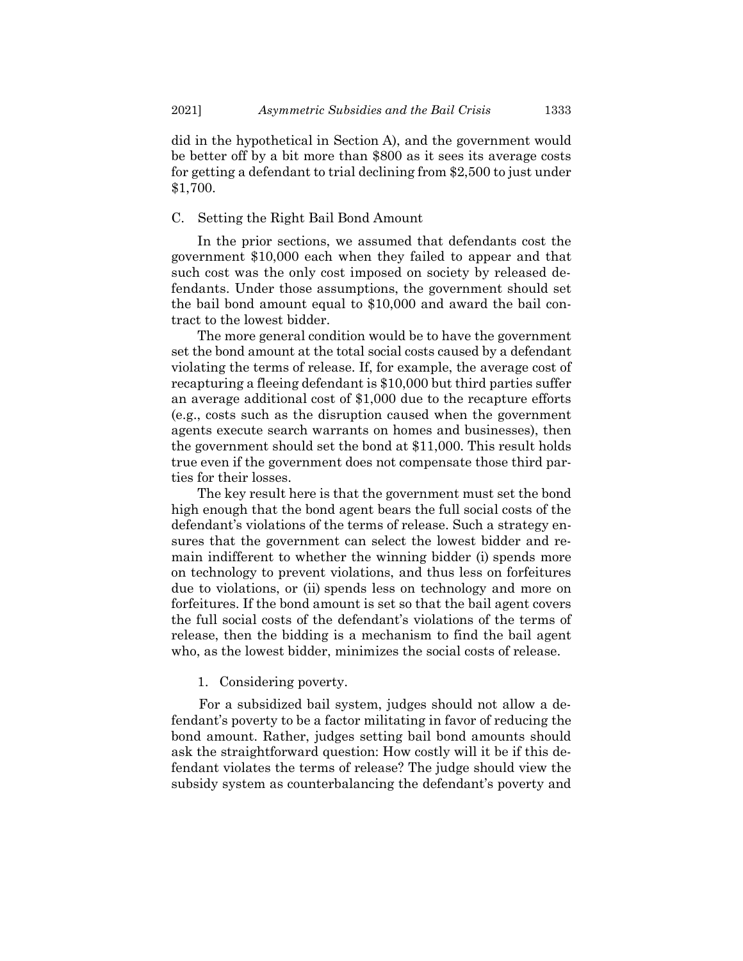did in the hypothetical in Section A), and the government would be better off by a bit more than \$800 as it sees its average costs for getting a defendant to trial declining from \$2,500 to just under \$1,700.

# C. Setting the Right Bail Bond Amount

In the prior sections, we assumed that defendants cost the government \$10,000 each when they failed to appear and that such cost was the only cost imposed on society by released defendants. Under those assumptions, the government should set the bail bond amount equal to \$10,000 and award the bail contract to the lowest bidder.

The more general condition would be to have the government set the bond amount at the total social costs caused by a defendant violating the terms of release. If, for example, the average cost of recapturing a fleeing defendant is \$10,000 but third parties suffer an average additional cost of \$1,000 due to the recapture efforts (e.g., costs such as the disruption caused when the government agents execute search warrants on homes and businesses), then the government should set the bond at \$11,000. This result holds true even if the government does not compensate those third parties for their losses.

The key result here is that the government must set the bond high enough that the bond agent bears the full social costs of the defendant's violations of the terms of release. Such a strategy ensures that the government can select the lowest bidder and remain indifferent to whether the winning bidder (i) spends more on technology to prevent violations, and thus less on forfeitures due to violations, or (ii) spends less on technology and more on forfeitures. If the bond amount is set so that the bail agent covers the full social costs of the defendant's violations of the terms of release, then the bidding is a mechanism to find the bail agent who, as the lowest bidder, minimizes the social costs of release.

## 1. Considering poverty.

For a subsidized bail system, judges should not allow a defendant's poverty to be a factor militating in favor of reducing the bond amount. Rather, judges setting bail bond amounts should ask the straightforward question: How costly will it be if this defendant violates the terms of release? The judge should view the subsidy system as counterbalancing the defendant's poverty and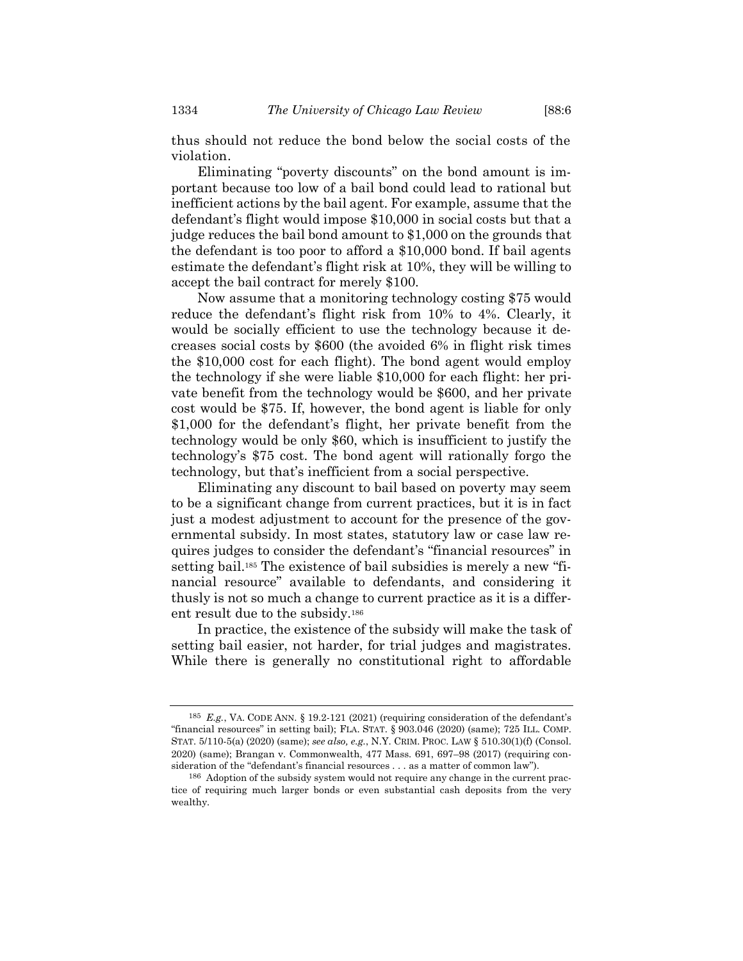thus should not reduce the bond below the social costs of the violation.

Eliminating "poverty discounts" on the bond amount is important because too low of a bail bond could lead to rational but inefficient actions by the bail agent. For example, assume that the defendant's flight would impose \$10,000 in social costs but that a judge reduces the bail bond amount to \$1,000 on the grounds that the defendant is too poor to afford a \$10,000 bond. If bail agents estimate the defendant's flight risk at 10%, they will be willing to accept the bail contract for merely \$100.

Now assume that a monitoring technology costing \$75 would reduce the defendant's flight risk from 10% to 4%. Clearly, it would be socially efficient to use the technology because it decreases social costs by \$600 (the avoided 6% in flight risk times the \$10,000 cost for each flight). The bond agent would employ the technology if she were liable \$10,000 for each flight: her private benefit from the technology would be \$600, and her private cost would be \$75. If, however, the bond agent is liable for only \$1,000 for the defendant's flight, her private benefit from the technology would be only \$60, which is insufficient to justify the technology's \$75 cost. The bond agent will rationally forgo the technology, but that's inefficient from a social perspective.

Eliminating any discount to bail based on poverty may seem to be a significant change from current practices, but it is in fact just a modest adjustment to account for the presence of the governmental subsidy. In most states, statutory law or case law requires judges to consider the defendant's "financial resources" in setting bail.<sup>185</sup> The existence of bail subsidies is merely a new "financial resource" available to defendants, and considering it thusly is not so much a change to current practice as it is a different result due to the subsidy.<sup>186</sup>

In practice, the existence of the subsidy will make the task of setting bail easier, not harder, for trial judges and magistrates. While there is generally no constitutional right to affordable

<sup>185</sup> *E.g.*, VA. CODE ANN. § 19.2-121 (2021) (requiring consideration of the defendant's "financial resources" in setting bail); FLA. STAT. § 903.046 (2020) (same); 725 ILL. COMP. STAT. 5/110-5(a) (2020) (same); *see also, e.g.*, N.Y. CRIM. PROC. LAW § 510.30(1)(f) (Consol. 2020) (same); Brangan v. Commonwealth, 477 Mass. 691, 697–98 (2017) (requiring consideration of the "defendant's financial resources . . . as a matter of common law").

<sup>186</sup> Adoption of the subsidy system would not require any change in the current practice of requiring much larger bonds or even substantial cash deposits from the very wealthy.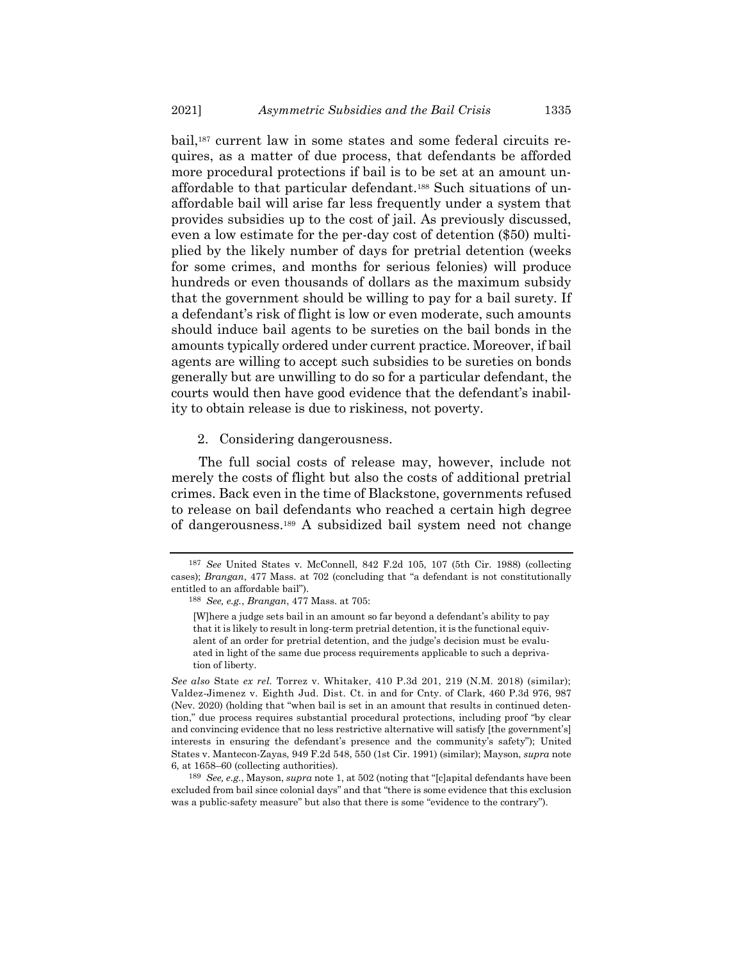bail,<sup>187</sup> current law in some states and some federal circuits requires, as a matter of due process, that defendants be afforded more procedural protections if bail is to be set at an amount unaffordable to that particular defendant.<sup>188</sup> Such situations of unaffordable bail will arise far less frequently under a system that provides subsidies up to the cost of jail. As previously discussed, even a low estimate for the per-day cost of detention (\$50) multiplied by the likely number of days for pretrial detention (weeks for some crimes, and months for serious felonies) will produce hundreds or even thousands of dollars as the maximum subsidy that the government should be willing to pay for a bail surety. If a defendant's risk of flight is low or even moderate, such amounts should induce bail agents to be sureties on the bail bonds in the amounts typically ordered under current practice. Moreover, if bail agents are willing to accept such subsidies to be sureties on bonds generally but are unwilling to do so for a particular defendant, the courts would then have good evidence that the defendant's inability to obtain release is due to riskiness, not poverty.

2. Considering dangerousness.

The full social costs of release may, however, include not merely the costs of flight but also the costs of additional pretrial crimes. Back even in the time of Blackstone, governments refused to release on bail defendants who reached a certain high degree of dangerousness.<sup>189</sup> A subsidized bail system need not change

<sup>187</sup> *See* United States v. McConnell, 842 F.2d 105, 107 (5th Cir. 1988) (collecting cases); *Brangan*, 477 Mass. at 702 (concluding that "a defendant is not constitutionally entitled to an affordable bail").

<sup>188</sup> *See, e.g.*, *Brangan*, 477 Mass. at 705:

<sup>[</sup>W]here a judge sets bail in an amount so far beyond a defendant's ability to pay that it is likely to result in long-term pretrial detention, it is the functional equivalent of an order for pretrial detention, and the judge's decision must be evaluated in light of the same due process requirements applicable to such a deprivation of liberty.

*See also* State *ex rel.* Torrez v. Whitaker, 410 P.3d 201, 219 (N.M. 2018) (similar); Valdez-Jimenez v. Eighth Jud. Dist. Ct. in and for Cnty. of Clark, 460 P.3d 976, 987 (Nev. 2020) (holding that "when bail is set in an amount that results in continued detention," due process requires substantial procedural protections, including proof "by clear and convincing evidence that no less restrictive alternative will satisfy [the government's] interests in ensuring the defendant's presence and the community's safety"); United States v. Mantecon-Zayas, 949 F.2d 548, 550 (1st Cir. 1991) (similar); Mayson, *supra* note [6,](#page-3-1) at 1658–60 (collecting authorities).

<sup>189</sup> *See, e.g.*, Mayson, *supra* not[e 1,](#page-1-0) at 502 (noting that "[c]apital defendants have been excluded from bail since colonial days" and that "there is some evidence that this exclusion was a public-safety measure" but also that there is some "evidence to the contrary").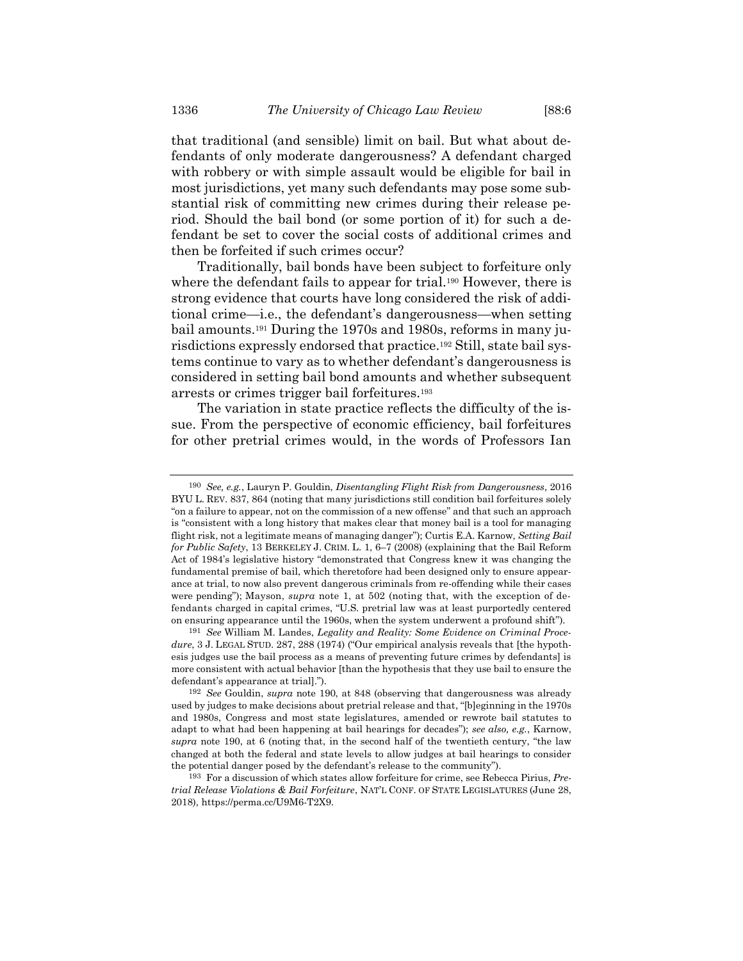that traditional (and sensible) limit on bail. But what about defendants of only moderate dangerousness? A defendant charged with robbery or with simple assault would be eligible for bail in most jurisdictions, yet many such defendants may pose some substantial risk of committing new crimes during their release period. Should the bail bond (or some portion of it) for such a defendant be set to cover the social costs of additional crimes and then be forfeited if such crimes occur?

<span id="page-51-1"></span><span id="page-51-0"></span>Traditionally, bail bonds have been subject to forfeiture only where the defendant fails to appear for trial.<sup>190</sup> However, there is strong evidence that courts have long considered the risk of additional crime—i.e., the defendant's dangerousness—when setting bail amounts.<sup>191</sup> During the 1970s and 1980s, reforms in many jurisdictions expressly endorsed that practice.<sup>192</sup> Still, state bail systems continue to vary as to whether defendant's dangerousness is considered in setting bail bond amounts and whether subsequent arrests or crimes trigger bail forfeitures.<sup>193</sup>

The variation in state practice reflects the difficulty of the issue. From the perspective of economic efficiency, bail forfeitures for other pretrial crimes would, in the words of Professors Ian

<sup>190</sup> *See, e.g.*, Lauryn P. Gouldin, *Disentangling Flight Risk from Dangerousness*, 2016 BYU L. REV. 837, 864 (noting that many jurisdictions still condition bail forfeitures solely "on a failure to appear, not on the commission of a new offense" and that such an approach is "consistent with a long history that makes clear that money bail is a tool for managing flight risk, not a legitimate means of managing danger"); Curtis E.A. Karnow, *Setting Bail for Public Safety*, 13 BERKELEY J. CRIM. L. 1, 6–7 (2008) (explaining that the Bail Reform Act of 1984's legislative history "demonstrated that Congress knew it was changing the fundamental premise of bail, which theretofore had been designed only to ensure appearance at trial, to now also prevent dangerous criminals from re-offending while their cases were pending"); Mayson, *supra* note [1,](#page-1-0) at 502 (noting that, with the exception of defendants charged in capital crimes, "U.S. pretrial law was at least purportedly centered on ensuring appearance until the 1960s, when the system underwent a profound shift").

<sup>191</sup> *See* William M. Landes, *Legality and Reality: Some Evidence on Criminal Procedure*, 3 J. LEGAL STUD. 287, 288 (1974) ("Our empirical analysis reveals that [the hypothesis judges use the bail process as a means of preventing future crimes by defendants] is more consistent with actual behavior [than the hypothesis that they use bail to ensure the defendant's appearance at trial].").

<sup>192</sup> *See* Gouldin, *supra* note [190,](#page-51-0) at 848 (observing that dangerousness was already used by judges to make decisions about pretrial release and that, "[b]eginning in the 1970s and 1980s, Congress and most state legislatures, amended or rewrote bail statutes to adapt to what had been happening at bail hearings for decades"); *see also, e.g.*, Karnow, *supra* note [190,](#page-51-0) at 6 (noting that, in the second half of the twentieth century, "the law changed at both the federal and state levels to allow judges at bail hearings to consider the potential danger posed by the defendant's release to the community").

<sup>193</sup> For a discussion of which states allow forfeiture for crime, see Rebecca Pirius, *Pretrial Release Violations & Bail Forfeiture*, NAT'L CONF. OF STATE LEGISLATURES (June 28, 2018), https://perma.cc/U9M6-T2X9.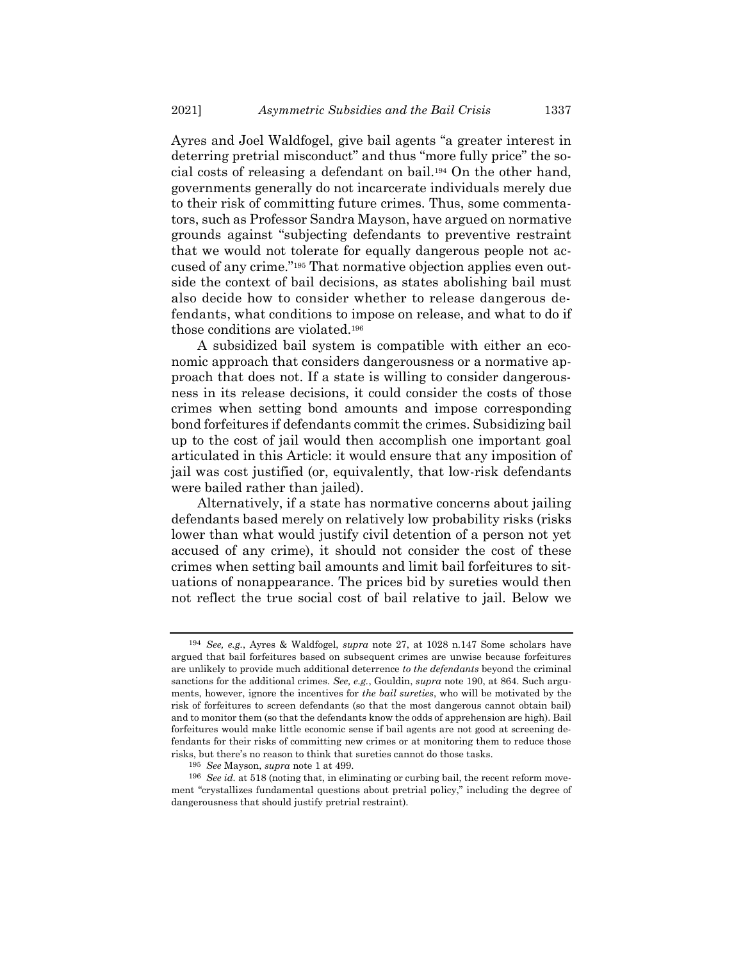Ayres and Joel Waldfogel, give bail agents "a greater interest in deterring pretrial misconduct" and thus "more fully price" the social costs of releasing a defendant on bail.<sup>194</sup> On the other hand, governments generally do not incarcerate individuals merely due to their risk of committing future crimes. Thus, some commentators, such as Professor Sandra Mayson, have argued on normative grounds against "subjecting defendants to preventive restraint that we would not tolerate for equally dangerous people not accused of any crime."<sup>195</sup> That normative objection applies even outside the context of bail decisions, as states abolishing bail must also decide how to consider whether to release dangerous defendants, what conditions to impose on release, and what to do if those conditions are violated.<sup>196</sup>

A subsidized bail system is compatible with either an economic approach that considers dangerousness or a normative approach that does not. If a state is willing to consider dangerousness in its release decisions, it could consider the costs of those crimes when setting bond amounts and impose corresponding bond forfeitures if defendants commit the crimes. Subsidizing bail up to the cost of jail would then accomplish one important goal articulated in this Article: it would ensure that any imposition of jail was cost justified (or, equivalently, that low-risk defendants were bailed rather than jailed).

Alternatively, if a state has normative concerns about jailing defendants based merely on relatively low probability risks (risks lower than what would justify civil detention of a person not yet accused of any crime), it should not consider the cost of these crimes when setting bail amounts and limit bail forfeitures to situations of nonappearance. The prices bid by sureties would then not reflect the true social cost of bail relative to jail. Below we

<sup>194</sup> *See, e.g.*, Ayres & Waldfogel, *supra* note [27,](#page-7-0) at 1028 n.147 Some scholars have argued that bail forfeitures based on subsequent crimes are unwise because forfeitures are unlikely to provide much additional deterrence *to the defendants* beyond the criminal sanctions for the additional crimes. *See, e.g.*, Gouldin, *supra* note [190,](#page-51-0) at 864. Such arguments, however, ignore the incentives for *the bail sureties*, who will be motivated by the risk of forfeitures to screen defendants (so that the most dangerous cannot obtain bail) and to monitor them (so that the defendants know the odds of apprehension are high). Bail forfeitures would make little economic sense if bail agents are not good at screening defendants for their risks of committing new crimes or at monitoring them to reduce those risks, but there's no reason to think that sureties cannot do those tasks.

<sup>195</sup> *See* Mayson, *supra* not[e 1](#page-1-0) at 499.

<sup>196</sup> *See id.* at 518 (noting that, in eliminating or curbing bail, the recent reform movement "crystallizes fundamental questions about pretrial policy," including the degree of dangerousness that should justify pretrial restraint).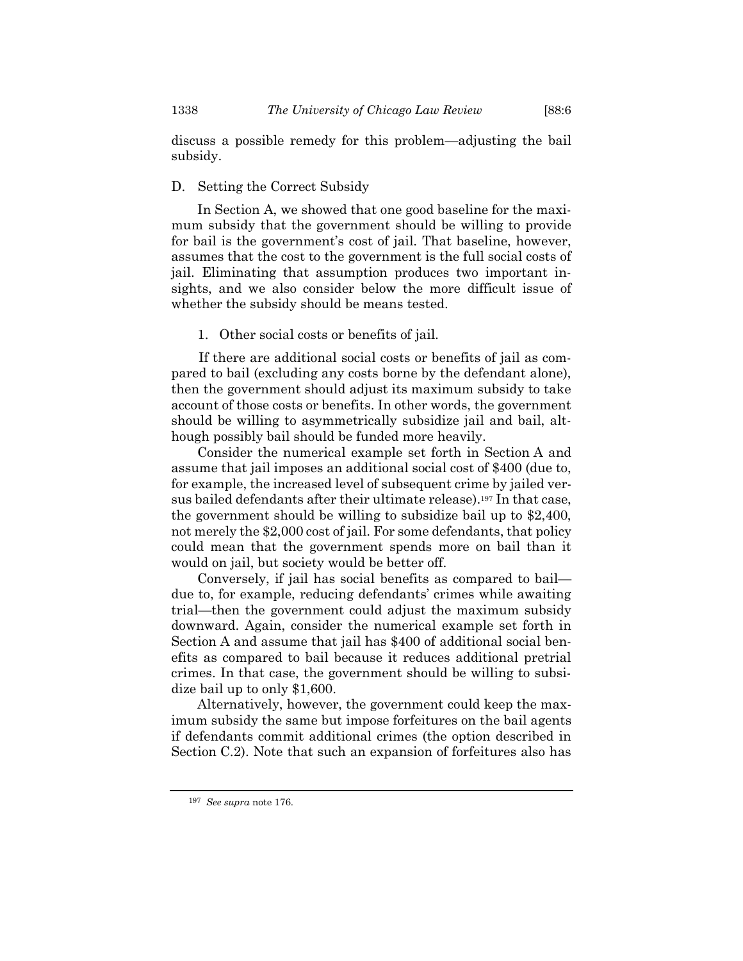discuss a possible remedy for this problem—adjusting the bail subsidy.

# D. Setting the Correct Subsidy

In Section A, we showed that one good baseline for the maximum subsidy that the government should be willing to provide for bail is the government's cost of jail. That baseline, however, assumes that the cost to the government is the full social costs of jail. Eliminating that assumption produces two important insights, and we also consider below the more difficult issue of whether the subsidy should be means tested.

1. Other social costs or benefits of jail.

If there are additional social costs or benefits of jail as compared to bail (excluding any costs borne by the defendant alone), then the government should adjust its maximum subsidy to take account of those costs or benefits. In other words, the government should be willing to asymmetrically subsidize jail and bail, although possibly bail should be funded more heavily.

Consider the numerical example set forth in Section A and assume that jail imposes an additional social cost of \$400 (due to, for example, the increased level of subsequent crime by jailed versus bailed defendants after their ultimate release).<sup>197</sup> In that case, the government should be willing to subsidize bail up to \$2,400, not merely the \$2,000 cost of jail. For some defendants, that policy could mean that the government spends more on bail than it would on jail, but society would be better off.

Conversely, if jail has social benefits as compared to bail due to, for example, reducing defendants' crimes while awaiting trial—then the government could adjust the maximum subsidy downward. Again, consider the numerical example set forth in Section A and assume that jail has \$400 of additional social benefits as compared to bail because it reduces additional pretrial crimes. In that case, the government should be willing to subsidize bail up to only \$1,600.

Alternatively, however, the government could keep the maximum subsidy the same but impose forfeitures on the bail agents if defendants commit additional crimes (the option described in Section C.2). Note that such an expansion of forfeitures also has

<sup>197</sup> *See supra* not[e 176.](#page-39-0)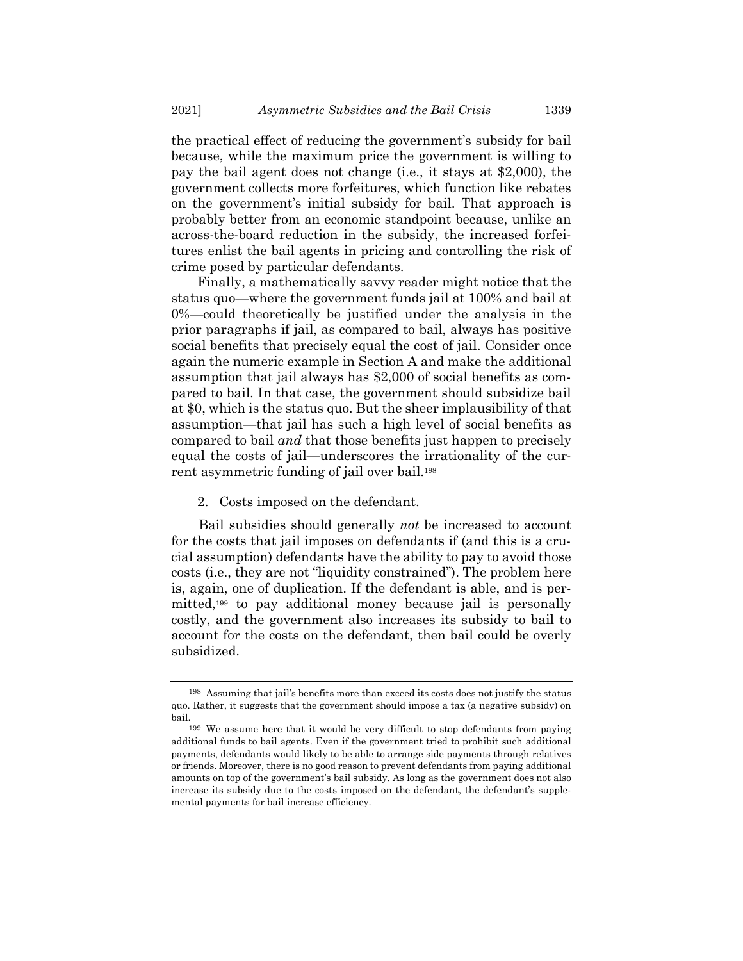the practical effect of reducing the government's subsidy for bail because, while the maximum price the government is willing to pay the bail agent does not change (i.e., it stays at \$2,000), the government collects more forfeitures, which function like rebates on the government's initial subsidy for bail. That approach is probably better from an economic standpoint because, unlike an across-the-board reduction in the subsidy, the increased forfeitures enlist the bail agents in pricing and controlling the risk of crime posed by particular defendants.

Finally, a mathematically savvy reader might notice that the status quo—where the government funds jail at 100% and bail at 0%—could theoretically be justified under the analysis in the prior paragraphs if jail, as compared to bail, always has positive social benefits that precisely equal the cost of jail. Consider once again the numeric example in Section A and make the additional assumption that jail always has \$2,000 of social benefits as compared to bail. In that case, the government should subsidize bail at \$0, which is the status quo. But the sheer implausibility of that assumption—that jail has such a high level of social benefits as compared to bail *and* that those benefits just happen to precisely equal the costs of jail—underscores the irrationality of the current asymmetric funding of jail over bail.<sup>198</sup>

2. Costs imposed on the defendant.

Bail subsidies should generally *not* be increased to account for the costs that jail imposes on defendants if (and this is a crucial assumption) defendants have the ability to pay to avoid those costs (i.e., they are not "liquidity constrained"). The problem here is, again, one of duplication. If the defendant is able, and is permitted,<sup>199</sup> to pay additional money because jail is personally costly, and the government also increases its subsidy to bail to account for the costs on the defendant, then bail could be overly subsidized.

<sup>198</sup> Assuming that jail's benefits more than exceed its costs does not justify the status quo. Rather, it suggests that the government should impose a tax (a negative subsidy) on bail.

<sup>199</sup> We assume here that it would be very difficult to stop defendants from paying additional funds to bail agents. Even if the government tried to prohibit such additional payments, defendants would likely to be able to arrange side payments through relatives or friends. Moreover, there is no good reason to prevent defendants from paying additional amounts on top of the government's bail subsidy. As long as the government does not also increase its subsidy due to the costs imposed on the defendant, the defendant's supplemental payments for bail increase efficiency.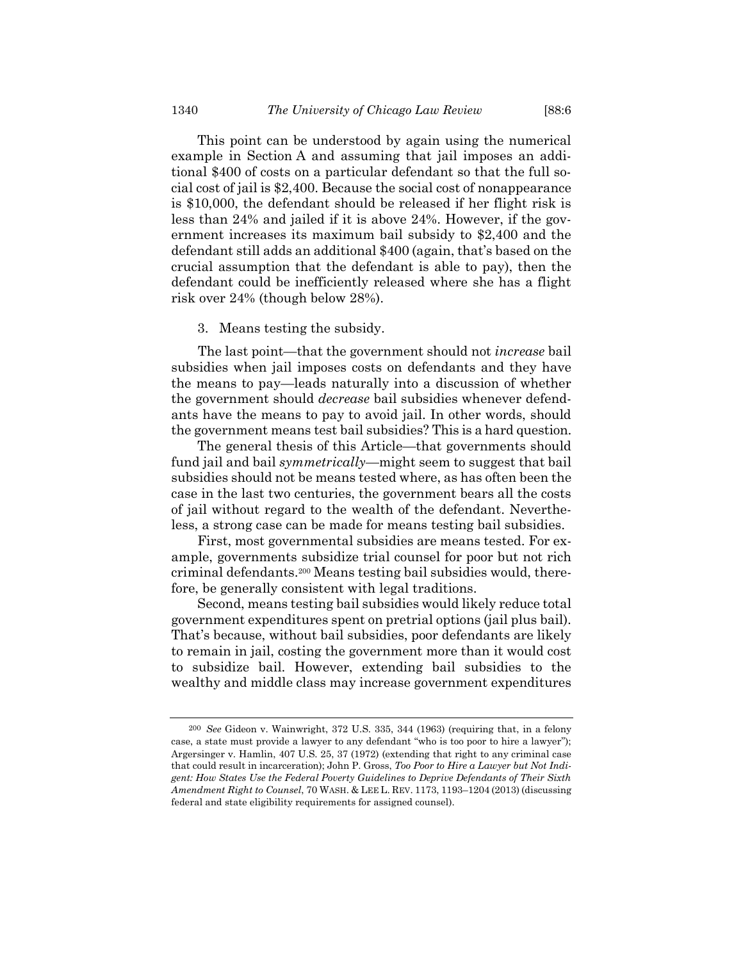This point can be understood by again using the numerical example in Section A and assuming that jail imposes an additional \$400 of costs on a particular defendant so that the full social cost of jail is \$2,400. Because the social cost of nonappearance is \$10,000, the defendant should be released if her flight risk is less than 24% and jailed if it is above 24%. However, if the government increases its maximum bail subsidy to \$2,400 and the defendant still adds an additional \$400 (again, that's based on the crucial assumption that the defendant is able to pay), then the defendant could be inefficiently released where she has a flight risk over 24% (though below 28%).

#### 3. Means testing the subsidy.

The last point—that the government should not *increase* bail subsidies when jail imposes costs on defendants and they have the means to pay—leads naturally into a discussion of whether the government should *decrease* bail subsidies whenever defendants have the means to pay to avoid jail. In other words, should the government means test bail subsidies? This is a hard question.

The general thesis of this Article—that governments should fund jail and bail *symmetrically*—might seem to suggest that bail subsidies should not be means tested where, as has often been the case in the last two centuries, the government bears all the costs of jail without regard to the wealth of the defendant. Nevertheless, a strong case can be made for means testing bail subsidies.

First, most governmental subsidies are means tested. For example, governments subsidize trial counsel for poor but not rich criminal defendants.<sup>200</sup> Means testing bail subsidies would, therefore, be generally consistent with legal traditions.

Second, means testing bail subsidies would likely reduce total government expenditures spent on pretrial options (jail plus bail). That's because, without bail subsidies, poor defendants are likely to remain in jail, costing the government more than it would cost to subsidize bail. However, extending bail subsidies to the wealthy and middle class may increase government expenditures

<sup>200</sup> *See* Gideon v. Wainwright, 372 U.S. 335, 344 (1963) (requiring that, in a felony case, a state must provide a lawyer to any defendant "who is too poor to hire a lawyer"); Argersinger v. Hamlin, 407 U.S. 25, 37 (1972) (extending that right to any criminal case that could result in incarceration); John P. Gross, *Too Poor to Hire a Lawyer but Not Indigent: How States Use the Federal Poverty Guidelines to Deprive Defendants of Their Sixth Amendment Right to Counsel*, 70 WASH. & LEE L. REV. 1173, 1193–1204 (2013) (discussing federal and state eligibility requirements for assigned counsel).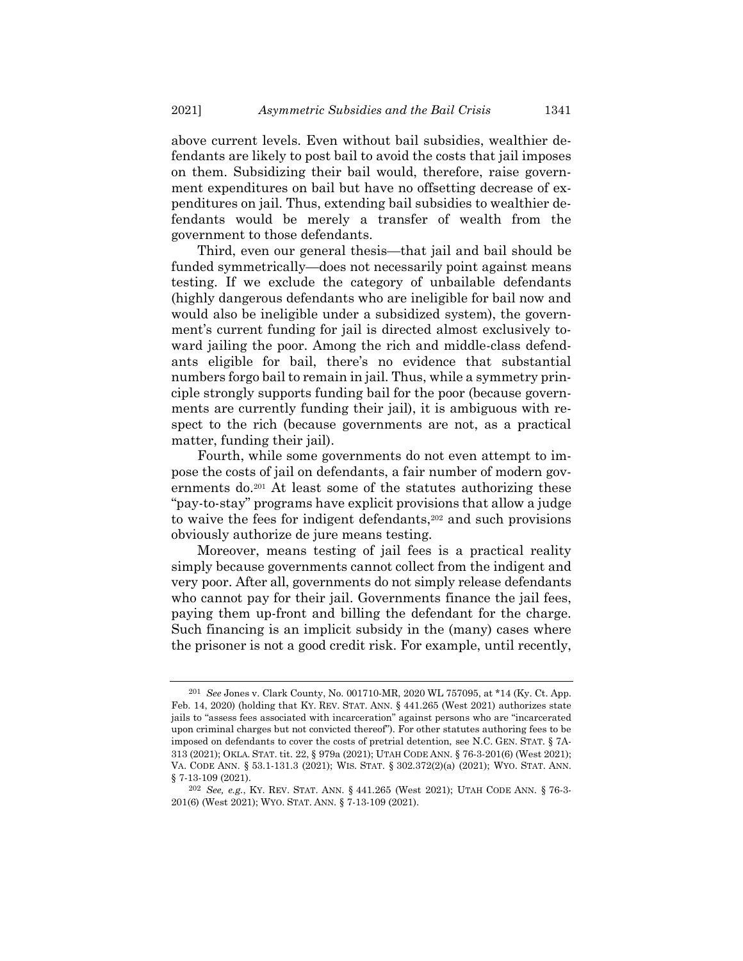above current levels. Even without bail subsidies, wealthier defendants are likely to post bail to avoid the costs that jail imposes on them. Subsidizing their bail would, therefore, raise government expenditures on bail but have no offsetting decrease of expenditures on jail. Thus, extending bail subsidies to wealthier defendants would be merely a transfer of wealth from the government to those defendants.

Third, even our general thesis—that jail and bail should be funded symmetrically—does not necessarily point against means testing. If we exclude the category of unbailable defendants (highly dangerous defendants who are ineligible for bail now and would also be ineligible under a subsidized system), the government's current funding for jail is directed almost exclusively toward jailing the poor. Among the rich and middle-class defendants eligible for bail, there's no evidence that substantial numbers forgo bail to remain in jail. Thus, while a symmetry principle strongly supports funding bail for the poor (because governments are currently funding their jail), it is ambiguous with respect to the rich (because governments are not, as a practical matter, funding their jail).

Fourth, while some governments do not even attempt to impose the costs of jail on defendants, a fair number of modern governments do.<sup>201</sup> At least some of the statutes authorizing these "pay-to-stay" programs have explicit provisions that allow a judge to waive the fees for indigent defendants, $202$  and such provisions obviously authorize de jure means testing.

Moreover, means testing of jail fees is a practical reality simply because governments cannot collect from the indigent and very poor. After all, governments do not simply release defendants who cannot pay for their jail. Governments finance the jail fees, paying them up-front and billing the defendant for the charge. Such financing is an implicit subsidy in the (many) cases where the prisoner is not a good credit risk. For example, until recently,

<sup>201</sup> *See* Jones v. Clark County, No. 001710-MR, 2020 WL 757095, at \*14 (Ky. Ct. App. Feb. 14, 2020) (holding that KY. REV. STAT. ANN. § 441.265 (West 2021) authorizes state jails to "assess fees associated with incarceration" against persons who are "incarcerated upon criminal charges but not convicted thereof"). For other statutes authoring fees to be imposed on defendants to cover the costs of pretrial detention, see N.C. GEN. STAT. § 7A-313 (2021); OKLA. STAT. tit. 22, § 979a (2021); UTAH CODE ANN. § 76-3-201(6) (West 2021); VA. CODE ANN. § 53.1-131.3 (2021); WIS. STAT. § 302.372(2)(a) (2021); WYO. STAT. ANN. § 7-13-109 (2021).

<sup>202</sup> *See, e.g.*, KY. REV. STAT. ANN. § 441.265 (West 2021); UTAH CODE ANN. § 76-3- 201(6) (West 2021); WYO. STAT. ANN. § 7-13-109 (2021).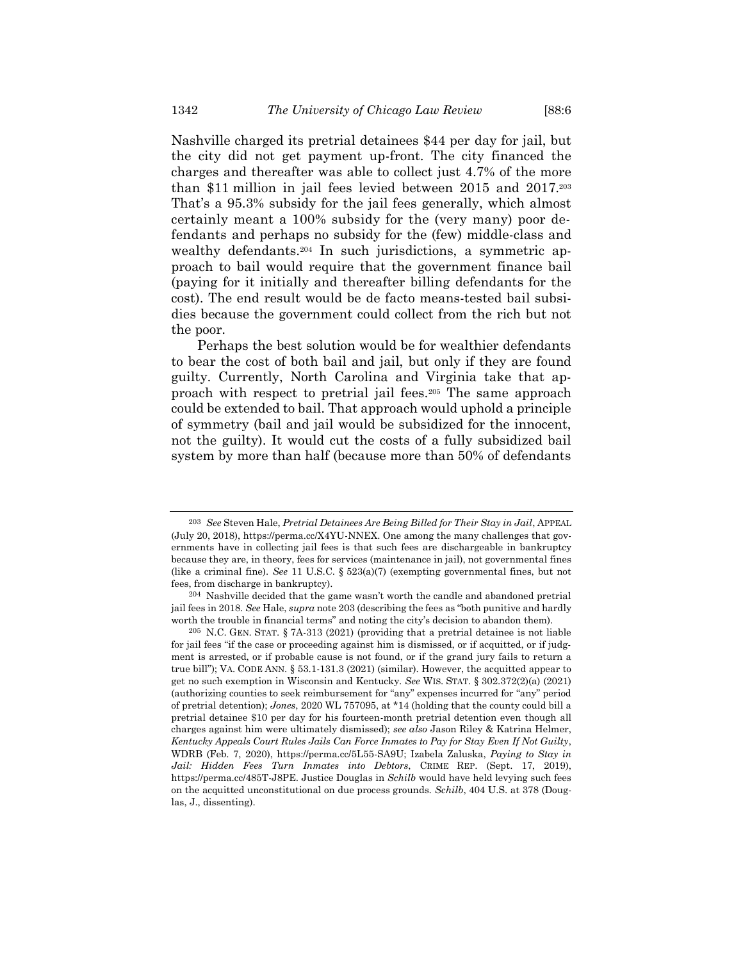<span id="page-57-0"></span>Nashville charged its pretrial detainees \$44 per day for jail, but the city did not get payment up-front. The city financed the charges and thereafter was able to collect just 4.7% of the more than \$11 million in jail fees levied between 2015 and 2017.<sup>203</sup> That's a 95.3% subsidy for the jail fees generally, which almost certainly meant a 100% subsidy for the (very many) poor defendants and perhaps no subsidy for the (few) middle-class and wealthy defendants.<sup>204</sup> In such jurisdictions, a symmetric approach to bail would require that the government finance bail (paying for it initially and thereafter billing defendants for the cost). The end result would be de facto means-tested bail subsidies because the government could collect from the rich but not the poor.

Perhaps the best solution would be for wealthier defendants to bear the cost of both bail and jail, but only if they are found guilty. Currently, North Carolina and Virginia take that approach with respect to pretrial jail fees.<sup>205</sup> The same approach could be extended to bail. That approach would uphold a principle of symmetry (bail and jail would be subsidized for the innocent, not the guilty). It would cut the costs of a fully subsidized bail system by more than half (because more than 50% of defendants

<sup>203</sup> *See* Steven Hale, *Pretrial Detainees Are Being Billed for Their Stay in Jail*, APPEAL (July 20, 2018), https://perma.cc/X4YU-NNEX. One among the many challenges that governments have in collecting jail fees is that such fees are dischargeable in bankruptcy because they are, in theory, fees for services (maintenance in jail), not governmental fines (like a criminal fine). *See* 11 U.S.C. § 523(a)(7) (exempting governmental fines, but not fees, from discharge in bankruptcy).

<sup>204</sup> Nashville decided that the game wasn't worth the candle and abandoned pretrial jail fees in 2018. *See* Hale, *supra* not[e 203](#page-57-0) (describing the fees as "both punitive and hardly worth the trouble in financial terms" and noting the city's decision to abandon them).

<sup>205</sup> N.C. GEN. STAT. § 7A-313 (2021) (providing that a pretrial detainee is not liable for jail fees "if the case or proceeding against him is dismissed, or if acquitted, or if judgment is arrested, or if probable cause is not found, or if the grand jury fails to return a true bill"); VA. CODE ANN. § 53.1-131.3 (2021) (similar). However, the acquitted appear to get no such exemption in Wisconsin and Kentucky. *See* WIS. STAT. § 302.372(2)(a) (2021) (authorizing counties to seek reimbursement for "any" expenses incurred for "any" period of pretrial detention); *Jones*, 2020 WL 757095, at \*14 (holding that the county could bill a pretrial detainee \$10 per day for his fourteen-month pretrial detention even though all charges against him were ultimately dismissed); *see also* Jason Riley & Katrina Helmer, *Kentucky Appeals Court Rules Jails Can Force Inmates to Pay for Stay Even If Not Guilty*, WDRB (Feb. 7, 2020), https://perma.cc/5L55-SA9U; Izabela Zaluska, *Paying to Stay in Jail: Hidden Fees Turn Inmates into Debtors*, CRIME REP. (Sept. 17, 2019), https://perma.cc/485T-J8PE. Justice Douglas in *Schilb* would have held levying such fees on the acquitted unconstitutional on due process grounds. *Schilb*, 404 U.S. at 378 (Douglas, J., dissenting).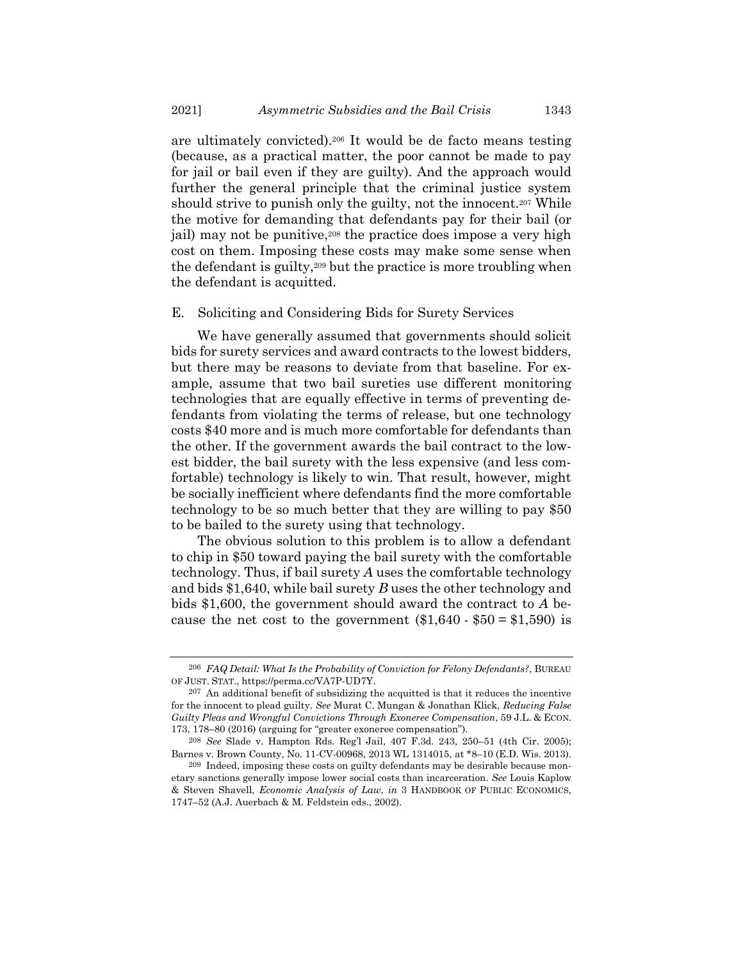are ultimately convicted).<sup>206</sup> It would be de facto means testing (because, as a practical matter, the poor cannot be made to pay for jail or bail even if they are guilty). And the approach would further the general principle that the criminal justice system should strive to punish only the guilty, not the innocent.<sup>207</sup> While the motive for demanding that defendants pay for their bail (or jail) may not be punitive,<sup>208</sup> the practice does impose a very high cost on them. Imposing these costs may make some sense when the defendant is guilty,<sup>209</sup> but the practice is more troubling when the defendant is acquitted.

## E. Soliciting and Considering Bids for Surety Services

We have generally assumed that governments should solicit bids for surety services and award contracts to the lowest bidders, but there may be reasons to deviate from that baseline. For example, assume that two bail sureties use different monitoring technologies that are equally effective in terms of preventing defendants from violating the terms of release, but one technology costs \$40 more and is much more comfortable for defendants than the other. If the government awards the bail contract to the lowest bidder, the bail surety with the less expensive (and less comfortable) technology is likely to win. That result, however, might be socially inefficient where defendants find the more comfortable technology to be so much better that they are willing to pay \$50 to be bailed to the surety using that technology.

The obvious solution to this problem is to allow a defendant to chip in \$50 toward paying the bail surety with the comfortable technology. Thus, if bail surety *A* uses the comfortable technology and bids \$1,640, while bail surety *B* uses the other technology and bids \$1,600, the government should award the contract to *A* because the net cost to the government  $(\$1,640 - \$50 = \$1,590)$  is

<sup>206</sup> *FAQ Detail: What Is the Probability of Conviction for Felony Defendants?*, BUREAU OF JUST. STAT., https://perma.cc/VA7P-UD7Y.

<sup>207</sup> An additional benefit of subsidizing the acquitted is that it reduces the incentive for the innocent to plead guilty. *See* Murat C. Mungan & Jonathan Klick, *Reducing False Guilty Pleas and Wrongful Convictions Through Exoneree Compensation*, 59 J.L. & ECON. 173, 178–80 (2016) (arguing for "greater exoneree compensation").

<sup>208</sup> *See* Slade v. Hampton Rds. Reg'l Jail, 407 F.3d. 243, 250–51 (4th Cir. 2005); Barnes v. Brown County, No. 11-CV-00968, 2013 WL 1314015, at \*8–10 (E.D. Wis. 2013).

<sup>209</sup> Indeed, imposing these costs on guilty defendants may be desirable because monetary sanctions generally impose lower social costs than incarceration. *See* Louis Kaplow & Steven Shavell, *Economic Analysis of Law*, *in* 3 HANDBOOK OF PUBLIC ECONOMICS, 1747–52 (A.J. Auerbach & M. Feldstein eds., 2002).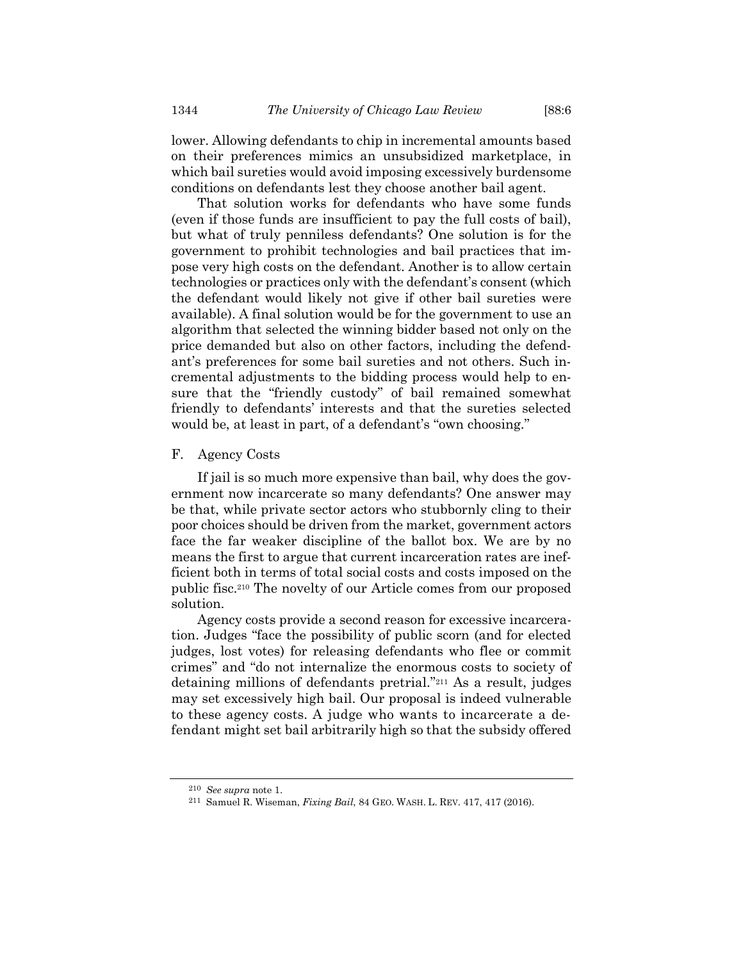lower. Allowing defendants to chip in incremental amounts based on their preferences mimics an unsubsidized marketplace, in which bail sureties would avoid imposing excessively burdensome conditions on defendants lest they choose another bail agent.

That solution works for defendants who have some funds (even if those funds are insufficient to pay the full costs of bail), but what of truly penniless defendants? One solution is for the government to prohibit technologies and bail practices that impose very high costs on the defendant. Another is to allow certain technologies or practices only with the defendant's consent (which the defendant would likely not give if other bail sureties were available). A final solution would be for the government to use an algorithm that selected the winning bidder based not only on the price demanded but also on other factors, including the defendant's preferences for some bail sureties and not others. Such incremental adjustments to the bidding process would help to ensure that the "friendly custody" of bail remained somewhat friendly to defendants' interests and that the sureties selected would be, at least in part, of a defendant's "own choosing."

# F. Agency Costs

If jail is so much more expensive than bail, why does the government now incarcerate so many defendants? One answer may be that, while private sector actors who stubbornly cling to their poor choices should be driven from the market, government actors face the far weaker discipline of the ballot box. We are by no means the first to argue that current incarceration rates are inefficient both in terms of total social costs and costs imposed on the public fisc.<sup>210</sup> The novelty of our Article comes from our proposed solution.

Agency costs provide a second reason for excessive incarceration. Judges "face the possibility of public scorn (and for elected judges, lost votes) for releasing defendants who flee or commit crimes" and "do not internalize the enormous costs to society of detaining millions of defendants pretrial."<sup>211</sup> As a result, judges may set excessively high bail. Our proposal is indeed vulnerable to these agency costs. A judge who wants to incarcerate a defendant might set bail arbitrarily high so that the subsidy offered

<sup>210</sup> *See supra* not[e 1.](#page-1-0)

<sup>211</sup> Samuel R. Wiseman, *Fixing Bail*, 84 GEO. WASH. L. REV. 417, 417 (2016).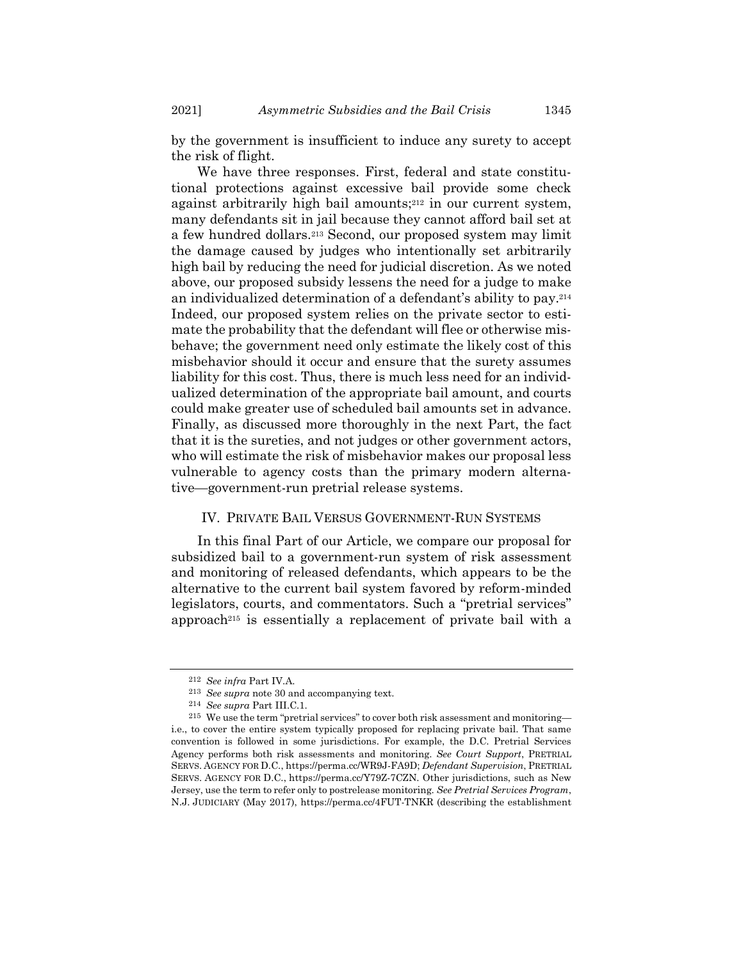2021] *Asymmetric Subsidies and the Bail Crisis* 1345

by the government is insufficient to induce any surety to accept the risk of flight.

We have three responses. First, federal and state constitutional protections against excessive bail provide some check against arbitrarily high bail amounts; <sup>212</sup> in our current system, many defendants sit in jail because they cannot afford bail set at a few hundred dollars.<sup>213</sup> Second, our proposed system may limit the damage caused by judges who intentionally set arbitrarily high bail by reducing the need for judicial discretion. As we noted above, our proposed subsidy lessens the need for a judge to make an individualized determination of a defendant's ability to pay. 214 Indeed, our proposed system relies on the private sector to estimate the probability that the defendant will flee or otherwise misbehave; the government need only estimate the likely cost of this misbehavior should it occur and ensure that the surety assumes liability for this cost. Thus, there is much less need for an individualized determination of the appropriate bail amount, and courts could make greater use of scheduled bail amounts set in advance. Finally, as discussed more thoroughly in the next Part, the fact that it is the sureties, and not judges or other government actors, who will estimate the risk of misbehavior makes our proposal less vulnerable to agency costs than the primary modern alternative—government-run pretrial release systems.

## IV. PRIVATE BAIL VERSUS GOVERNMENT-RUN SYSTEMS

In this final Part of our Article, we compare our proposal for subsidized bail to a government-run system of risk assessment and monitoring of released defendants, which appears to be the alternative to the current bail system favored by reform-minded legislators, courts, and commentators. Such a "pretrial services" approach<sup>215</sup> is essentially a replacement of private bail with a

<sup>212</sup> *See infra* Part IV.A.

<sup>213</sup> *See supra* not[e 30](#page-8-0) and accompanying text.

<sup>214</sup> *See supra* Part III.C.1.

<sup>215</sup> We use the term "pretrial services" to cover both risk assessment and monitoring i.e., to cover the entire system typically proposed for replacing private bail. That same convention is followed in some jurisdictions. For example, the D.C. Pretrial Services Agency performs both risk assessments and monitoring. *See Court Support*, PRETRIAL SERVS. AGENCY FOR D.C., https://perma.cc/WR9J-FA9D; *Defendant Supervision*, PRETRIAL SERVS. AGENCY FOR D.C., https://perma.cc/Y79Z-7CZN. Other jurisdictions, such as New Jersey, use the term to refer only to postrelease monitoring. *See Pretrial Services Program*, N.J. JUDICIARY (May 2017), https://perma.cc/4FUT-TNKR (describing the establishment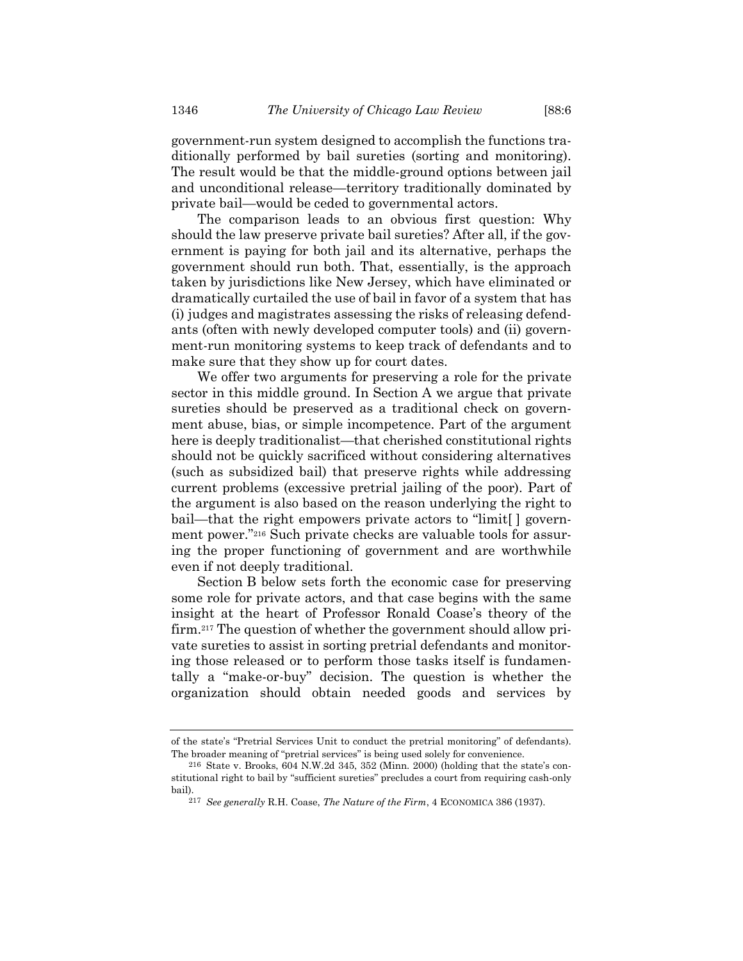government-run system designed to accomplish the functions traditionally performed by bail sureties (sorting and monitoring). The result would be that the middle-ground options between jail and unconditional release—territory traditionally dominated by private bail—would be ceded to governmental actors.

The comparison leads to an obvious first question: Why should the law preserve private bail sureties? After all, if the government is paying for both jail and its alternative, perhaps the government should run both. That, essentially, is the approach taken by jurisdictions like New Jersey, which have eliminated or dramatically curtailed the use of bail in favor of a system that has (i) judges and magistrates assessing the risks of releasing defendants (often with newly developed computer tools) and (ii) government-run monitoring systems to keep track of defendants and to make sure that they show up for court dates.

We offer two arguments for preserving a role for the private sector in this middle ground. In Section A we argue that private sureties should be preserved as a traditional check on government abuse, bias, or simple incompetence. Part of the argument here is deeply traditionalist—that cherished constitutional rights should not be quickly sacrificed without considering alternatives (such as subsidized bail) that preserve rights while addressing current problems (excessive pretrial jailing of the poor). Part of the argument is also based on the reason underlying the right to bail—that the right empowers private actors to "limit[ ] government power."<sup>216</sup> Such private checks are valuable tools for assuring the proper functioning of government and are worthwhile even if not deeply traditional.

Section B below sets forth the economic case for preserving some role for private actors, and that case begins with the same insight at the heart of Professor Ronald Coase's theory of the firm.<sup>217</sup> The question of whether the government should allow private sureties to assist in sorting pretrial defendants and monitoring those released or to perform those tasks itself is fundamentally a "make-or-buy" decision. The question is whether the organization should obtain needed goods and services by

of the state's "Pretrial Services Unit to conduct the pretrial monitoring" of defendants). The broader meaning of "pretrial services" is being used solely for convenience.

<sup>216</sup> State v. Brooks, 604 N.W.2d 345, 352 (Minn. 2000) (holding that the state's constitutional right to bail by "sufficient sureties" precludes a court from requiring cash-only bail).

<sup>217</sup> *See generally* R.H. Coase, *The Nature of the Firm*, 4 ECONOMICA 386 (1937).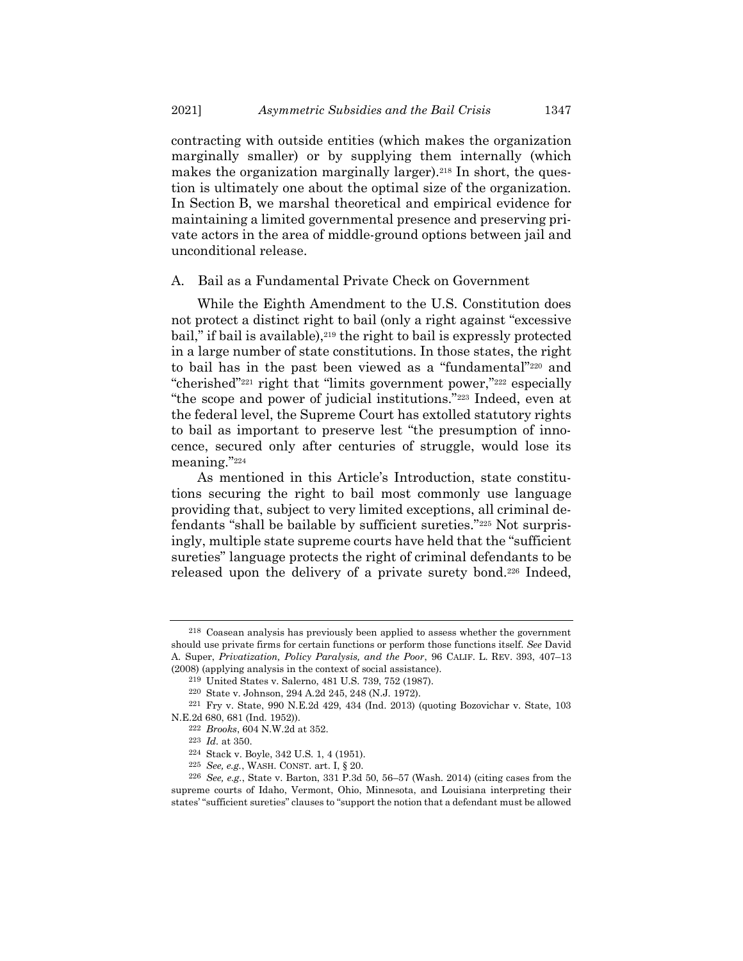contracting with outside entities (which makes the organization marginally smaller) or by supplying them internally (which makes the organization marginally larger).<sup>218</sup> In short, the question is ultimately one about the optimal size of the organization. In Section B, we marshal theoretical and empirical evidence for maintaining a limited governmental presence and preserving private actors in the area of middle-ground options between jail and unconditional release.

#### A. Bail as a Fundamental Private Check on Government

While the Eighth Amendment to the U.S. Constitution does not protect a distinct right to bail (only a right against "excessive bail," if bail is available),<sup>219</sup> the right to bail is expressly protected in a large number of state constitutions. In those states, the right to bail has in the past been viewed as a "fundamental"<sup>220</sup> and "cherished"<sup>221</sup> right that "limits government power,"<sup>222</sup> especially "the scope and power of judicial institutions."<sup>223</sup> Indeed, even at the federal level, the Supreme Court has extolled statutory rights to bail as important to preserve lest "the presumption of innocence, secured only after centuries of struggle, would lose its meaning."<sup>224</sup>

As mentioned in this Article's Introduction, state constitutions securing the right to bail most commonly use language providing that, subject to very limited exceptions, all criminal defendants "shall be bailable by sufficient sureties."<sup>225</sup> Not surprisingly, multiple state supreme courts have held that the "sufficient sureties" language protects the right of criminal defendants to be released upon the delivery of a private surety bond.<sup>226</sup> Indeed,

<sup>218</sup> Coasean analysis has previously been applied to assess whether the government should use private firms for certain functions or perform those functions itself. *See* David A. Super, *Privatization, Policy Paralysis, and the Poor*, 96 CALIF. L. REV. 393, 407–13 (2008) (applying analysis in the context of social assistance).

<sup>219</sup> United States v. Salerno, 481 U.S. 739, 752 (1987).

<sup>220</sup> State v. Johnson, 294 A.2d 245, 248 (N.J. 1972).

<sup>221</sup> Fry v. State, 990 N.E.2d 429, 434 (Ind. 2013) (quoting Bozovichar v. State, 103

N.E.2d 680, 681 (Ind. 1952)).

<sup>222</sup> *Brooks*, 604 N.W.2d at 352.

<sup>223</sup> *Id.* at 350.

<sup>224</sup> Stack v. Boyle, 342 U.S. 1, 4 (1951).

<sup>225</sup> *See, e.g.*, WASH. CONST. art. I, § 20.

<sup>226</sup> *See, e.g.*, State v. Barton, 331 P.3d 50, 56–57 (Wash. 2014) (citing cases from the supreme courts of Idaho, Vermont, Ohio, Minnesota, and Louisiana interpreting their states' "sufficient sureties" clauses to "support the notion that a defendant must be allowed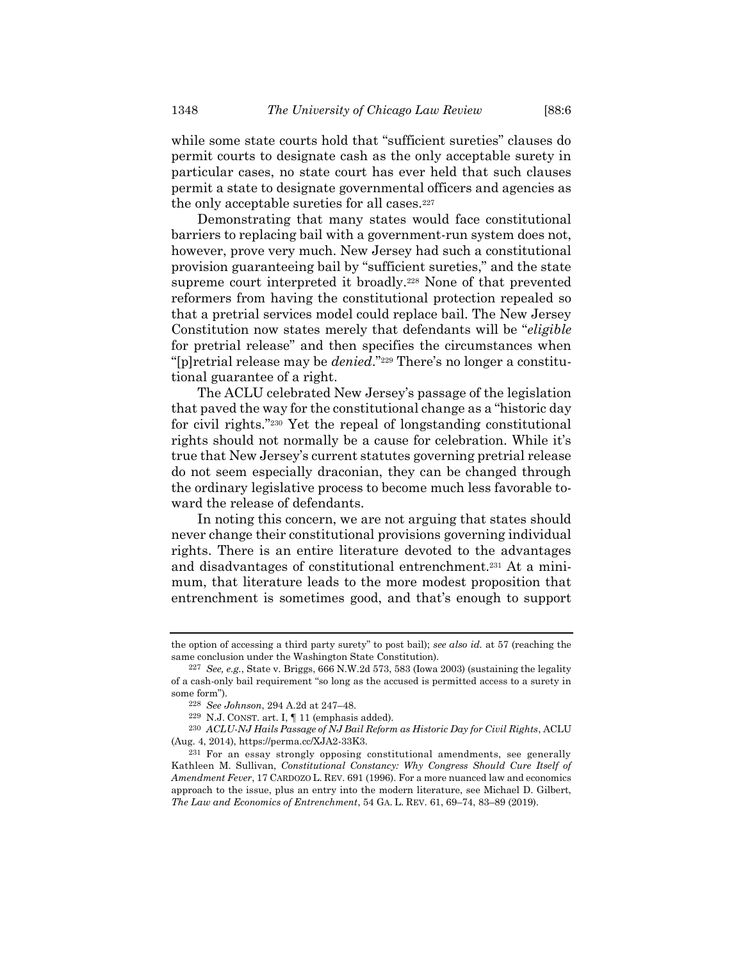while some state courts hold that "sufficient sureties" clauses do permit courts to designate cash as the only acceptable surety in particular cases, no state court has ever held that such clauses permit a state to designate governmental officers and agencies as the only acceptable sureties for all cases.<sup>227</sup>

Demonstrating that many states would face constitutional barriers to replacing bail with a government-run system does not, however, prove very much. New Jersey had such a constitutional provision guaranteeing bail by "sufficient sureties," and the state supreme court interpreted it broadly.<sup>228</sup> None of that prevented reformers from having the constitutional protection repealed so that a pretrial services model could replace bail. The New Jersey Constitution now states merely that defendants will be "*eligible* for pretrial release" and then specifies the circumstances when "[p]retrial release may be *denied*."<sup>229</sup> There's no longer a constitutional guarantee of a right.

The ACLU celebrated New Jersey's passage of the legislation that paved the way for the constitutional change as a "historic day for civil rights."<sup>230</sup> Yet the repeal of longstanding constitutional rights should not normally be a cause for celebration. While it's true that New Jersey's current statutes governing pretrial release do not seem especially draconian, they can be changed through the ordinary legislative process to become much less favorable toward the release of defendants.

In noting this concern, we are not arguing that states should never change their constitutional provisions governing individual rights. There is an entire literature devoted to the advantages and disadvantages of constitutional entrenchment.<sup>231</sup> At a minimum, that literature leads to the more modest proposition that entrenchment is sometimes good, and that's enough to support

the option of accessing a third party surety" to post bail); *see also id.* at 57 (reaching the same conclusion under the Washington State Constitution).

<sup>227</sup> *See, e.g.*, State v. Briggs, 666 N.W.2d 573, 583 (Iowa 2003) (sustaining the legality of a cash-only bail requirement "so long as the accused is permitted access to a surety in some form").

<sup>228</sup> *See Johnson*, 294 A.2d at 247–48.

<sup>229</sup> N.J. CONST. art. I, ¶ 11 (emphasis added).

<sup>230</sup> *ACLU-NJ Hails Passage of NJ Bail Reform as Historic Day for Civil Rights*, ACLU (Aug. 4, 2014), https://perma.cc/XJA2-33K3.

<sup>231</sup> For an essay strongly opposing constitutional amendments, see generally Kathleen M. Sullivan, *Constitutional Constancy: Why Congress Should Cure Itself of Amendment Fever*, 17 CARDOZO L. REV. 691 (1996). For a more nuanced law and economics approach to the issue, plus an entry into the modern literature, see Michael D. Gilbert, *The Law and Economics of Entrenchment*, 54 GA. L. REV. 61, 69–74, 83–89 (2019).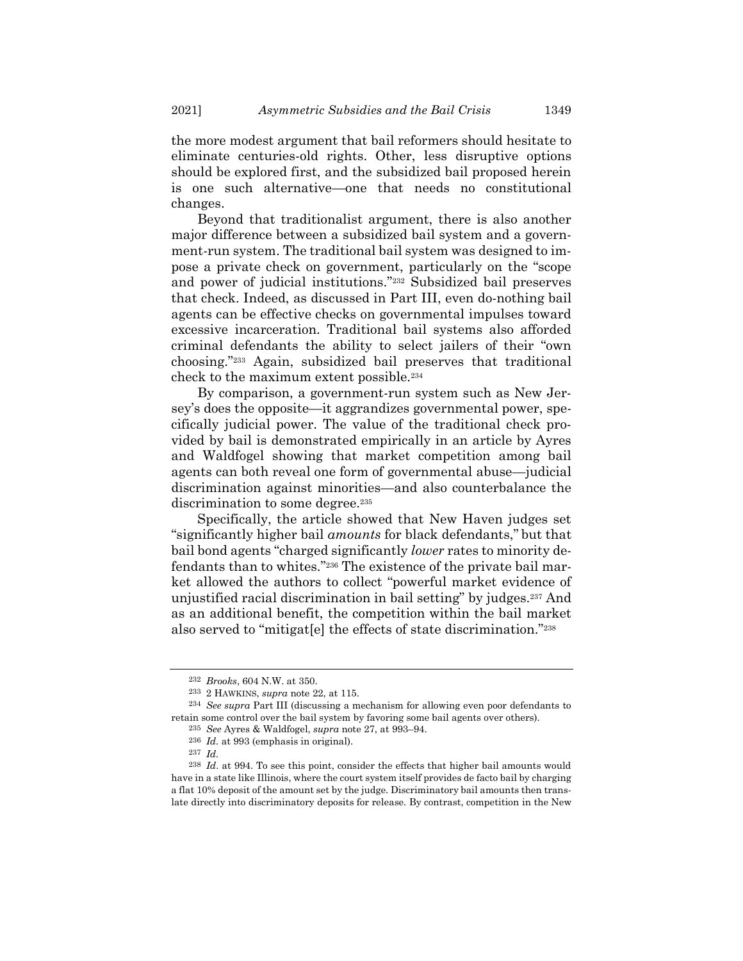the more modest argument that bail reformers should hesitate to eliminate centuries-old rights. Other, less disruptive options should be explored first, and the subsidized bail proposed herein is one such alternative—one that needs no constitutional changes.

Beyond that traditionalist argument, there is also another major difference between a subsidized bail system and a government-run system. The traditional bail system was designed to impose a private check on government, particularly on the "scope and power of judicial institutions."<sup>232</sup> Subsidized bail preserves that check. Indeed, as discussed in Part III, even do-nothing bail agents can be effective checks on governmental impulses toward excessive incarceration. Traditional bail systems also afforded criminal defendants the ability to select jailers of their "own choosing."<sup>233</sup> Again, subsidized bail preserves that traditional check to the maximum extent possible.<sup>234</sup>

By comparison, a government-run system such as New Jersey's does the opposite—it aggrandizes governmental power, specifically judicial power. The value of the traditional check provided by bail is demonstrated empirically in an article by Ayres and Waldfogel showing that market competition among bail agents can both reveal one form of governmental abuse—judicial discrimination against minorities—and also counterbalance the discrimination to some degree.<sup>235</sup>

Specifically, the article showed that New Haven judges set "significantly higher bail *amounts* for black defendants," but that bail bond agents "charged significantly *lower* rates to minority defendants than to whites."<sup>236</sup> The existence of the private bail market allowed the authors to collect "powerful market evidence of unjustified racial discrimination in bail setting" by judges.<sup>237</sup> And as an additional benefit, the competition within the bail market also served to "mitigat[e] the effects of state discrimination."<sup>238</sup>

<sup>232</sup> *Brooks*, 604 N.W. at 350.

<sup>233</sup> 2 HAWKINS, *supra* not[e 22,](#page-6-1) at 115.

<sup>234</sup> *See supra* Part III (discussing a mechanism for allowing even poor defendants to retain some control over the bail system by favoring some bail agents over others).

<sup>235</sup> *See* Ayres & Waldfogel, *supra* note [27,](#page-7-0) at 993–94.

<sup>236</sup> *Id.* at 993 (emphasis in original).

<sup>237</sup> *Id.*

<sup>238</sup> *Id*. at 994. To see this point, consider the effects that higher bail amounts would have in a state like Illinois, where the court system itself provides de facto bail by charging a flat 10% deposit of the amount set by the judge. Discriminatory bail amounts then translate directly into discriminatory deposits for release. By contrast, competition in the New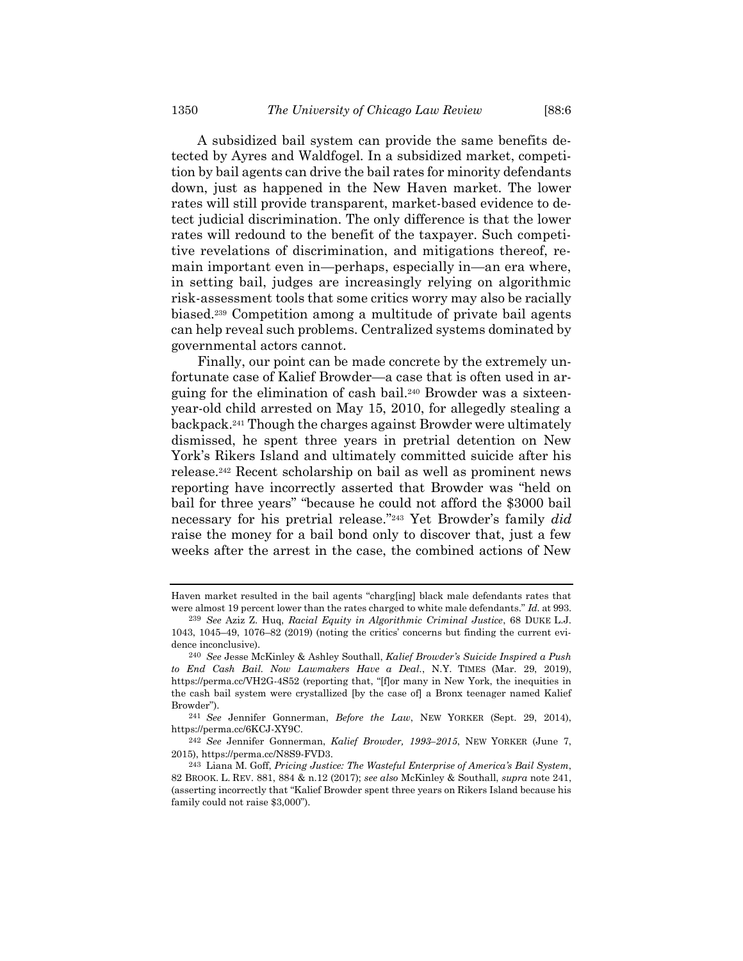A subsidized bail system can provide the same benefits detected by Ayres and Waldfogel. In a subsidized market, competition by bail agents can drive the bail rates for minority defendants down, just as happened in the New Haven market. The lower rates will still provide transparent, market-based evidence to detect judicial discrimination. The only difference is that the lower rates will redound to the benefit of the taxpayer. Such competitive revelations of discrimination, and mitigations thereof, remain important even in—perhaps, especially in—an era where, in setting bail, judges are increasingly relying on algorithmic risk-assessment tools that some critics worry may also be racially biased.<sup>239</sup> Competition among a multitude of private bail agents can help reveal such problems. Centralized systems dominated by governmental actors cannot.

Finally, our point can be made concrete by the extremely unfortunate case of Kalief Browder—a case that is often used in arguing for the elimination of cash bail.<sup>240</sup> Browder was a sixteenyear-old child arrested on May 15, 2010, for allegedly stealing a backpack.<sup>241</sup> Though the charges against Browder were ultimately dismissed, he spent three years in pretrial detention on New York's Rikers Island and ultimately committed suicide after his release.<sup>242</sup> Recent scholarship on bail as well as prominent news reporting have incorrectly asserted that Browder was "held on bail for three years" "because he could not afford the \$3000 bail necessary for his pretrial release."<sup>243</sup> Yet Browder's family *did* raise the money for a bail bond only to discover that, just a few weeks after the arrest in the case, the combined actions of New

Haven market resulted in the bail agents "charg[ing] black male defendants rates that were almost 19 percent lower than the rates charged to white male defendants." *Id.* at 993.

<sup>239</sup> *See* Aziz Z. Huq, *Racial Equity in Algorithmic Criminal Justice*, 68 DUKE L.J. 1043, 1045–49, 1076–82 (2019) (noting the critics' concerns but finding the current evidence inconclusive).

<sup>240</sup> *See* Jesse McKinley & Ashley Southall, *Kalief Browder's Suicide Inspired a Push to End Cash Bail. Now Lawmakers Have a Deal.*, N.Y. TIMES (Mar. 29, 2019), https://perma.cc/VH2G-4S52 (reporting that, "[f]or many in New York, the inequities in the cash bail system were crystallized [by the case of] a Bronx teenager named Kalief Browder").

<sup>241</sup> *See* Jennifer Gonnerman, *Before the Law*, NEW YORKER (Sept. 29, 2014), https://perma.cc/6KCJ-XY9C.

<sup>242</sup> *See* Jennifer Gonnerman, *Kalief Browder, 1993–2015*, NEW YORKER (June 7, 2015), https://perma.cc/N8S9-FVD3.

<sup>243</sup> Liana M. Goff, *Pricing Justice: The Wasteful Enterprise of America's Bail System*, 82 BROOK. L. REV. 881, 884 & n.12 (2017); *see also* McKinley & Southall, *supra* note 241, (asserting incorrectly that "Kalief Browder spent three years on Rikers Island because his family could not raise \$3,000").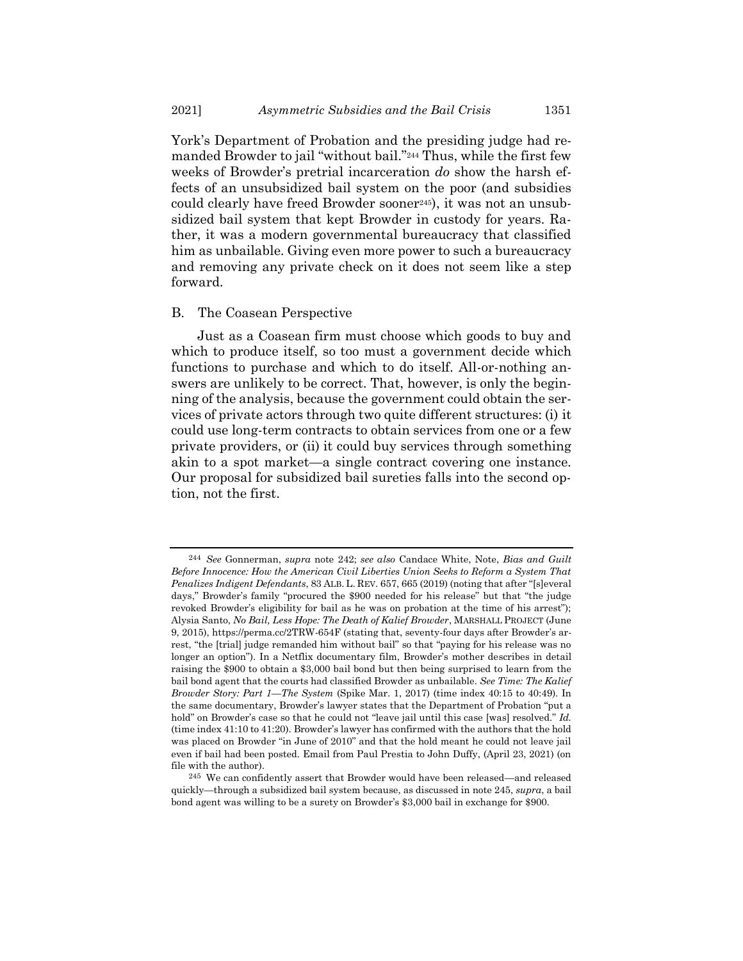York's Department of Probation and the presiding judge had remanded Browder to jail "without bail."<sup>244</sup> Thus, while the first few weeks of Browder's pretrial incarceration *do* show the harsh effects of an unsubsidized bail system on the poor (and subsidies could clearly have freed Browder sooner245), it was not an unsubsidized bail system that kept Browder in custody for years. Rather, it was a modern governmental bureaucracy that classified him as unbailable. Giving even more power to such a bureaucracy and removing any private check on it does not seem like a step forward.

## B. The Coasean Perspective

Just as a Coasean firm must choose which goods to buy and which to produce itself, so too must a government decide which functions to purchase and which to do itself. All-or-nothing answers are unlikely to be correct. That, however, is only the beginning of the analysis, because the government could obtain the services of private actors through two quite different structures: (i) it could use long-term contracts to obtain services from one or a few private providers, or (ii) it could buy services through something akin to a spot market—a single contract covering one instance. Our proposal for subsidized bail sureties falls into the second option, not the first.

<sup>244</sup> *See* Gonnerman, *supra* note 242; *see also* Candace White, Note, *Bias and Guilt Before Innocence: How the American Civil Liberties Union Seeks to Reform a System That Penalizes Indigent Defendants*, 83 ALB. L. REV. 657, 665 (2019) (noting that after "[s]everal days," Browder's family "procured the \$900 needed for his release" but that "the judge revoked Browder's eligibility for bail as he was on probation at the time of his arrest"); Alysia Santo, *No Bail, Less Hope: The Death of Kalief Browder*, MARSHALL PROJECT (June 9, 2015), https://perma.cc/2TRW-654F (stating that, seventy-four days after Browder's arrest, "the [trial] judge remanded him without bail" so that "paying for his release was no longer an option"). In a Netflix documentary film, Browder's mother describes in detail raising the \$900 to obtain a \$3,000 bail bond but then being surprised to learn from the bail bond agent that the courts had classified Browder as unbailable. *See Time: The Kalief Browder Story: Part 1—The System* (Spike Mar. 1, 2017) (time index 40:15 to 40:49). In the same documentary, Browder's lawyer states that the Department of Probation "put a hold" on Browder's case so that he could not "leave jail until this case [was] resolved." *Id.* (time index 41:10 to 41:20). Browder's lawyer has confirmed with the authors that the hold was placed on Browder "in June of 2010" and that the hold meant he could not leave jail even if bail had been posted. Email from Paul Prestia to John Duffy, (April 23, 2021) (on file with the author).

<sup>245</sup> We can confidently assert that Browder would have been released—and released quickly—through a subsidized bail system because, as discussed in note 245, *supra*, a bail bond agent was willing to be a surety on Browder's \$3,000 bail in exchange for \$900.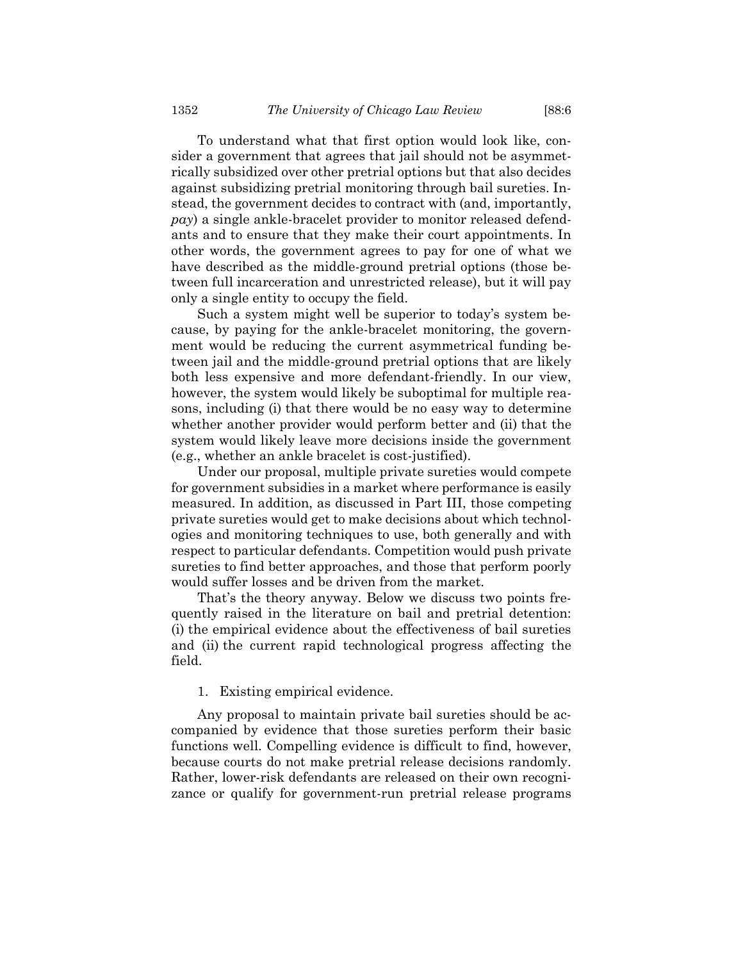To understand what that first option would look like, consider a government that agrees that jail should not be asymmetrically subsidized over other pretrial options but that also decides against subsidizing pretrial monitoring through bail sureties. Instead, the government decides to contract with (and, importantly, *pay*) a single ankle-bracelet provider to monitor released defendants and to ensure that they make their court appointments. In other words, the government agrees to pay for one of what we have described as the middle-ground pretrial options (those between full incarceration and unrestricted release), but it will pay only a single entity to occupy the field.

Such a system might well be superior to today's system because, by paying for the ankle-bracelet monitoring, the government would be reducing the current asymmetrical funding between jail and the middle-ground pretrial options that are likely both less expensive and more defendant-friendly. In our view, however, the system would likely be suboptimal for multiple reasons, including (i) that there would be no easy way to determine whether another provider would perform better and (ii) that the system would likely leave more decisions inside the government (e.g., whether an ankle bracelet is cost-justified).

Under our proposal, multiple private sureties would compete for government subsidies in a market where performance is easily measured. In addition, as discussed in Part III, those competing private sureties would get to make decisions about which technologies and monitoring techniques to use, both generally and with respect to particular defendants. Competition would push private sureties to find better approaches, and those that perform poorly would suffer losses and be driven from the market.

That's the theory anyway. Below we discuss two points frequently raised in the literature on bail and pretrial detention: (i) the empirical evidence about the effectiveness of bail sureties and (ii) the current rapid technological progress affecting the field.

#### 1. Existing empirical evidence.

Any proposal to maintain private bail sureties should be accompanied by evidence that those sureties perform their basic functions well. Compelling evidence is difficult to find, however, because courts do not make pretrial release decisions randomly. Rather, lower-risk defendants are released on their own recognizance or qualify for government-run pretrial release programs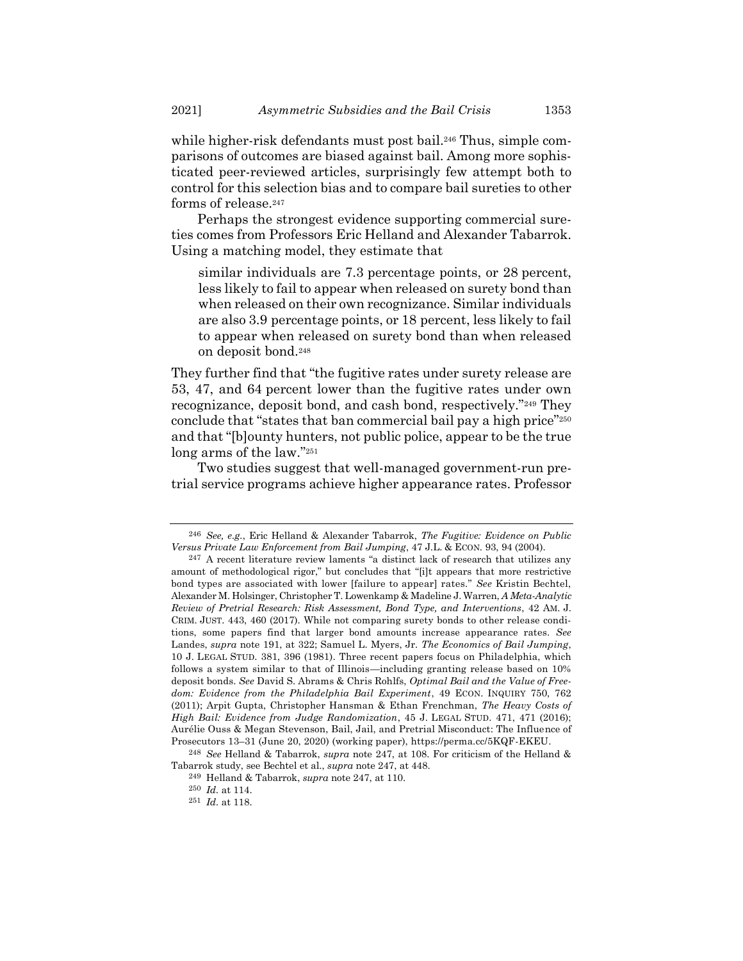while higher-risk defendants must post bail.<sup>246</sup> Thus, simple comparisons of outcomes are biased against bail. Among more sophisticated peer-reviewed articles, surprisingly few attempt both to control for this selection bias and to compare bail sureties to other forms of release.<sup>247</sup>

<span id="page-68-0"></span>Perhaps the strongest evidence supporting commercial sureties comes from Professors Eric Helland and Alexander Tabarrok. Using a matching model, they estimate that

similar individuals are 7.3 percentage points, or 28 percent, less likely to fail to appear when released on surety bond than when released on their own recognizance. Similar individuals are also 3.9 percentage points, or 18 percent, less likely to fail to appear when released on surety bond than when released on deposit bond.<sup>248</sup>

They further find that "the fugitive rates under surety release are 53, 47, and 64 percent lower than the fugitive rates under own recognizance, deposit bond, and cash bond, respectively."<sup>249</sup> They conclude that "states that ban commercial bail pay a high price"<sup>250</sup> and that "[b]ounty hunters, not public police, appear to be the true long arms of the law."<sup>251</sup>

Two studies suggest that well-managed government-run pretrial service programs achieve higher appearance rates. Professor

<sup>246</sup> *See, e.g.*, Eric Helland & Alexander Tabarrok, *The Fugitive: Evidence on Public Versus Private Law Enforcement from Bail Jumping*, 47 J.L. & ECON. 93, 94 (2004).

<sup>247</sup> A recent literature review laments "a distinct lack of research that utilizes any amount of methodological rigor," but concludes that "[i]t appears that more restrictive bond types are associated with lower [failure to appear] rates." *See* Kristin Bechtel, Alexander M. Holsinger, Christopher T. Lowenkamp & Madeline J. Warren, *A Meta-Analytic Review of Pretrial Research: Risk Assessment, Bond Type, and Interventions*, 42 AM. J. CRIM. JUST. 443, 460 (2017). While not comparing surety bonds to other release conditions, some papers find that larger bond amounts increase appearance rates. *See* Landes, *supra* not[e 191,](#page-51-1) at 322; Samuel L. Myers, Jr. *The Economics of Bail Jumping*, 10 J. LEGAL STUD. 381, 396 (1981). Three recent papers focus on Philadelphia, which follows a system similar to that of Illinois—including granting release based on 10% deposit bonds. *See* David S. Abrams & Chris Rohlfs, *Optimal Bail and the Value of Freedom: Evidence from the Philadelphia Bail Experiment*, 49 ECON. INQUIRY 750, 762 (2011); Arpit Gupta, Christopher Hansman & Ethan Frenchman, *The Heavy Costs of High Bail: Evidence from Judge Randomization*, 45 J. LEGAL STUD. 471, 471 (2016); Aurélie Ouss & Megan Stevenson, Bail, Jail, and Pretrial Misconduct: The Influence of Prosecutors 13–31 (June 20, 2020) (working paper), https://perma.cc/5KQF-EKEU.

<sup>248</sup> *See* Helland & Tabarrok, *supra* note 247, at 108. For criticism of the Helland & Tabarrok study, see Bechtel et al., *supra* not[e 247,](#page-68-0) at 448.

<sup>249</sup> Helland & Tabarrok, *supra* note 247, at 110.

<sup>250</sup> *Id.* at 114.

<sup>251</sup> *Id.* at 118.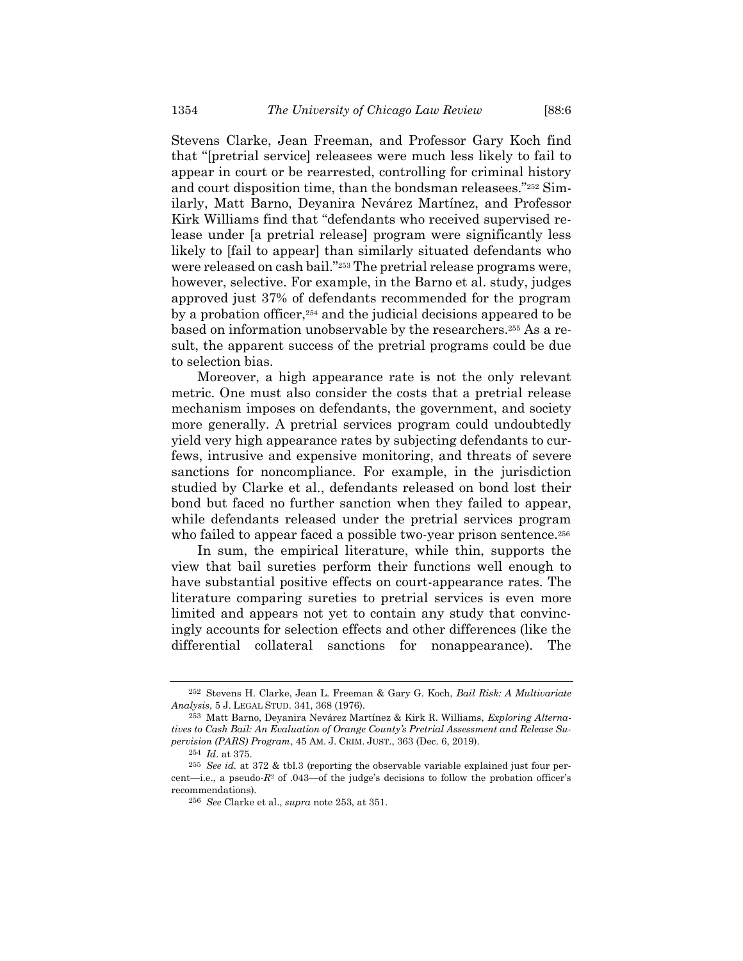Stevens Clarke, Jean Freeman, and Professor Gary Koch find that "[pretrial service] releasees were much less likely to fail to appear in court or be rearrested, controlling for criminal history and court disposition time, than the bondsman releasees."<sup>252</sup> Similarly, Matt Barno, Deyanira Nevárez Martínez, and Professor Kirk Williams find that "defendants who received supervised release under [a pretrial release] program were significantly less likely to [fail to appear] than similarly situated defendants who were released on cash bail."<sup>253</sup> The pretrial release programs were, however, selective. For example, in the Barno et al. study, judges approved just 37% of defendants recommended for the program by a probation officer,<sup>254</sup> and the judicial decisions appeared to be based on information unobservable by the researchers.<sup>255</sup> As a result, the apparent success of the pretrial programs could be due to selection bias.

Moreover, a high appearance rate is not the only relevant metric. One must also consider the costs that a pretrial release mechanism imposes on defendants, the government, and society more generally. A pretrial services program could undoubtedly yield very high appearance rates by subjecting defendants to curfews, intrusive and expensive monitoring, and threats of severe sanctions for noncompliance. For example, in the jurisdiction studied by Clarke et al., defendants released on bond lost their bond but faced no further sanction when they failed to appear, while defendants released under the pretrial services program who failed to appear faced a possible two-year prison sentence.<sup>256</sup>

In sum, the empirical literature, while thin, supports the view that bail sureties perform their functions well enough to have substantial positive effects on court-appearance rates. The literature comparing sureties to pretrial services is even more limited and appears not yet to contain any study that convincingly accounts for selection effects and other differences (like the differential collateral sanctions for nonappearance). The

<sup>252</sup> Stevens H. Clarke, Jean L. Freeman & Gary G. Koch, *Bail Risk: A Multivariate Analysis*, 5 J. LEGAL STUD. 341, 368 (1976).

<sup>253</sup> Matt Barno, Deyanira Nevárez Martínez & Kirk R. Williams, *Exploring Alternatives to Cash Bail: An Evaluation of Orange County's Pretrial Assessment and Release Supervision (PARS) Program*, 45 AM. J. CRIM. JUST., 363 (Dec. 6, 2019).

<sup>254</sup> *Id*. at 375.

<sup>255</sup> *See id.* at 372 & tbl.3 (reporting the observable variable explained just four percent—i.e., a pseudo- $R^2$  of .043—of the judge's decisions to follow the probation officer's recommendations).

<sup>256</sup> *See* Clarke et al., *supra* note 253, at 351.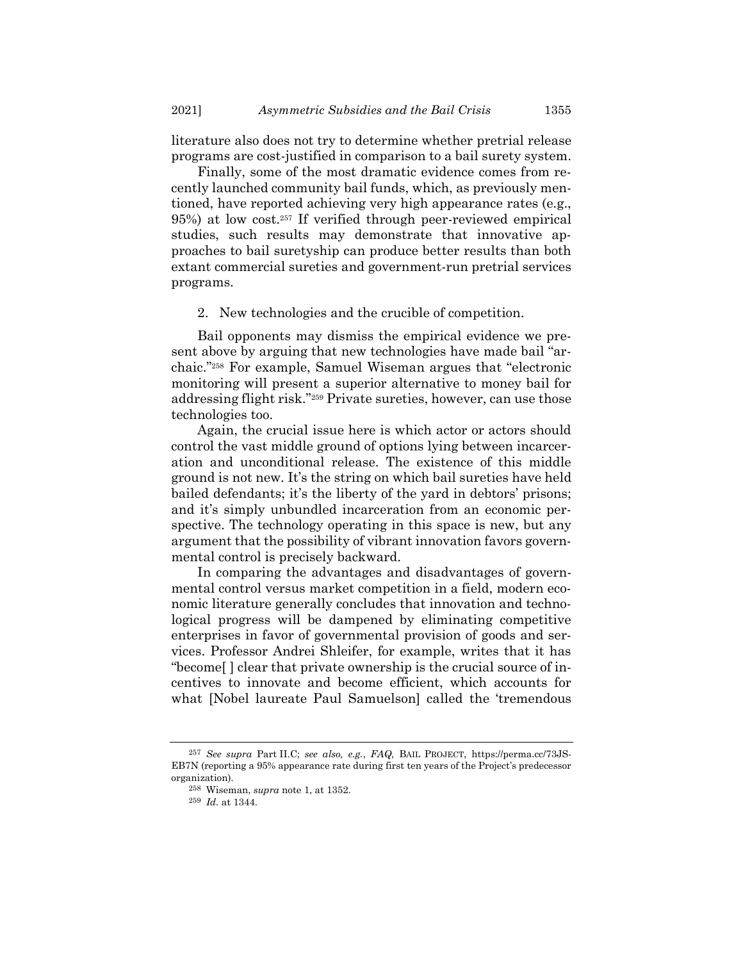literature also does not try to determine whether pretrial release programs are cost-justified in comparison to a bail surety system.

Finally, some of the most dramatic evidence comes from recently launched community bail funds, which, as previously mentioned, have reported achieving very high appearance rates (e.g., 95%) at low cost. <sup>257</sup> If verified through peer-reviewed empirical studies, such results may demonstrate that innovative approaches to bail suretyship can produce better results than both extant commercial sureties and government-run pretrial services programs.

2. New technologies and the crucible of competition.

Bail opponents may dismiss the empirical evidence we present above by arguing that new technologies have made bail "archaic."<sup>258</sup> For example, Samuel Wiseman argues that "electronic monitoring will present a superior alternative to money bail for addressing flight risk."<sup>259</sup> Private sureties, however, can use those technologies too.

Again, the crucial issue here is which actor or actors should control the vast middle ground of options lying between incarceration and unconditional release. The existence of this middle ground is not new. It's the string on which bail sureties have held bailed defendants; it's the liberty of the yard in debtors' prisons; and it's simply unbundled incarceration from an economic perspective. The technology operating in this space is new, but any argument that the possibility of vibrant innovation favors governmental control is precisely backward.

In comparing the advantages and disadvantages of governmental control versus market competition in a field, modern economic literature generally concludes that innovation and technological progress will be dampened by eliminating competitive enterprises in favor of governmental provision of goods and services. Professor Andrei Shleifer, for example, writes that it has "become[ ] clear that private ownership is the crucial source of incentives to innovate and become efficient, which accounts for what [Nobel laureate Paul Samuelson] called the 'tremendous

<sup>257</sup> *See supra* Part II.C; *see also, e.g.*, *FAQ*, BAIL PROJECT, https://perma.cc/73JS-EB7N (reporting a 95% appearance rate during first ten years of the Project's predecessor organization).

<sup>258</sup> Wiseman, *supra* not[e 1,](#page-1-0) at 1352.

<sup>259</sup> *Id.* at 1344.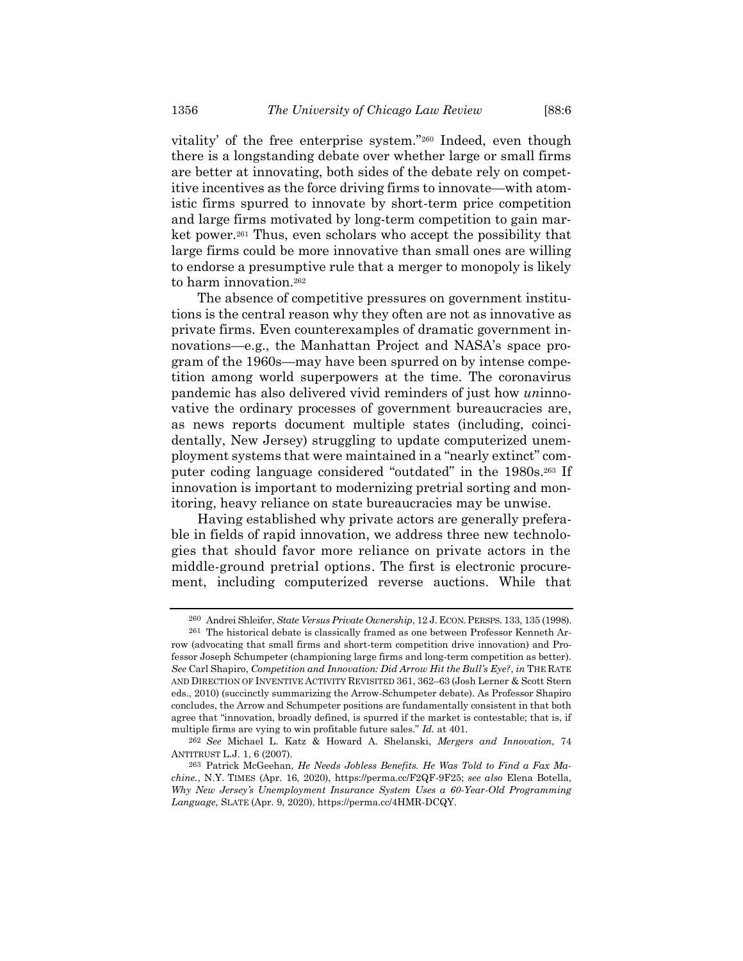vitality' of the free enterprise system."<sup>260</sup> Indeed, even though there is a longstanding debate over whether large or small firms are better at innovating, both sides of the debate rely on competitive incentives as the force driving firms to innovate—with atomistic firms spurred to innovate by short-term price competition and large firms motivated by long-term competition to gain market power.<sup>261</sup> Thus, even scholars who accept the possibility that large firms could be more innovative than small ones are willing to endorse a presumptive rule that a merger to monopoly is likely to harm innovation.<sup>262</sup>

The absence of competitive pressures on government institutions is the central reason why they often are not as innovative as private firms. Even counterexamples of dramatic government innovations—e.g., the Manhattan Project and NASA's space program of the 1960s—may have been spurred on by intense competition among world superpowers at the time. The coronavirus pandemic has also delivered vivid reminders of just how *un*innovative the ordinary processes of government bureaucracies are, as news reports document multiple states (including, coincidentally, New Jersey) struggling to update computerized unemployment systems that were maintained in a "nearly extinct" computer coding language considered "outdated" in the 1980s. <sup>263</sup> If innovation is important to modernizing pretrial sorting and monitoring, heavy reliance on state bureaucracies may be unwise.

Having established why private actors are generally preferable in fields of rapid innovation, we address three new technologies that should favor more reliance on private actors in the middle-ground pretrial options. The first is electronic procurement, including computerized reverse auctions. While that

<sup>260</sup> Andrei Shleifer, *State Versus Private Ownership*, 12 J. ECON.PERSPS. 133, 135 (1998).

<sup>261</sup> The historical debate is classically framed as one between Professor Kenneth Arrow (advocating that small firms and short-term competition drive innovation) and Professor Joseph Schumpeter (championing large firms and long-term competition as better). *See* Carl Shapiro, *Competition and Innovation: Did Arrow Hit the Bull's Eye?*, *in* THE RATE AND DIRECTION OF INVENTIVE ACTIVITY REVISITED 361, 362–63 (Josh Lerner & Scott Stern eds., 2010) (succinctly summarizing the Arrow-Schumpeter debate). As Professor Shapiro concludes, the Arrow and Schumpeter positions are fundamentally consistent in that both agree that "innovation, broadly defined, is spurred if the market is contestable; that is, if multiple firms are vying to win profitable future sales." *Id.* at 401.

<sup>262</sup> *See* Michael L. Katz & Howard A. Shelanski, *Mergers and Innovation*, 74 ANTITRUST L.J. 1, 6 (2007).

<sup>263</sup> Patrick McGeehan, *He Needs Jobless Benefits. He Was Told to Find a Fax Machine.*, N.Y. TIMES (Apr. 16, 2020), https://perma.cc/F2QF-9F25; *see also* Elena Botella, *Why New Jersey's Unemployment Insurance System Uses a 60-Year-Old Programming Language*, SLATE (Apr. 9, 2020), https://perma.cc/4HMR-DCQY.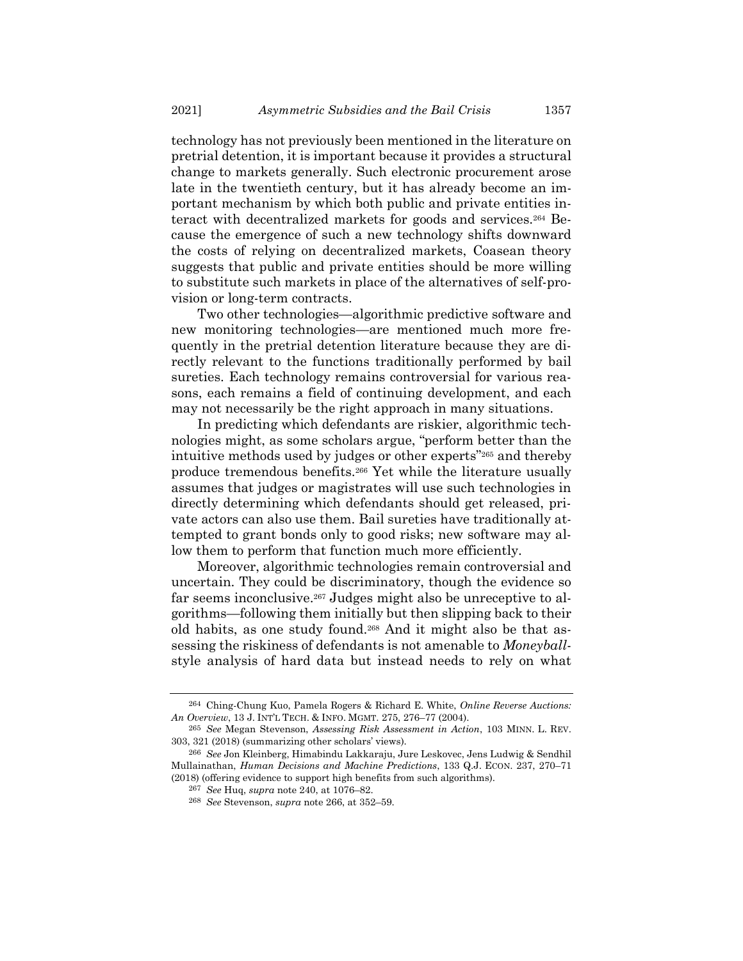technology has not previously been mentioned in the literature on pretrial detention, it is important because it provides a structural change to markets generally. Such electronic procurement arose late in the twentieth century, but it has already become an important mechanism by which both public and private entities interact with decentralized markets for goods and services.<sup>264</sup> Because the emergence of such a new technology shifts downward the costs of relying on decentralized markets, Coasean theory suggests that public and private entities should be more willing to substitute such markets in place of the alternatives of self-provision or long-term contracts.

Two other technologies—algorithmic predictive software and new monitoring technologies—are mentioned much more frequently in the pretrial detention literature because they are directly relevant to the functions traditionally performed by bail sureties. Each technology remains controversial for various reasons, each remains a field of continuing development, and each may not necessarily be the right approach in many situations.

In predicting which defendants are riskier, algorithmic technologies might, as some scholars argue, "perform better than the intuitive methods used by judges or other experts"<sup>265</sup> and thereby produce tremendous benefits.<sup>266</sup> Yet while the literature usually assumes that judges or magistrates will use such technologies in directly determining which defendants should get released, private actors can also use them. Bail sureties have traditionally attempted to grant bonds only to good risks; new software may allow them to perform that function much more efficiently.

Moreover, algorithmic technologies remain controversial and uncertain. They could be discriminatory, though the evidence so far seems inconclusive.<sup>267</sup> Judges might also be unreceptive to algorithms—following them initially but then slipping back to their old habits, as one study found.<sup>268</sup> And it might also be that assessing the riskiness of defendants is not amenable to *Moneyball*style analysis of hard data but instead needs to rely on what

<sup>264</sup> Ching-Chung Kuo, Pamela Rogers & Richard E. White, *Online Reverse Auctions: An Overview*, 13 J. INT'L TECH. & INFO. MGMT. 275, 276–77 (2004).

<sup>265</sup> *See* Megan Stevenson, *Assessing Risk Assessment in Action*, 103 MINN. L. REV. 303, 321 (2018) (summarizing other scholars' views).

<sup>266</sup> *See* Jon Kleinberg, Himabindu Lakkaraju, Jure Leskovec, Jens Ludwig & Sendhil Mullainathan, *Human Decisions and Machine Predictions*, 133 Q.J. ECON. 237, 270–71 (2018) (offering evidence to support high benefits from such algorithms).

<sup>267</sup> *See* Huq, *supra* note 240, at 1076–82.

<sup>268</sup> *See* Stevenson, *supra* note 266, at 352–59.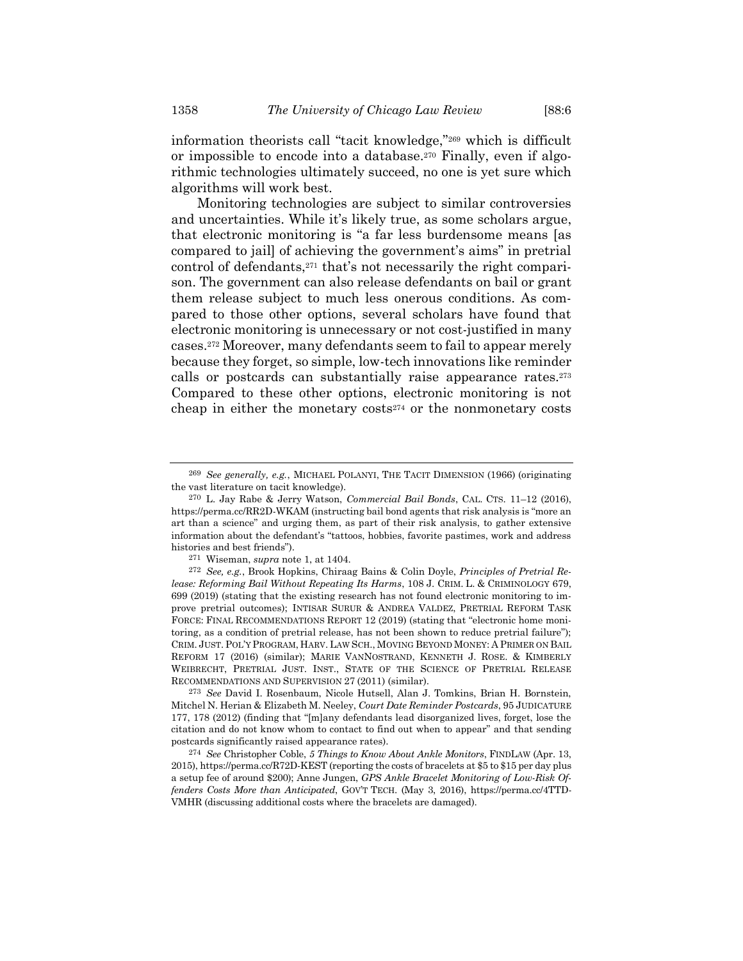information theorists call "tacit knowledge,"<sup>269</sup> which is difficult or impossible to encode into a database.<sup>270</sup> Finally, even if algorithmic technologies ultimately succeed, no one is yet sure which algorithms will work best.

Monitoring technologies are subject to similar controversies and uncertainties. While it's likely true, as some scholars argue, that electronic monitoring is "a far less burdensome means [as compared to jail] of achieving the government's aims" in pretrial control of defendants,<sup>271</sup> that's not necessarily the right comparison. The government can also release defendants on bail or grant them release subject to much less onerous conditions. As compared to those other options, several scholars have found that electronic monitoring is unnecessary or not cost-justified in many cases.<sup>272</sup> Moreover, many defendants seem to fail to appear merely because they forget, so simple, low-tech innovations like reminder calls or postcards can substantially raise appearance rates.<sup>273</sup> Compared to these other options, electronic monitoring is not cheap in either the monetary costs<sup>274</sup> or the nonmonetary costs

<sup>269</sup> *See generally, e.g.*, MICHAEL POLANYI, THE TACIT DIMENSION (1966) (originating the vast literature on tacit knowledge).

<sup>270</sup> L. Jay Rabe & Jerry Watson, *Commercial Bail Bonds*, CAL. CTS. 11–12 (2016), https://perma.cc/RR2D-WKAM (instructing bail bond agents that risk analysis is "more an art than a science" and urging them, as part of their risk analysis, to gather extensive information about the defendant's "tattoos, hobbies, favorite pastimes, work and address histories and best friends").

<sup>271</sup> Wiseman, *supra* not[e 1,](#page-1-0) at 1404.

<sup>272</sup> *See, e.g.*, Brook Hopkins, Chiraag Bains & Colin Doyle, *Principles of Pretrial Release: Reforming Bail Without Repeating Its Harms*, 108 J. CRIM. L. & CRIMINOLOGY 679, 699 (2019) (stating that the existing research has not found electronic monitoring to improve pretrial outcomes); INTISAR SURUR & ANDREA VALDEZ, PRETRIAL REFORM TASK FORCE: FINAL RECOMMENDATIONS REPORT 12 (2019) (stating that "electronic home monitoring, as a condition of pretrial release, has not been shown to reduce pretrial failure"); CRIM. JUST. POL'Y PROGRAM, HARV. LAW SCH., MOVING BEYOND MONEY: A PRIMER ON BAIL REFORM 17 (2016) (similar); MARIE VANNOSTRAND, KENNETH J. ROSE. & KIMBERLY WEIBRECHT, PRETRIAL JUST. INST., STATE OF THE SCIENCE OF PRETRIAL RELEASE RECOMMENDATIONS AND SUPERVISION 27 (2011) (similar).

<sup>273</sup> *See* David I. Rosenbaum, Nicole Hutsell, Alan J. Tomkins, Brian H. Bornstein, Mitchel N. Herian & Elizabeth M. Neeley, *Court Date Reminder Postcards*, 95 JUDICATURE 177, 178 (2012) (finding that "[m]any defendants lead disorganized lives, forget, lose the citation and do not know whom to contact to find out when to appear" and that sending postcards significantly raised appearance rates).

<sup>274</sup> *See* Christopher Coble, *5 Things to Know About Ankle Monitors*, FINDLAW (Apr. 13, 2015), https://perma.cc/R72D-KEST (reporting the costs of bracelets at \$5 to \$15 per day plus a setup fee of around \$200); Anne Jungen, *GPS Ankle Bracelet Monitoring of Low-Risk Offenders Costs More than Anticipated*, GOV'T TECH. (May 3, 2016), https://perma.cc/4TTD-VMHR (discussing additional costs where the bracelets are damaged).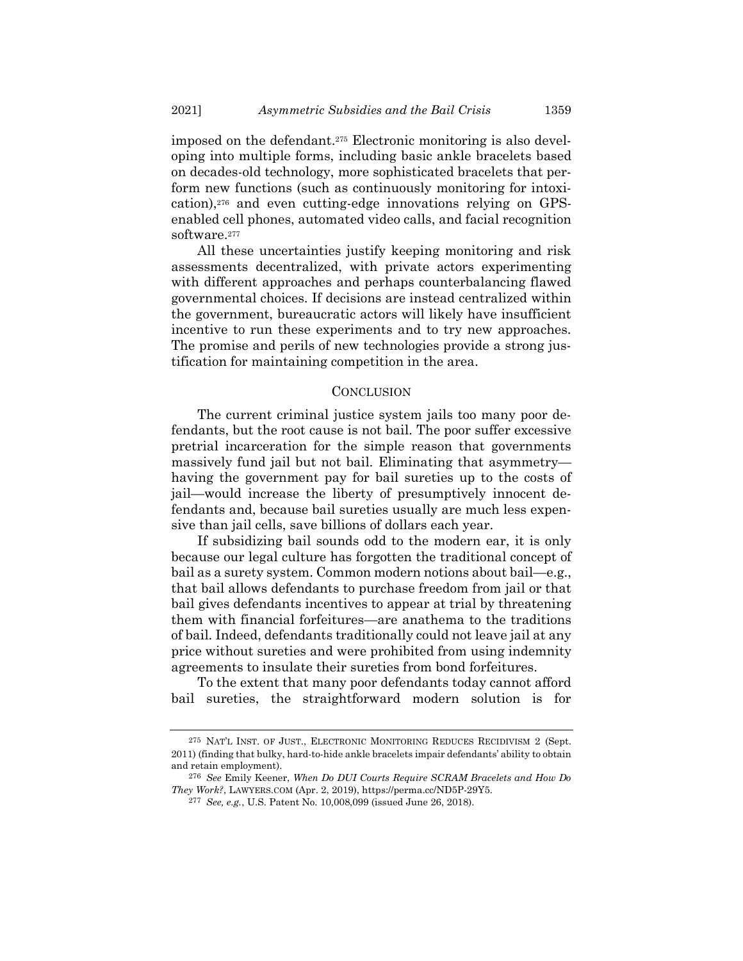imposed on the defendant.<sup>275</sup> Electronic monitoring is also developing into multiple forms, including basic ankle bracelets based on decades-old technology, more sophisticated bracelets that perform new functions (such as continuously monitoring for intoxication),<sup>276</sup> and even cutting-edge innovations relying on GPSenabled cell phones, automated video calls, and facial recognition software.<sup>277</sup>

All these uncertainties justify keeping monitoring and risk assessments decentralized, with private actors experimenting with different approaches and perhaps counterbalancing flawed governmental choices. If decisions are instead centralized within the government, bureaucratic actors will likely have insufficient incentive to run these experiments and to try new approaches. The promise and perils of new technologies provide a strong justification for maintaining competition in the area.

## **CONCLUSION**

The current criminal justice system jails too many poor defendants, but the root cause is not bail. The poor suffer excessive pretrial incarceration for the simple reason that governments massively fund jail but not bail. Eliminating that asymmetry having the government pay for bail sureties up to the costs of jail—would increase the liberty of presumptively innocent defendants and, because bail sureties usually are much less expensive than jail cells, save billions of dollars each year.

If subsidizing bail sounds odd to the modern ear, it is only because our legal culture has forgotten the traditional concept of bail as a surety system. Common modern notions about bail—e.g., that bail allows defendants to purchase freedom from jail or that bail gives defendants incentives to appear at trial by threatening them with financial forfeitures—are anathema to the traditions of bail. Indeed, defendants traditionally could not leave jail at any price without sureties and were prohibited from using indemnity agreements to insulate their sureties from bond forfeitures.

To the extent that many poor defendants today cannot afford bail sureties, the straightforward modern solution is for

<sup>275</sup> NAT'L INST. OF JUST., ELECTRONIC MONITORING REDUCES RECIDIVISM 2 (Sept. 2011) (finding that bulky, hard-to-hide ankle bracelets impair defendants' ability to obtain and retain employment).

<sup>276</sup> *See* Emily Keener, *When Do DUI Courts Require SCRAM Bracelets and How Do They Work?*, LAWYERS.COM (Apr. 2, 2019), https://perma.cc/ND5P-29Y5.

<sup>277</sup> *See, e.g.*, U.S. Patent No. 10,008,099 (issued June 26, 2018).